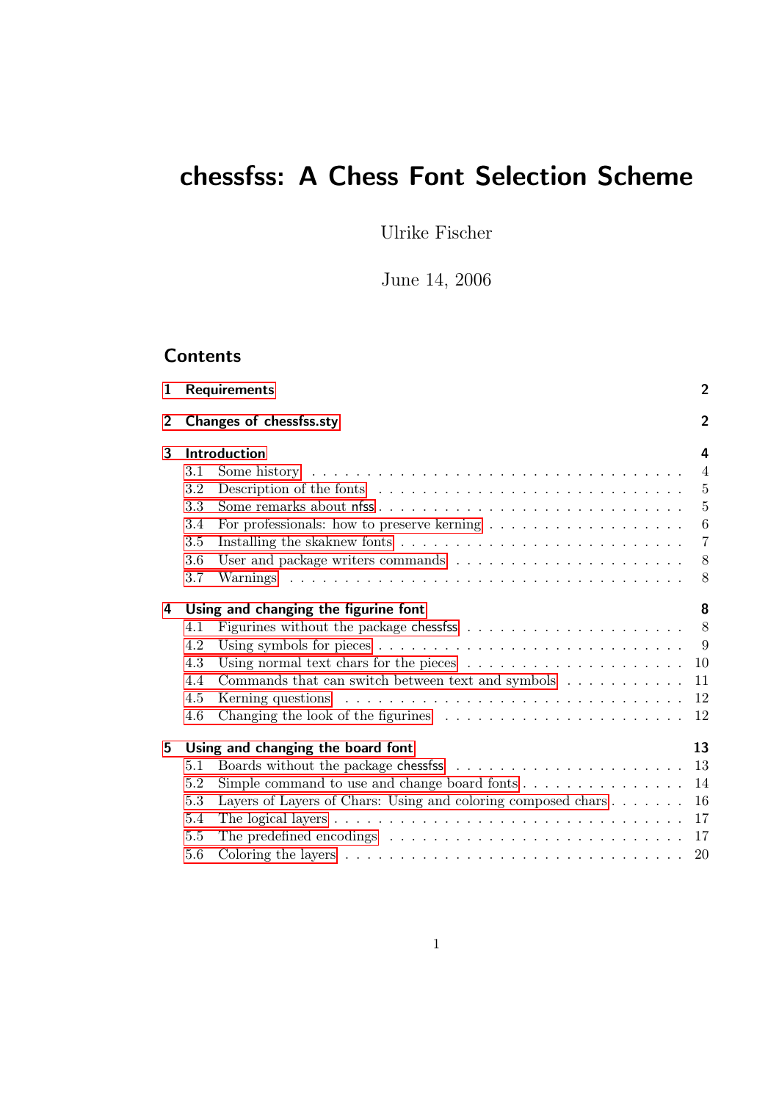# chessfss: A Chess Font Selection Scheme

Ulrike Fischer

June 14, 2006

## **Contents**

|     |                                                                                                  | $\overline{c}$                                                                                                                                                                                                                                                                                                                                                                                                                                                                                                           |
|-----|--------------------------------------------------------------------------------------------------|--------------------------------------------------------------------------------------------------------------------------------------------------------------------------------------------------------------------------------------------------------------------------------------------------------------------------------------------------------------------------------------------------------------------------------------------------------------------------------------------------------------------------|
|     |                                                                                                  | $\overline{2}$                                                                                                                                                                                                                                                                                                                                                                                                                                                                                                           |
|     |                                                                                                  | 4                                                                                                                                                                                                                                                                                                                                                                                                                                                                                                                        |
| 3.1 | Some history $\ldots \ldots \ldots \ldots \ldots \ldots \ldots \ldots \ldots \ldots \ldots$      | $\overline{4}$                                                                                                                                                                                                                                                                                                                                                                                                                                                                                                           |
| 3.2 |                                                                                                  | $\overline{5}$                                                                                                                                                                                                                                                                                                                                                                                                                                                                                                           |
| 3.3 | Some remarks about nfss                                                                          | $\overline{5}$                                                                                                                                                                                                                                                                                                                                                                                                                                                                                                           |
| 3.4 | For professionals: how to preserve kerning $\ldots \ldots \ldots \ldots \ldots \ldots$           | $\boldsymbol{6}$                                                                                                                                                                                                                                                                                                                                                                                                                                                                                                         |
| 3.5 |                                                                                                  | $\overline{7}$                                                                                                                                                                                                                                                                                                                                                                                                                                                                                                           |
| 3.6 |                                                                                                  | 8                                                                                                                                                                                                                                                                                                                                                                                                                                                                                                                        |
| 3.7 |                                                                                                  | 8                                                                                                                                                                                                                                                                                                                                                                                                                                                                                                                        |
|     |                                                                                                  | 8                                                                                                                                                                                                                                                                                                                                                                                                                                                                                                                        |
| 4.1 |                                                                                                  | 8                                                                                                                                                                                                                                                                                                                                                                                                                                                                                                                        |
| 4.2 | Using symbols for pieces $\dots \dots \dots \dots \dots \dots \dots \dots \dots \dots \dots$     |                                                                                                                                                                                                                                                                                                                                                                                                                                                                                                                          |
| 4.3 | Using normal text chars for the pieces $\ldots \ldots \ldots \ldots \ldots \ldots \ldots 10$     |                                                                                                                                                                                                                                                                                                                                                                                                                                                                                                                          |
| 4.4 |                                                                                                  |                                                                                                                                                                                                                                                                                                                                                                                                                                                                                                                          |
| 4.5 | Kerning questions $\ldots \ldots \ldots \ldots \ldots \ldots \ldots \ldots \ldots \ldots \ldots$ |                                                                                                                                                                                                                                                                                                                                                                                                                                                                                                                          |
| 4.6 | Changing the look of the figurines $\ldots \ldots \ldots \ldots \ldots \ldots \ldots \ldots 12$  |                                                                                                                                                                                                                                                                                                                                                                                                                                                                                                                          |
|     |                                                                                                  | 13                                                                                                                                                                                                                                                                                                                                                                                                                                                                                                                       |
| 5.1 |                                                                                                  |                                                                                                                                                                                                                                                                                                                                                                                                                                                                                                                          |
| 5.2 |                                                                                                  |                                                                                                                                                                                                                                                                                                                                                                                                                                                                                                                          |
| 5.3 |                                                                                                  |                                                                                                                                                                                                                                                                                                                                                                                                                                                                                                                          |
| 5.4 |                                                                                                  |                                                                                                                                                                                                                                                                                                                                                                                                                                                                                                                          |
| 5.5 |                                                                                                  |                                                                                                                                                                                                                                                                                                                                                                                                                                                                                                                          |
|     |                                                                                                  | 20                                                                                                                                                                                                                                                                                                                                                                                                                                                                                                                       |
|     |                                                                                                  | <b>Requirements</b><br>Changes of chessfss.sty<br>Introduction<br>Using and changing the figurine font<br>Commands that can switch between text and symbols $\ldots \ldots \ldots \ldots$ 11<br>Using and changing the board font<br>Simple command to use and change board fonts $\dots \dots \dots \dots \dots \dots$ 14<br>Layers of Layers of Chars: Using and coloring composed chars $\dots \dots \dots$ 16<br>The predefined encodings $\ldots \ldots \ldots \ldots \ldots \ldots \ldots \ldots \ldots \ldots 17$ |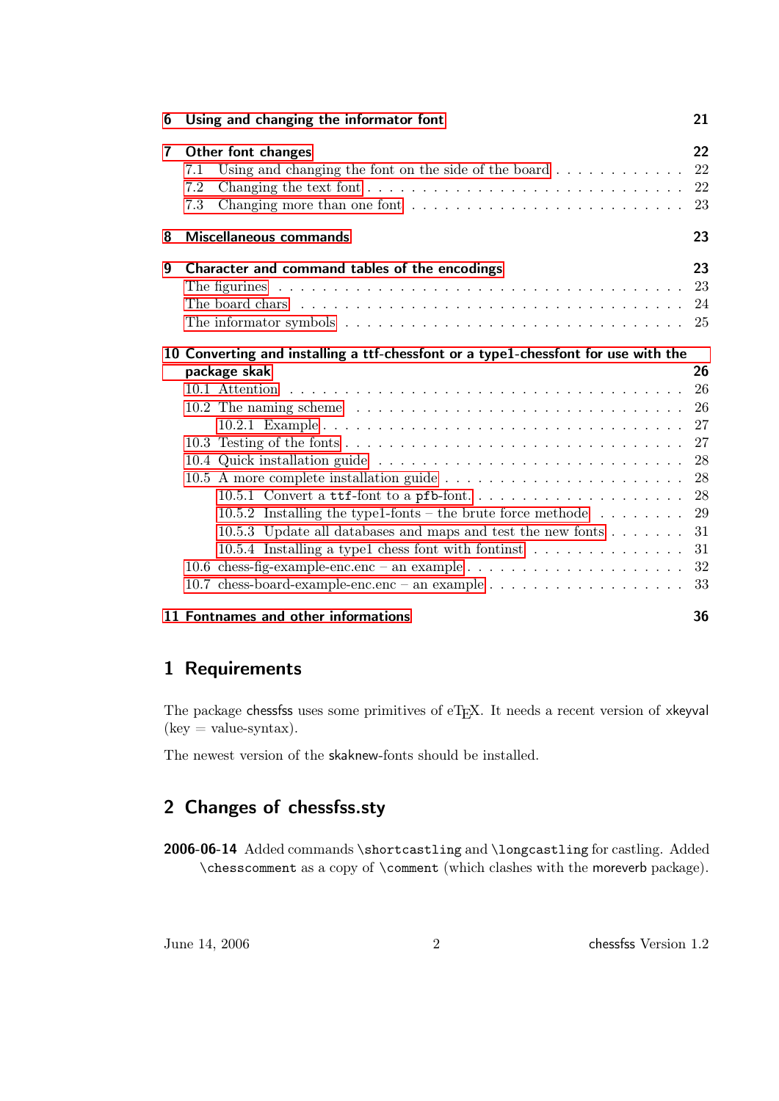| 6              | Using and changing the informator font                                                                | 21 |
|----------------|-------------------------------------------------------------------------------------------------------|----|
| $\overline{7}$ | Other font changes                                                                                    | 22 |
|                | Using and changing the font on the side of the board $\dots \dots \dots$<br>7.1                       | 22 |
|                | 7.2<br>Changing the text font $\ldots \ldots \ldots \ldots \ldots \ldots \ldots \ldots \ldots \ldots$ | 22 |
|                | Changing more than one font $\dots \dots \dots \dots \dots \dots \dots \dots \dots$<br>7.3            | 23 |
| 8              | <b>Miscellaneous commands</b>                                                                         | 23 |
| 9              | Character and command tables of the encodings                                                         | 23 |
|                |                                                                                                       |    |
|                | The board chars $\dots \dots \dots \dots \dots \dots \dots \dots \dots \dots \dots \dots \dots$       | 24 |
|                |                                                                                                       |    |
|                | 10 Converting and installing a ttf-chessfont or a type1-chessfont for use with the                    |    |
|                | package skak                                                                                          | 26 |
|                |                                                                                                       | 26 |
|                | 10.2 The naming scheme $\ldots \ldots \ldots \ldots \ldots \ldots \ldots \ldots \ldots \ldots \ldots$ | 26 |
|                |                                                                                                       | 27 |
|                |                                                                                                       | 27 |
|                |                                                                                                       | 28 |
|                |                                                                                                       | 28 |
|                |                                                                                                       | 28 |
|                | 10.5.2 Installing the type1-fonts – the brute force methode $\dots \dots$                             | 29 |
|                | 10.5.3 Update all databases and maps and test the new fonts $\dots \dots$                             | 31 |
|                | 10.5.4 Installing a type1 chess font with fontinst $\ldots \ldots \ldots \ldots$                      | 31 |
|                | 10.6 chess-fig-example-enc.enc – an example $\dots \dots \dots \dots \dots \dots \dots$               | 32 |
|                |                                                                                                       | 33 |
|                | 11 Fontnames and other informations                                                                   | 36 |

## <span id="page-1-0"></span>1 Requirements

The package chessfss uses some primitives of eTEX. It needs a recent version of xkeyval  $(key = value-syntax).$ 

The newest version of the skaknew-fonts should be installed.

## <span id="page-1-1"></span>2 Changes of chessfss.sty

2006-06-14 Added commands \shortcastling and \longcastling for castling. Added \chesscomment as a copy of \comment (which clashes with the moreverb package).

June 14, 2006 2 chessfss Version 1.2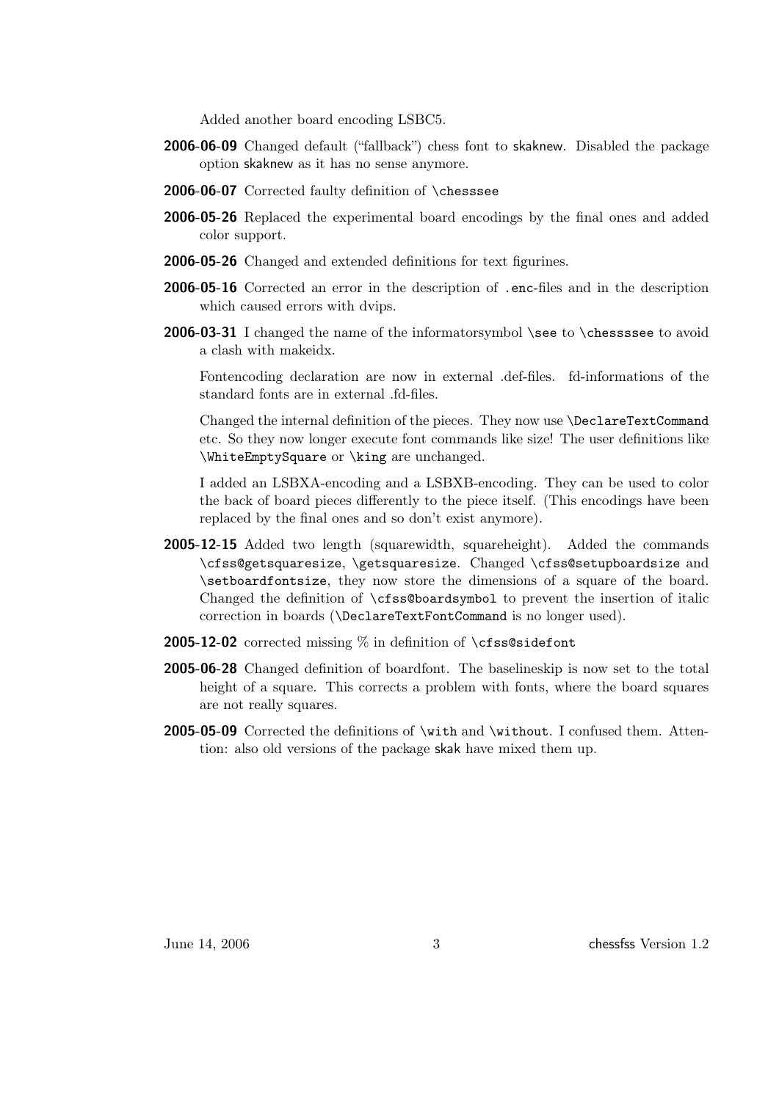Added another board encoding LSBC5.

- 2006-06-09 Changed default ("fallback") chess font to skaknew. Disabled the package option skaknew as it has no sense anymore.
- 2006-06-07 Corrected faulty definition of \chesssee
- 2006-05-26 Replaced the experimental board encodings by the final ones and added color support.
- 2006-05-26 Changed and extended definitions for text figurines.
- 2006-05-16 Corrected an error in the description of .enc-files and in the description which caused errors with dvips.
- 2006-03-31 I changed the name of the informatorsymbol \see to \chessssee to avoid a clash with makeidx.

Fontencoding declaration are now in external .def-files. fd-informations of the standard fonts are in external .fd-files.

Changed the internal definition of the pieces. They now use \DeclareTextCommand etc. So they now longer execute font commands like size! The user definitions like \WhiteEmptySquare or \king are unchanged.

I added an LSBXA-encoding and a LSBXB-encoding. They can be used to color the back of board pieces differently to the piece itself. (This encodings have been replaced by the final ones and so don't exist anymore).

- 2005-12-15 Added two length (squarewidth, squareheight). Added the commands \cfss@getsquaresize, \getsquaresize. Changed \cfss@setupboardsize and \setboardfontsize, they now store the dimensions of a square of the board. Changed the definition of \cfss@boardsymbol to prevent the insertion of italic correction in boards (\DeclareTextFontCommand is no longer used).
- **2005-12-02** corrected missing  $\%$  in definition of **\cfss@sidefont**
- 2005-06-28 Changed definition of boardfont. The baselineskip is now set to the total height of a square. This corrects a problem with fonts, where the board squares are not really squares.
- 2005-05-09 Corrected the definitions of \with and \without. I confused them. Attention: also old versions of the package skak have mixed them up.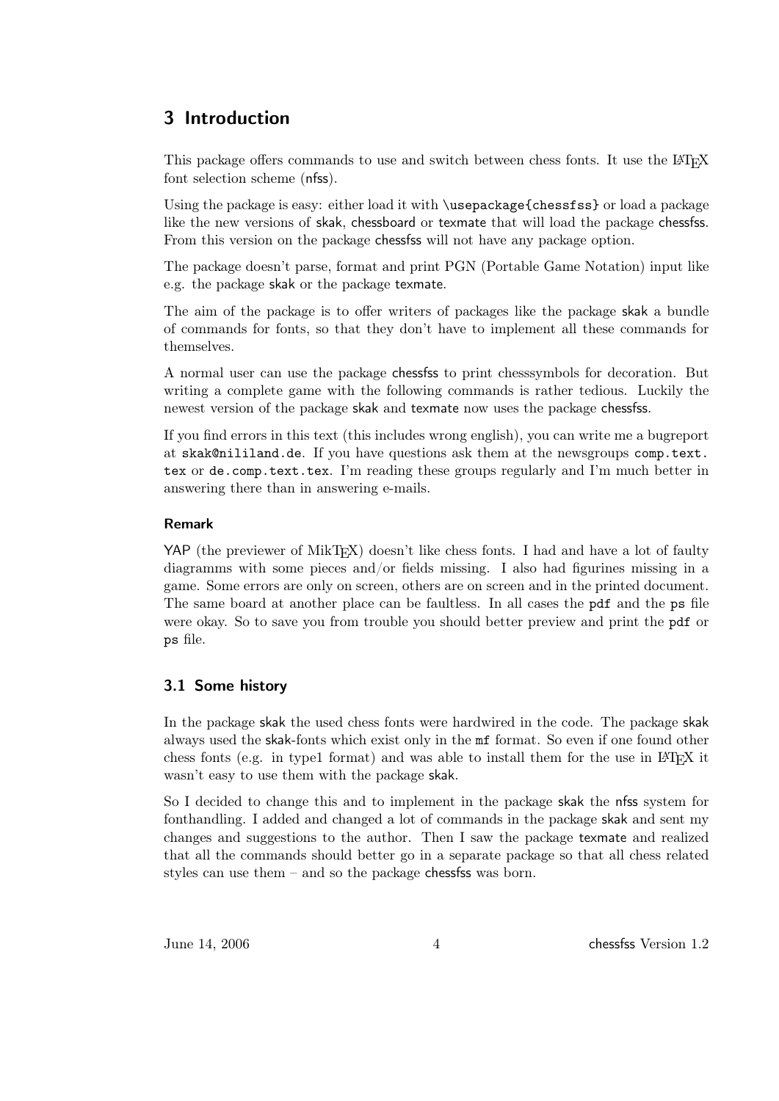## <span id="page-3-0"></span>3 Introduction

This package offers commands to use and switch between chess fonts. It use the LAT<sub>EX</sub> font selection scheme (nfss).

Using the package is easy: either load it with \usepackage{chessfss} or load a package like the new versions of skak, chessboard or texmate that will load the package chessfss. From this version on the package chessfss will not have any package option.

The package doesn't parse, format and print PGN (Portable Game Notation) input like e.g. the package skak or the package texmate.

The aim of the package is to offer writers of packages like the package skak a bundle of commands for fonts, so that they don't have to implement all these commands for themselves.

A normal user can use the package chessfss to print chesssymbols for decoration. But writing a complete game with the following commands is rather tedious. Luckily the newest version of the package skak and texmate now uses the package chessfss.

If you find errors in this text (this includes wrong english), you can write me a bugreport at skak@nililand.de. If you have questions ask them at the newsgroups comp.text. tex or de.comp.text.tex. I'm reading these groups regularly and I'm much better in answering there than in answering e-mails.

#### Remark

YAP (the previewer of MikT<sub>EX</sub>) doesn't like chess fonts. I had and have a lot of faulty diagramms with some pieces and/or fields missing. I also had figurines missing in a game. Some errors are only on screen, others are on screen and in the printed document. The same board at another place can be faultless. In all cases the pdf and the ps file were okay. So to save you from trouble you should better preview and print the pdf or ps file.

### <span id="page-3-1"></span>3.1 Some history

In the package skak the used chess fonts were hardwired in the code. The package skak always used the skak-fonts which exist only in the mf format. So even if one found other chess fonts (e.g. in type1 format) and was able to install them for the use in LATEX it wasn't easy to use them with the package skak.

So I decided to change this and to implement in the package skak the nfss system for fonthandling. I added and changed a lot of commands in the package skak and sent my changes and suggestions to the author. Then I saw the package texmate and realized that all the commands should better go in a separate package so that all chess related styles can use them  $-$  and so the package chesses was born.

June 14, 2006 and 4 chess version 1.2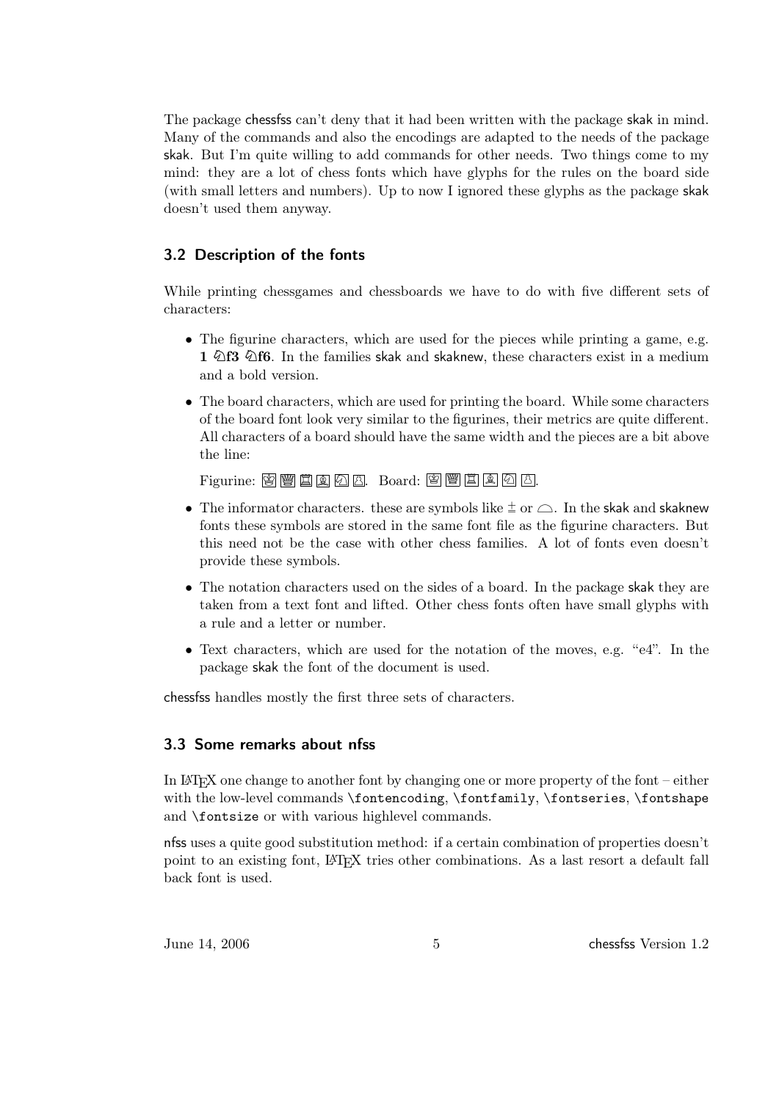The package chessfss can't deny that it had been written with the package skak in mind. Many of the commands and also the encodings are adapted to the needs of the package skak. But I'm quite willing to add commands for other needs. Two things come to my mind: they are a lot of chess fonts which have glyphs for the rules on the board side (with small letters and numbers). Up to now I ignored these glyphs as the package skak doesn't used them anyway.

### <span id="page-4-0"></span>3.2 Description of the fonts

While printing chessgames and chessboards we have to do with five different sets of characters:

- The figurine characters, which are used for the pieces while printing a game, e.g. 1  $\Diamond$ f3  $\Diamond$ f6. In the families skak and skaknew, these characters exist in a medium and a bold version.
- The board characters, which are used for printing the board. While some characters of the board font look very similar to the figurines, their metrics are quite different. All characters of a board should have the same width and the pieces are a bit above the line:

Figurine: 图 Y 国 Q A B. Board: 图 Y 国 A A.

- The informator characters. these are symbols like  $\pm$  or  $\triangle$ . In the skak and skaknew fonts these symbols are stored in the same font file as the figurine characters. But this need not be the case with other chess families. A lot of fonts even doesn't provide these symbols.
- The notation characters used on the sides of a board. In the package skak they are taken from a text font and lifted. Other chess fonts often have small glyphs with a rule and a letter or number.
- Text characters, which are used for the notation of the moves, e.g. "e4". In the package skak the font of the document is used.

chessfss handles mostly the first three sets of characters.

### <span id="page-4-1"></span>3.3 Some remarks about nfss

In LATEX one change to another font by changing one or more property of the font – either with the low-level commands \fontencoding, \fontfamily, \fontseries, \fontshape and \fontsize or with various highlevel commands.

nfss uses a quite good substitution method: if a certain combination of properties doesn't point to an existing font, LATEX tries other combinations. As a last resort a default fall back font is used.

June 14, 2006 5 5 chessfss Version 1.2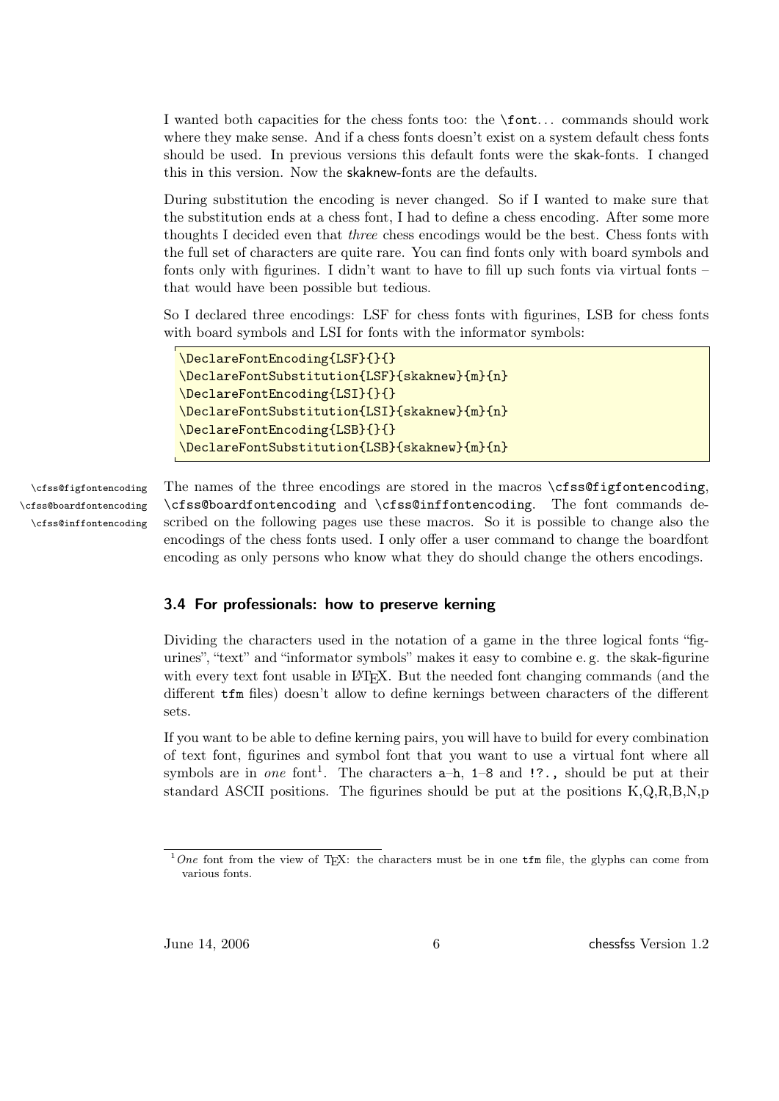I wanted both capacities for the chess fonts too: the \font. . . commands should work where they make sense. And if a chess fonts doesn't exist on a system default chess fonts should be used. In previous versions this default fonts were the skak-fonts. I changed this in this version. Now the skaknew-fonts are the defaults.

During substitution the encoding is never changed. So if I wanted to make sure that the substitution ends at a chess font, I had to define a chess encoding. After some more thoughts I decided even that three chess encodings would be the best. Chess fonts with the full set of characters are quite rare. You can find fonts only with board symbols and fonts only with figurines. I didn't want to have to fill up such fonts via virtual fonts  $$ that would have been possible but tedious.

So I declared three encodings: LSF for chess fonts with figurines, LSB for chess fonts with board symbols and LSI for fonts with the informator symbols:

```
\DeclareFontEncoding{LSF}{}{}
\DeclareFontSubstitution{LSF}{skaknew}{m}{n}
\DeclareFontEncoding{LSI}{}{}
\DeclareFontSubstitution{LSI}{skaknew}{m}{n}
\DeclareFontEncoding{LSB}{}{}
\DeclareFontSubstitution{LSB}{skaknew}{m}{n}
```
\cfss@boardfontencoding \cfss@inffontencoding

\cfss@figfontencoding The names of the three encodings are stored in the macros \cfss@figfontencoding, \cfss@boardfontencoding and \cfss@inffontencoding. The font commands described on the following pages use these macros. So it is possible to change also the encodings of the chess fonts used. I only offer a user command to change the boardfont encoding as only persons who know what they do should change the others encodings.

#### <span id="page-5-0"></span>3.4 For professionals: how to preserve kerning

Dividing the characters used in the notation of a game in the three logical fonts "figurines", "text" and "informator symbols" makes it easy to combine e. g. the skak-figurine with every text font usable in LAT<sub>EX</sub>. But the needed font changing commands (and the different tfm files) doesn't allow to define kernings between characters of the different sets.

If you want to be able to define kerning pairs, you will have to build for every combination of text font, figurines and symbol font that you want to use a virtual font where all symbols are in one font<sup>1</sup>. The characters  $a-h$ ,  $1-8$  and  $\ldots$ , should be put at their standard ASCII positions. The figurines should be put at the positions  $K,Q,R,B,N,p$ 

 $1$ One font from the view of T<sub>E</sub>X: the characters must be in one tim file, the glyphs can come from various fonts.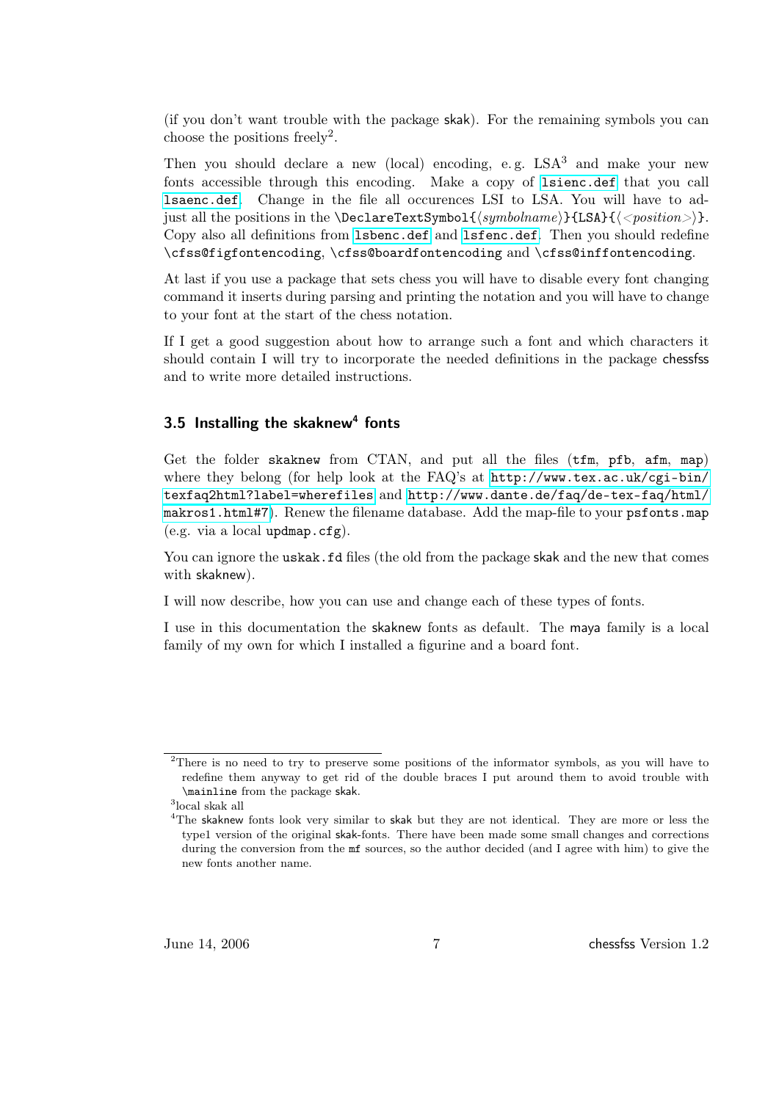(if you don't want trouble with the package skak). For the remaining symbols you can choose the positions freely<sup>2</sup>.

Then you should declare a new (local) encoding, e.g.  $LSA<sup>3</sup>$  and make your new fonts accessible through this encoding. Make a copy of <lsienc.def> that you call <lsaenc.def>. Change in the file all occurences LSI to LSA. You will have to adjust all the positions in the \DeclareTextSymbol{ $\langle symbolname\rangle$ {LSA}{ $\langle$  < position > i. Copy also all definitions from <lsbenc.def> and <lsfenc.def>. Then you should redefine \cfss@figfontencoding, \cfss@boardfontencoding and \cfss@inffontencoding.

At last if you use a package that sets chess you will have to disable every font changing command it inserts during parsing and printing the notation and you will have to change to your font at the start of the chess notation.

If I get a good suggestion about how to arrange such a font and which characters it should contain I will try to incorporate the needed definitions in the package chessfss and to write more detailed instructions.

### <span id="page-6-0"></span> $3.5$  Installing the skaknew<sup>4</sup> fonts

Get the folder skaknew from CTAN, and put all the files (tfm, pfb, afm, map) where they belong (for help look at the FAQ's at [http://www.tex.ac.uk/cgi-bin/](http://www.tex.ac.uk/cgi-bin/texfaq2html?label=wherefiles) [texfaq2html?label=wherefiles](http://www.tex.ac.uk/cgi-bin/texfaq2html?label=wherefiles) and [http://www.dante.de/faq/de-tex-faq/html/](http://www.dante.de/faq/de-tex-faq/html/makros1.html#7) [makros1.html#7](http://www.dante.de/faq/de-tex-faq/html/makros1.html#7)). Renew the filename database. Add the map-file to your psfonts.map (e.g. via a local updmap.cfg).

You can ignore the uskak.fd files (the old from the package skak and the new that comes with skaknew).

I will now describe, how you can use and change each of these types of fonts.

I use in this documentation the skaknew fonts as default. The maya family is a local family of my own for which I installed a figurine and a board font.

<sup>&</sup>lt;sup>2</sup>There is no need to try to preserve some positions of the informator symbols, as you will have to redefine them anyway to get rid of the double braces I put around them to avoid trouble with \mainline from the package skak.

<sup>3</sup> local skak all

<sup>&</sup>lt;sup>4</sup>The skaknew fonts look very similar to skak but they are not identical. They are more or less the type1 version of the original skak-fonts. There have been made some small changes and corrections during the conversion from the  $m$ f sources, so the author decided (and I agree with him) to give the new fonts another name.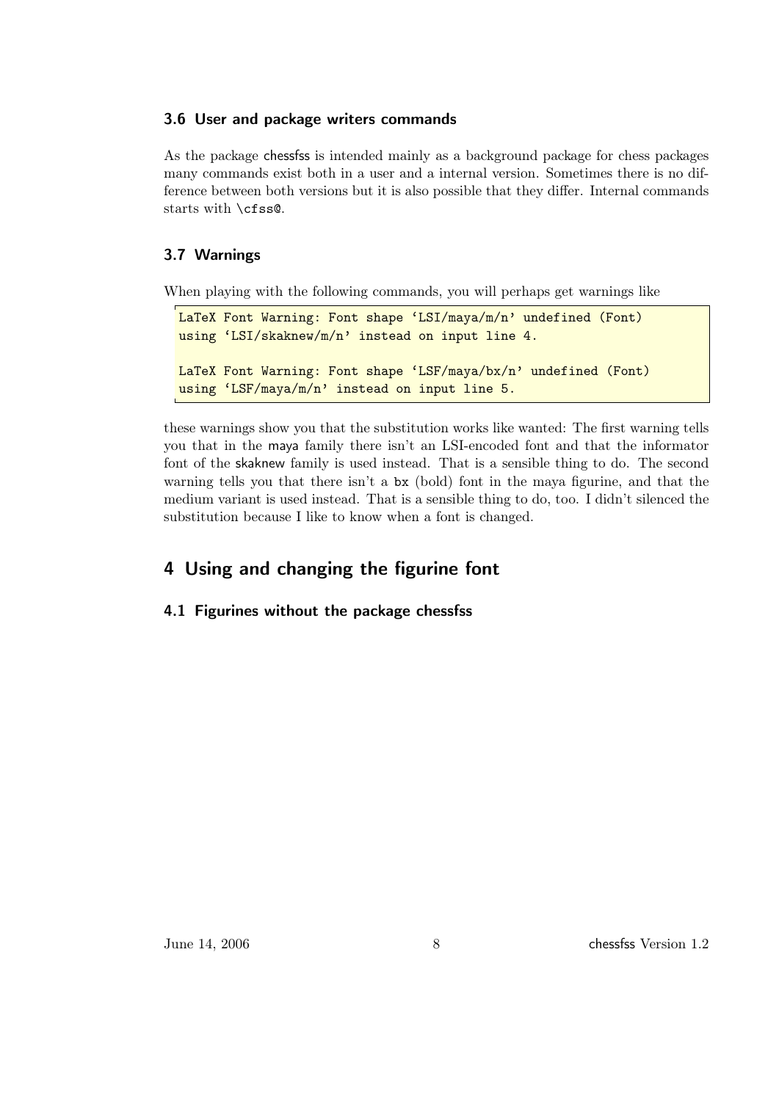### <span id="page-7-0"></span>3.6 User and package writers commands

As the package chessfss is intended mainly as a background package for chess packages many commands exist both in a user and a internal version. Sometimes there is no difference between both versions but it is also possible that they differ. Internal commands starts with \cfss@.

### <span id="page-7-1"></span>3.7 Warnings

When playing with the following commands, you will perhaps get warnings like

```
LaTeX Font Warning: Font shape 'LSI/maya/m/n' undefined (Font)
using 'LSI/skaknew/m/n' instead on input line 4.
LaTeX Font Warning: Font shape 'LSF/maya/bx/n' undefined (Font)
using 'LSF/maya/m/n' instead on input line 5.
```
these warnings show you that the substitution works like wanted: The first warning tells you that in the maya family there isn't an LSI-encoded font and that the informator font of the skaknew family is used instead. That is a sensible thing to do. The second warning tells you that there isn't a bx (bold) font in the maya figurine, and that the medium variant is used instead. That is a sensible thing to do, too. I didn't silenced the substitution because I like to know when a font is changed.

## <span id="page-7-2"></span>4 Using and changing the figurine font

### <span id="page-7-3"></span>4.1 Figurines without the package chessfss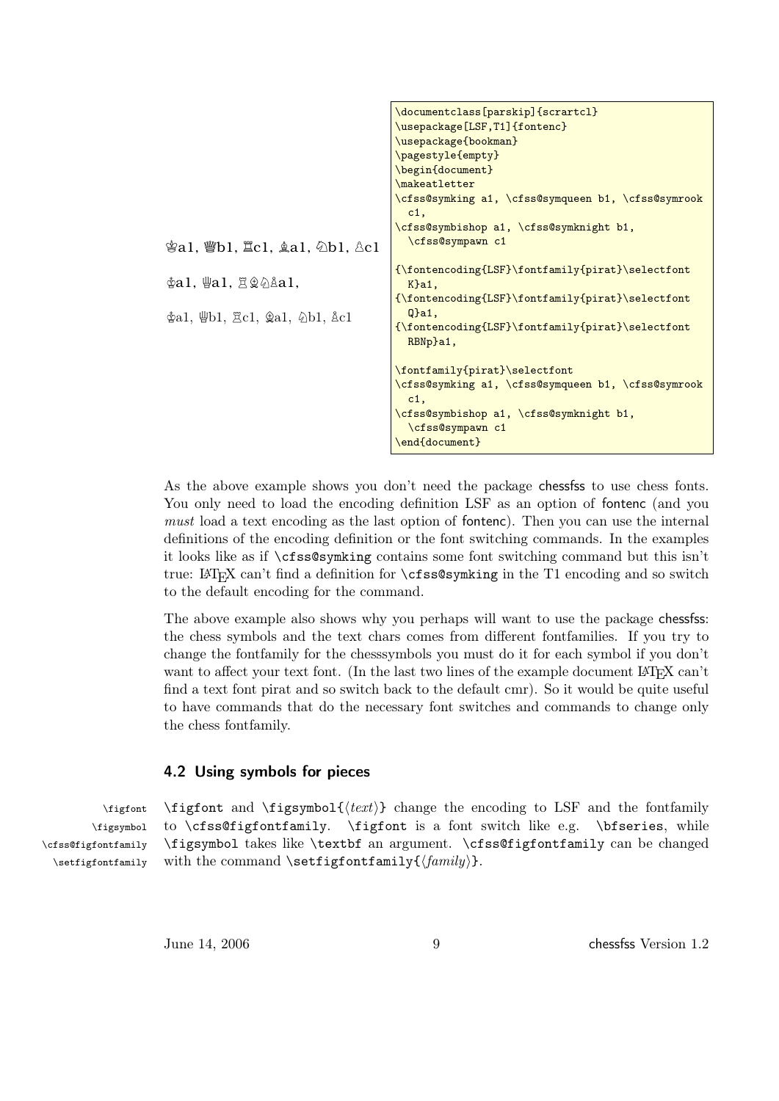|                                                                                           | \documentclass[parskip]{scrartcl}                            |
|-------------------------------------------------------------------------------------------|--------------------------------------------------------------|
|                                                                                           | \usepackage[LSF,T1]{fontenc}                                 |
|                                                                                           | \usepackage{bookman}                                         |
|                                                                                           | \pagestyle{empty}                                            |
|                                                                                           | \begin{document}                                             |
|                                                                                           | \makeatletter                                                |
|                                                                                           | \cfss@symking a1, \cfss@symqueen b1, \cfss@symrook           |
|                                                                                           | $c1$ ,                                                       |
|                                                                                           | \cfss@symbishop a1, \cfss@symknight b1,                      |
|                                                                                           | \cfss@sympawn c1                                             |
| $\Phi$ al, $\Psi$ al, $\Xi \hat{\otimes} \hat{\triangle}$ al,                             | {\fontencoding{LSF}\fontfamily{pirat}\selectfont             |
|                                                                                           | $K$ }a1,                                                     |
|                                                                                           | {\fontencoding{LSF}\fontfamily{pirat}\selectfont             |
| $\Phi$ a1, $\mathcal{L}$ b1, $\mathcal{L}$ c1, $\mathcal{L}$ a1, $\Delta$ b1, $\Delta$ c1 | $Q$ }a1,                                                     |
|                                                                                           | {\fontencoding{LSF}\fontfamily{pirat}\selectfont<br>RBNp}a1, |
|                                                                                           |                                                              |
|                                                                                           | \fontfamily{pirat}\selectfont                                |
|                                                                                           | \cfss@symking a1, \cfss@symqueen b1, \cfss@symrook           |
|                                                                                           | c1.                                                          |
|                                                                                           | \cfss@symbishop a1, \cfss@symknight b1,                      |
|                                                                                           | \cfss@sympawn c1                                             |
|                                                                                           | \end{document}                                               |
|                                                                                           |                                                              |

As the above example shows you don't need the package chessfss to use chess fonts. You only need to load the encoding definition LSF as an option of fontenc (and you must load a text encoding as the last option of fontenc). Then you can use the internal definitions of the encoding definition or the font switching commands. In the examples it looks like as if \cfss@symking contains some font switching command but this isn't true: LATEX can't find a definition for  $\csc s$ s esymking in the T1 encoding and so switch to the default encoding for the command.

The above example also shows why you perhaps will want to use the package chessfss: the chess symbols and the text chars comes from different fontfamilies. If you try to change the fontfamily for the chesssymbols you must do it for each symbol if you don't want to affect your text font. (In the last two lines of the example document LAT<sub>E</sub>X can't find a text font pirat and so switch back to the default cmr). So it would be quite useful to have commands that do the necessary font switches and commands to change only the chess fontfamily.

#### <span id="page-8-0"></span>4.2 Using symbols for pieces

\figfont \figsymbol{ $\text{text}}$ } change the encoding to LSF and the fontfamily \figsymbol \cfss@figfontfamily to \cfss@figfontfamily. \figfont is a font switch like e.g. \bfseries, while \figsymbol takes like \textbf an argument. \cfss@figfontfamily can be changed \setfigfontfamily with the command \setfigfontfamily{ $\langle family \rangle$ .

June 14, 2006 9 chessfss Version 1.2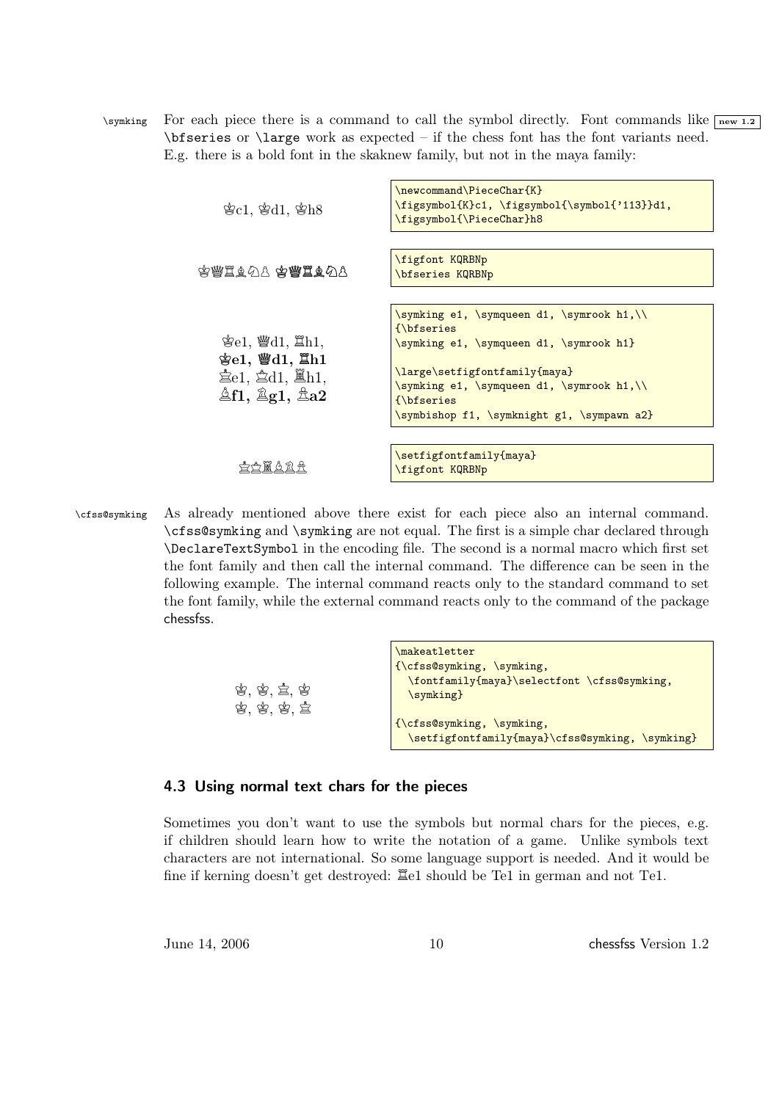\symking For each piece there is a command to call the symbol directly. Font commands like  $\sqrt{\frac{1}{2}}$ \bfseries or \large work as expected – if the chess font has the font variants need. E.g. there is a bold font in the skaknew family, but not in the maya family:

| $\&c1, \&d1, \&h8$                                                                                                                             | \newcommand\PieceChar{K}<br>\figsymbol{K}c1, \figsymbol{\symbol{'113}}d1,<br>\figsymbol{\PieceChar}h8                                                                                                                                          |
|------------------------------------------------------------------------------------------------------------------------------------------------|------------------------------------------------------------------------------------------------------------------------------------------------------------------------------------------------------------------------------------------------|
| 李豐基鱼公主 李豐基鱼公主                                                                                                                                  | figfont KQRBNp<br>bfseries KQRBNp                                                                                                                                                                                                              |
| 含 $e1,$ 營 $d1,$ 置 $h1,$<br>$\S$ e1, $\S$ d1, $\S$ h1<br>$\pm$ e1, $\pm$ d1, $\mathbb{E}$ h1,<br>$\triangle$ f1, $\triangle$ g1, $\triangle$ a2 | \symking e1, \symqueen d1, \symrook h1,\\<br>{\bfseries}<br>\symking e1, \symqueen d1, \symrook h1}<br>\large\setfigfontfamily{maya}<br>\symking e1, \symqueen d1, \symrook h1,\\<br>{\bfseries}<br>\symbishop f1, \symknight g1, \sympawn a2} |
| 4 # 4 2                                                                                                                                        | \setfigfontfamily{maya}<br>figfont KQRBNp                                                                                                                                                                                                      |

\cfss@symking As already mentioned above there exist for each piece also an internal command. \cfss@symking and \symking are not equal. The first is a simple char declared through \DeclareTextSymbol in the encoding file. The second is a normal macro which first set the font family and then call the internal command. The difference can be seen in the following example. The internal command reacts only to the standard command to set the font family, while the external command reacts only to the command of the package chessfss.

| \makeatletter                                                                |
|------------------------------------------------------------------------------|
| $\{\c$ fss $@symking, \sqrt{symking},\}$                                     |
| \fontfamily{maya}\selectfont \cfss@symking,<br>\symking}                     |
| {\cfss@symking, \symking,<br>\setfigfontfamily{maya}\cfss@symking, \symking} |
|                                                                              |

#### <span id="page-9-0"></span>4.3 Using normal text chars for the pieces

Sometimes you don't want to use the symbols but normal chars for the pieces, e.g. if children should learn how to write the notation of a game. Unlike symbols text characters are not international. So some language support is needed. And it would be fine if kerning doesn't get destroyed:  $\Xi$ e1 should be Te1 in german and not Te1.

June 14, 2006 10 10 chessfss Version 1.2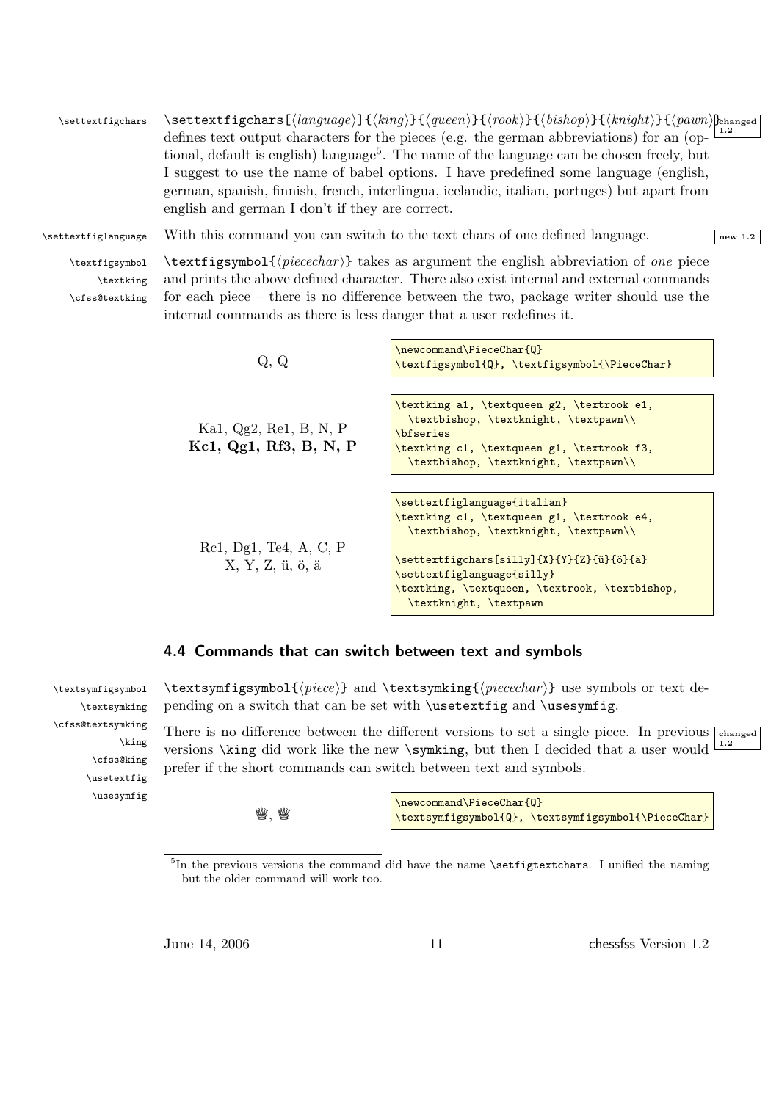$\setminus$ settextfigchars  $\setminus$ S<code>ettextfigchars[ $\langle$ language $\rangle$ ] $\set{\langle king \rangle}{\set{queen}}{\set{rook}}{\set{bishop}}{\set{knight}}{\set{qawn}}$ hanged</code> 1.2 defines text output characters for the pieces (e.g. the german abbreviations) for an (optional, default is english) language<sup>5</sup>. The name of the language can be chosen freely, but I suggest to use the name of babel options. I have predefined some language (english, german, spanish, finnish, french, interlingua, icelandic, italian, portuges) but apart from english and german I don't if they are correct.

 $\setminus$ settextfiglanguage With this command you can switch to the text chars of one defined language.

\textking \cfss@textking

\cfss@textsymking

\king \cfss@king \usetextfig \usesymfig

 $\text{tigsymbol} \text{tigsymbol}$  is the intertact in the english abbreviation of one piece and prints the above defined character. There also exist internal and external commands for each piece – there is no difference between the two, package writer should use the internal commands as there is less danger that a user redefines it.

| Q.Q                    | \newcommand\PieceChar{Q}<br>\textfigsymbol{Q}, \textfigsymbol{\PieceChar}                                      |
|------------------------|----------------------------------------------------------------------------------------------------------------|
|                        |                                                                                                                |
| Ka1, Qg2, Re1, B, N, P | \textking a1, \textqueen g2, \textrook e1,<br>\textbishop, \textknight, \textpawn\\<br><i><b>\bfseries</b></i> |
| Kc1, Qg1, Rf3, B, N, P | \textking c1, \textqueen g1, \textrook f3,<br>\textbishop, \textknight, \textpawn\\                            |
|                        |                                                                                                                |
|                        | \settextfiglanguage{italian}                                                                                   |
|                        | \textking c1, \textqueen g1, \textrook e4,                                                                     |
|                        | \textbishop, \textknight, \textpawn\\                                                                          |
| Rc1, Dg1, Te4, A, C, P |                                                                                                                |
| X, Y, Z, ü, ö, ä       | \settextfigchars[silly]{X}{Y}{Z}{ü}{ö}{ä}                                                                      |
|                        | \settextfiglanguage{silly}                                                                                     |
|                        | \textking, \textqueen, \textrook, \textbishop,<br>\textknight, \textpawn                                       |

### <span id="page-10-0"></span>4.4 Commands that can switch between text and symbols

\textsymfigsymbol \textsymfigsymbol{ $\prec$ } and \textsymking{ $\prec$ cechar i} use symbols or text de-\textsymking pending on a switch that can be set with \usetextfig and \usesymfig.

> There is no difference between the different versions to set a single piece. In previous  $\overline{\phantom{a}}$  changed 1.2 versions \king did work like the new \symking, but then I decided that a user would prefer if the short commands can switch between text and symbols.

> > $\underline{\mathbb{W}}$ .  $\underline{\mathbb{W}}$

\newcommand\PieceChar{Q} \textsymfigsymbol{Q}, \textsymfigsymbol{\PieceChar}

June 14, 2006 11 chessfss Version 1.2

<sup>&</sup>lt;sup>5</sup>In the previous versions the command did have the name \setfigtextchars. I unified the naming but the older command will work too.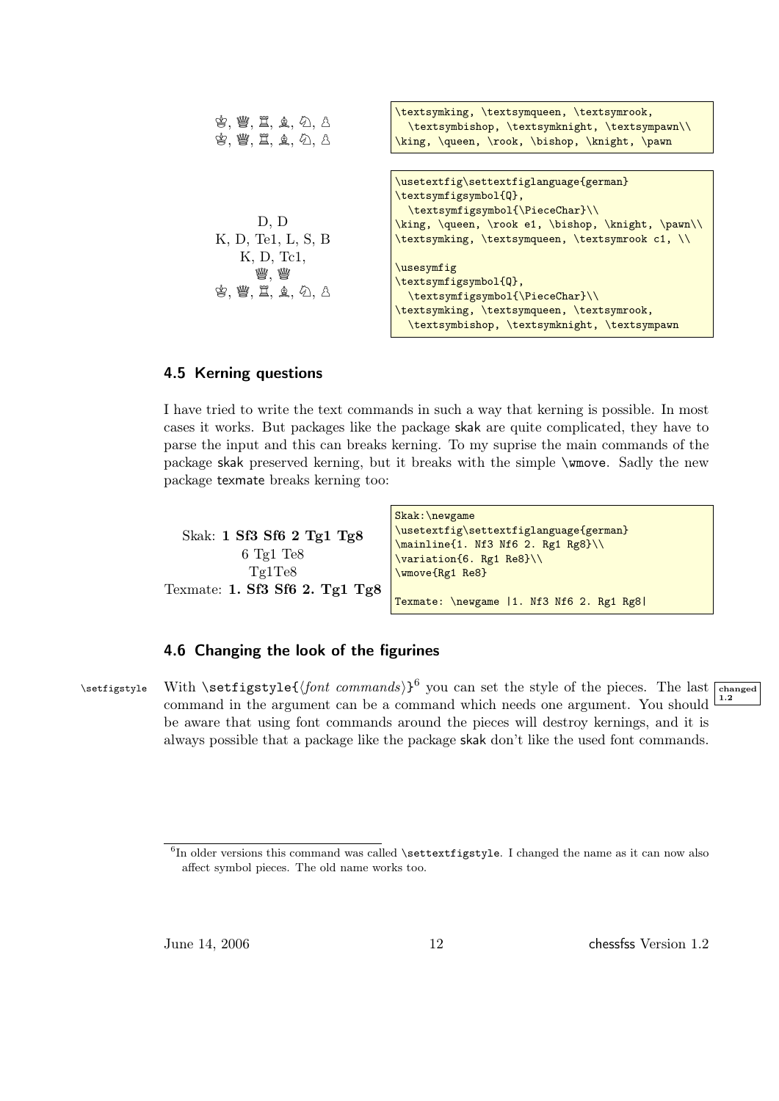

#### <span id="page-11-0"></span>4.5 Kerning questions

I have tried to write the text commands in such a way that kerning is possible. In most cases it works. But packages like the package skak are quite complicated, they have to parse the input and this can breaks kerning. To my suprise the main commands of the package skak preserved kerning, but it breaks with the simple \wmove. Sadly the new package texmate breaks kerning too:

Skak: 1 Sf3 Sf6 2 Tg1 Tg8 6 Tg1 Te8 Tg1Te8 Texmate: 1. Sf3 Sf6 2. Tg1 Tg8 Skak:\newgame \usetextfig\settextfiglanguage{german} \mainline{1. Nf3 Nf6 2. Rg1 Rg8}\\ \variation{6. Rg1 Re8}\\ \wmove{Rg1 Re8} Texmate: \newgame |1. Nf3 Nf6 2. Rg1 Rg8|

#### <span id="page-11-1"></span>4.6 Changing the look of the figurines

\setfigstyle With \setfigstyle{ $\{font\text{ commands}\}$ <sup>6</sup> you can set the style of the pieces. The last rehanged command in the argument can be a command which needs one argument. You should be aware that using font commands around the pieces will destroy kernings, and it is always possible that a package like the package skak don't like the used font commands.



June 14, 2006 12 chessfss Version 1.2

 ${}^{6}$ In older versions this command was called **\settextfigstyle**. I changed the name as it can now also affect symbol pieces. The old name works too.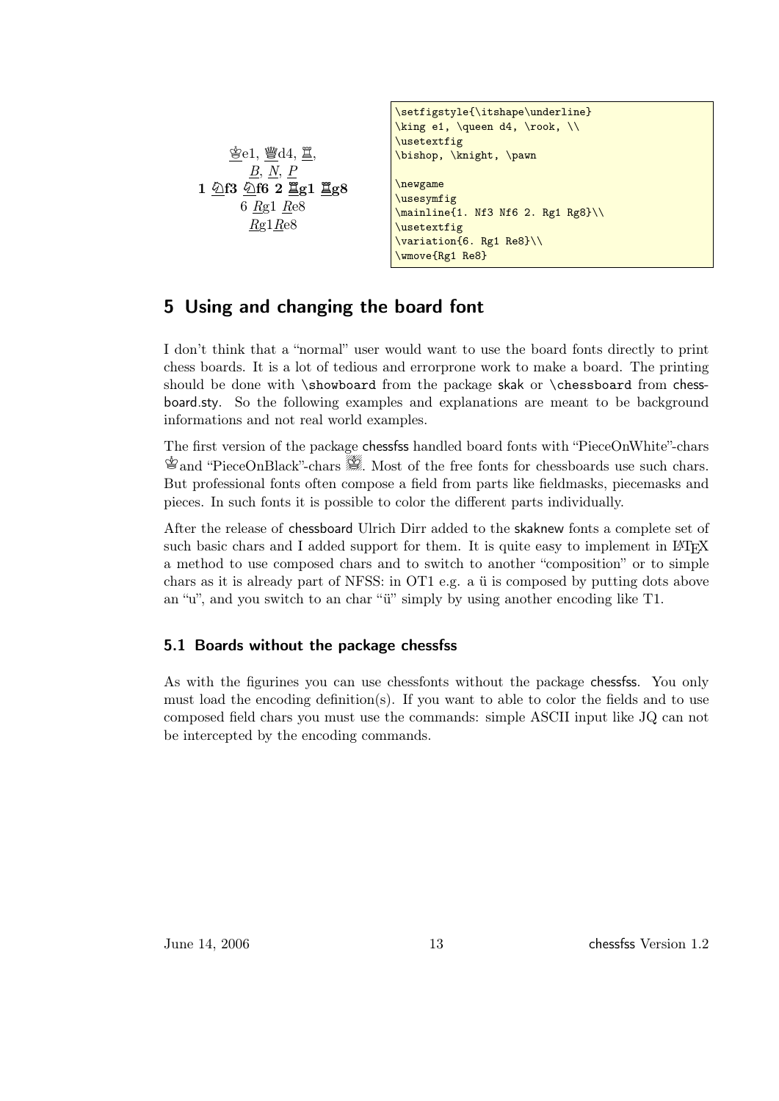```
\mathcal{E}e1, \mathcal{H}d4, 耳,
         B, N, P
1 Nf3 Nf6 2 Rg1 Rg8
       6 Rg1 Re8
        Rg1Re8\setfigstyle{\itshape\underline}
                                  \king e1, \queen d4, \rook, \\
                                  \usetextfig
                                  \bishop, \knight, \pawn
                                  \newgame
                                  \usesymfig
                                  \mainline{1. Nf3 Nf6 2. Rg1 Rg8}\\
                                  \usetextfig
                                  \variation{6. Rg1 Re8}\\
                                  \wmove{Rg1 Re8}
```
## <span id="page-12-0"></span>5 Using and changing the board font

I don't think that a "normal" user would want to use the board fonts directly to print chess boards. It is a lot of tedious and errorprone work to make a board. The printing should be done with \showboard from the package skak or \chessboard from chessboard.sty. So the following examples and explanations are meant to be background informations and not real world examples.

The first version of the package chessfss handled board fonts with "PieceOnWhite"-chars  $\mathcal{L}$  and "PieceOnBlack"-chars  $\mathcal{L}$ . Most of the free fonts for chessboards use such chars. But professional fonts often compose a field from parts like fieldmasks, piecemasks and pieces. In such fonts it is possible to color the different parts individually.

After the release of chessboard Ulrich Dirr added to the skaknew fonts a complete set of such basic chars and I added support for them. It is quite easy to implement in  $\mathbb{F}T_{\mathbb{F}}X$ a method to use composed chars and to switch to another "composition" or to simple chars as it is already part of NFSS: in OT1 e.g. a ü is composed by putting dots above an "u", and you switch to an char "ü" simply by using another encoding like T1.

#### <span id="page-12-1"></span>5.1 Boards without the package chessfss

As with the figurines you can use chessfonts without the package chessfss. You only must load the encoding definition(s). If you want to able to color the fields and to use composed field chars you must use the commands: simple ASCII input like JQ can not be intercepted by the encoding commands.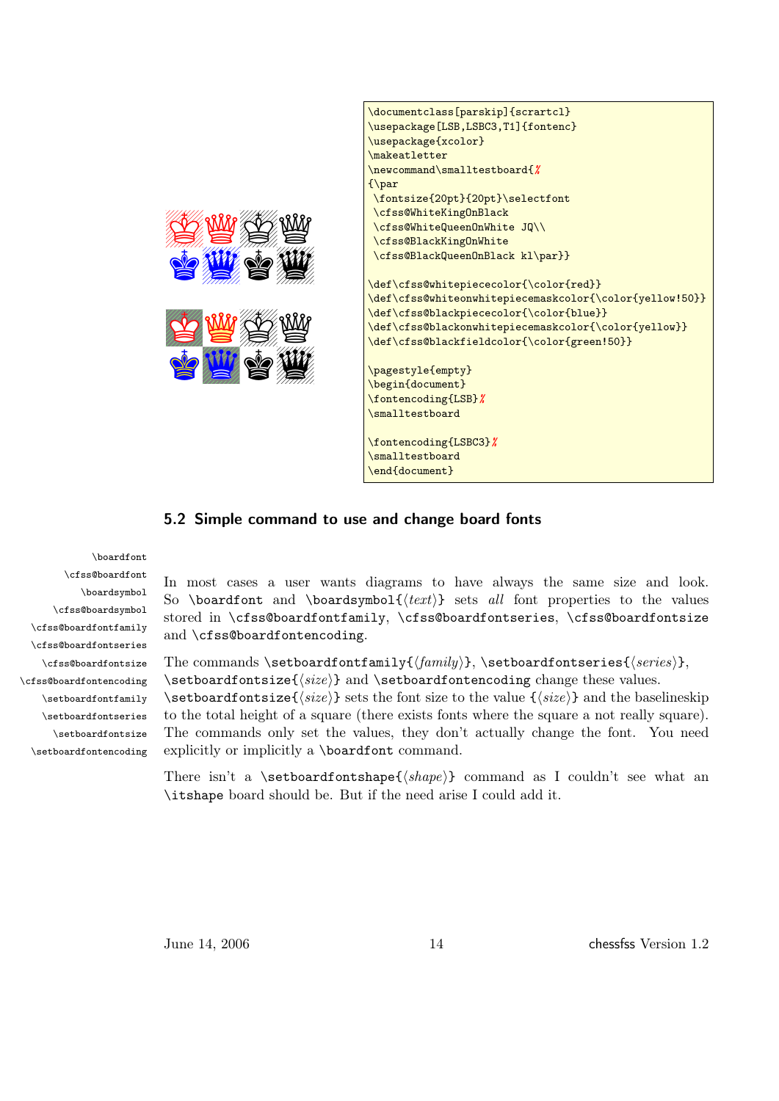



### <span id="page-13-0"></span>5.2 Simple command to use and change board fonts

\boardfont \cfss@boardfont \boardsymbol \cfss@boardsymbol \cfss@boardfontfamily \cfss@boardfontseries \cfss@boardfontsize \cfss@boardfontencoding \setboardfontfamily \setboardfontseries \setboardfontsize \setboardfontencoding

In most cases a user wants diagrams to have always the same size and look. So \boardfont and \boardsymbol{ $\text{\textless}$  sets all font properties to the values stored in \cfss@boardfontfamily, \cfss@boardfontseries, \cfss@boardfontsize and \cfss@boardfontencoding.

The commands \setboardfontfamily{ $\{family\}$ , \setboardfontseries{ $\{series\}$ ,  $\setminus$ setboardfontsize $\{\langle size \rangle\}$  and  $\setminus$ setboardfontencoding change these values.  $\setminus$ setboardfontsize $\{\langle size \rangle\}$  sets the font size to the value  $\{\langle size \rangle\}$  and the baselineskip to the total height of a square (there exists fonts where the square a not really square). The commands only set the values, they don't actually change the font. You need explicitly or implicitly a \boardfont command.

There isn't a \setboardfontshape{ $\{shape\}$  command as I couldn't see what an \itshape board should be. But if the need arise I could add it.

June 14, 2006 14 and 14 chessfss Version 1.2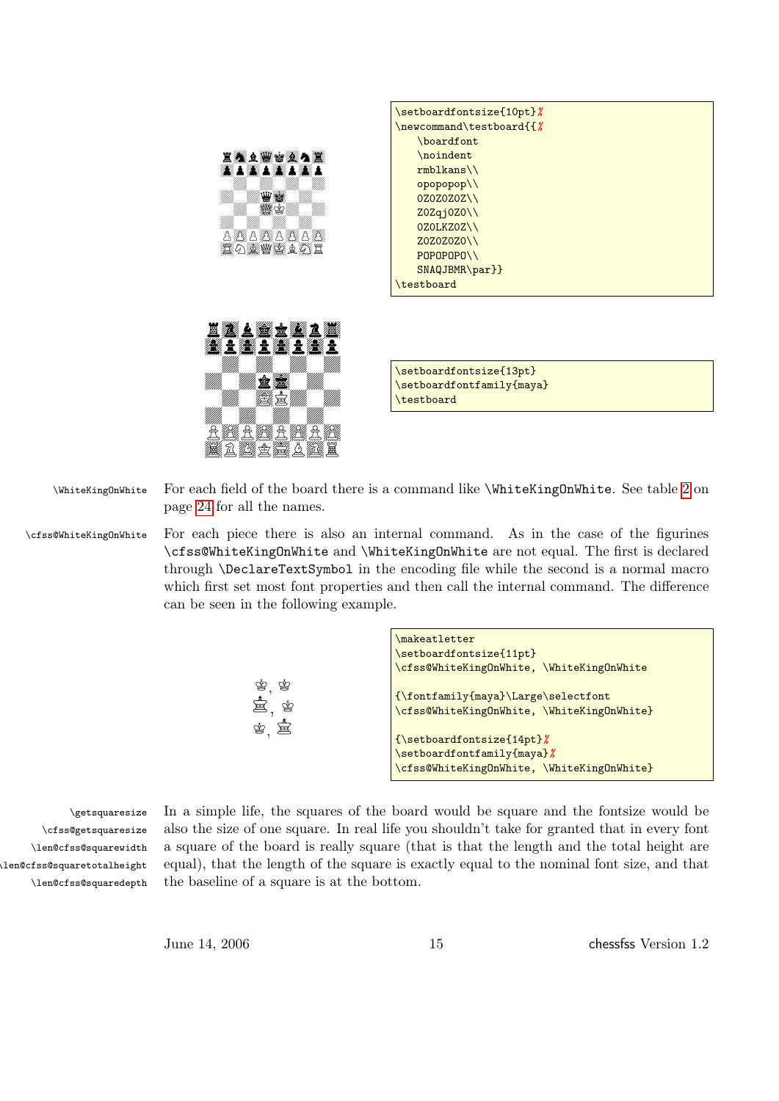|          | \setboardfontsize{10pt}%       |
|----------|--------------------------------|
|          | \newcommand\testboard{{%       |
|          | \boardfont                     |
| 耳楽文楽さ楽う宴 | \noindent                      |
|          | $rmblkans\backslash\backslash$ |
|          | opopopop\\                     |
|          | 0Z0Z0Z0Z\\                     |
|          | Z0Zqj0Z0\\                     |
|          | 0Z0LKZ0Z\\                     |
|          | Z0Z0Z0Z0\\                     |
|          | $POPOPOPO\\$                   |
|          | $SNAQJBMR\par{\}$              |
|          | \testboard                     |
|          |                                |



\setboardfontsize{13pt} \setboardfontfamily{maya} \testboard

\WhiteKingOnWhite For each field of the board there is a command like \WhiteKingOnWhite. See table [2](#page-23-0) on page [24](#page-23-0) for all the names.

\cfss@WhiteKingOnWhite For each piece there is also an internal command. As in the case of the figurines \cfss@WhiteKingOnWhite and \WhiteKingOnWhite are not equal. The first is declared through \DeclareTextSymbol in the encoding file while the second is a normal macro which first set most font properties and then call the internal command. The difference can be seen in the following example.

> 宫, 皆  $\dot{\Xi}$ ,  $\dot{\Psi}$  $^{\circledast}$ , 喜

| \makeatletter                                               |  |
|-------------------------------------------------------------|--|
| \setboardfontsize{11pt}                                     |  |
| \cfss@WhiteKingOnWhite, \WhiteKingOnWhite                   |  |
| {\fontfamily{maya}\Large\selectfont                         |  |
| \cfss@WhiteKingOnWhite, \WhiteKingOnWhite}                  |  |
| $\{\setminus \mathsf{setboardfontsize}\{\mathsf{14pt}\}\}\$ |  |
| \setboardfontfamily{maya}%                                  |  |
| \cfss@WhiteKingOnWhite, \WhiteKingOnWhite}                  |  |

\cfss@getsquaresize \len@cfss@squarewidth \len@cfss@squaretotalheight \len@cfss@squaredepth

\getsquaresize In a simple life, the squares of the board would be square and the fontsize would be also the size of one square. In real life you shouldn't take for granted that in every font a square of the board is really square (that is that the length and the total height are equal), that the length of the square is exactly equal to the nominal font size, and that the baseline of a square is at the bottom.

June 14, 2006 15 chessfss Version 1.2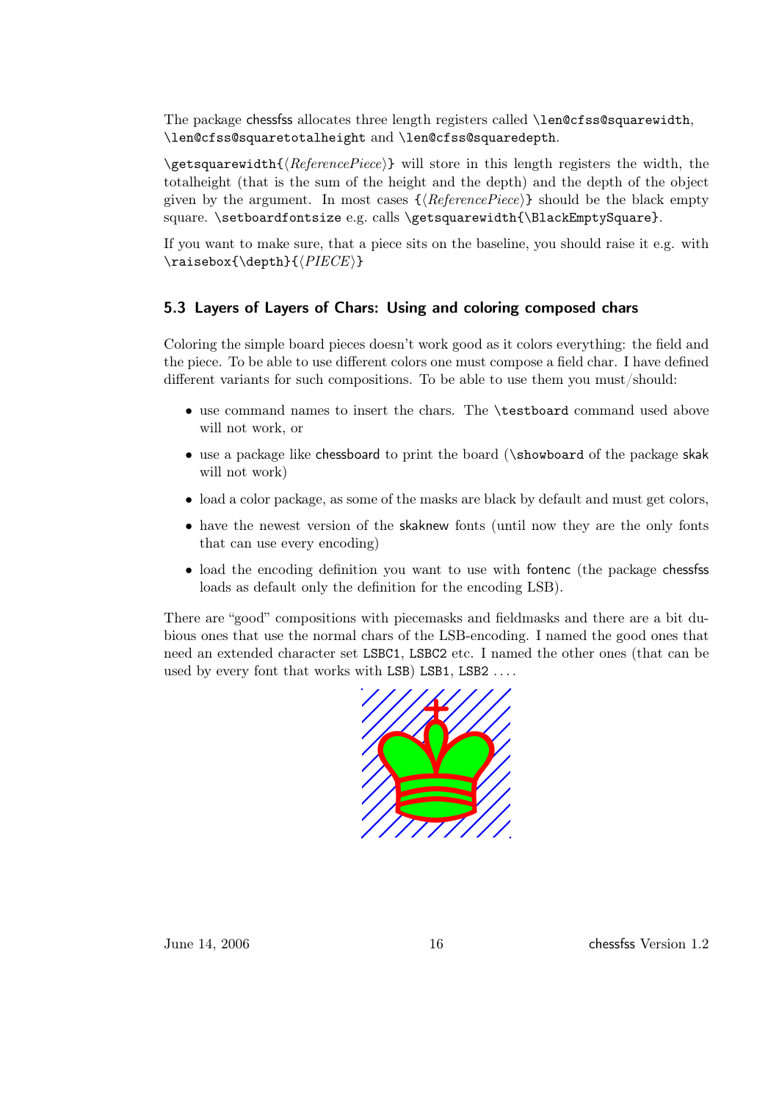The package chessfss allocates three length registers called \len@cfss@squarewidth, \len@cfss@squaretotalheight and \len@cfss@squaredepth.

 $\setminus$ getsquarewidth $\{ReferencePiece\}$  will store in this length registers the width, the totalheight (that is the sum of the height and the depth) and the depth of the object given by the argument. In most cases  $\{\langle ReferencePrice\rangle\}$  should be the black empty square. \setboardfontsize e.g. calls \getsquarewidth{\BlackEmptySquare}.

If you want to make sure, that a piece sits on the baseline, you should raise it e.g. with  $\mathcal{\doteq}$   $\{PIECE\}$ 

### <span id="page-15-0"></span>5.3 Layers of Layers of Chars: Using and coloring composed chars

Coloring the simple board pieces doesn't work good as it colors everything: the field and the piece. To be able to use different colors one must compose a field char. I have defined different variants for such compositions. To be able to use them you must/should:

- use command names to insert the chars. The \testboard command used above will not work, or
- use a package like chessboard to print the board (\showboard of the package skak will not work)
- load a color package, as some of the masks are black by default and must get colors,
- have the newest version of the skaknew fonts (until now they are the only fonts that can use every encoding)
- load the encoding definition you want to use with fontenc (the package chessfss loads as default only the definition for the encoding LSB).

There are "good" compositions with piecemasks and fieldmasks and there are a bit dubious ones that use the normal chars of the LSB-encoding. I named the good ones that need an extended character set LSBC1, LSBC2 etc. I named the other ones (that can be used by every font that works with LSB) LSB1, LSB2 ...

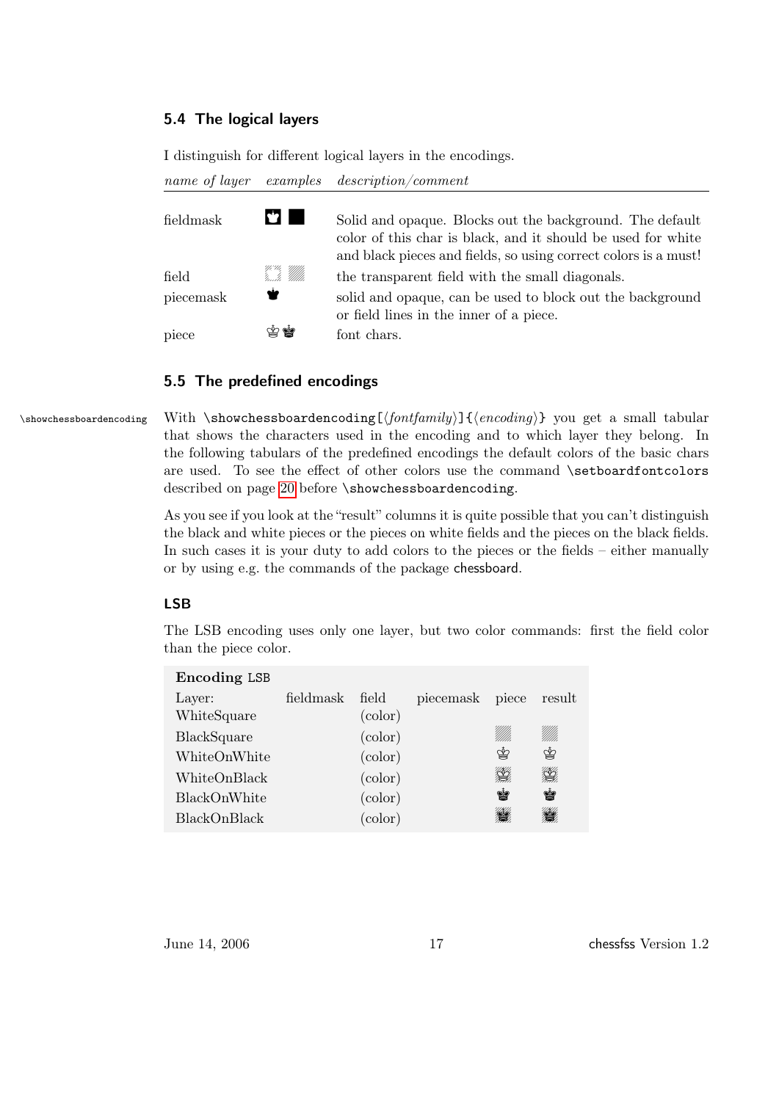#### <span id="page-16-0"></span>5.4 The logical layers

I distinguish for different logical layers in the encodings.

name of layer examples description/comment

| fieldmask      | 67 I                    | Solid and opaque. Blocks out the background. The default<br>color of this char is black, and it should be used for white |
|----------------|-------------------------|--------------------------------------------------------------------------------------------------------------------------|
|                |                         | and black pieces and fields, so using correct colors is a must!                                                          |
| $_{\rm field}$ | 97.99.<br>14. 14. Mille | the transparent field with the small diagonals.                                                                          |
| piecemask      | ₩                       | solid and opaque, can be used to block out the background<br>or field lines in the inner of a piece.                     |
| piece          | 南島                      | font chars.                                                                                                              |

#### <span id="page-16-1"></span>5.5 The predefined encodings

\showchessboardencoding With \showchessboardencoding[ $\langle \text{fontfamily} \rangle$ ]  $\{ \langle \text{encoding} \rangle \}$  you get a small tabular that shows the characters used in the encoding and to which layer they belong. In the following tabulars of the predefined encodings the default colors of the basic chars are used. To see the effect of other colors use the command \setboardfontcolors described on page [20](#page-19-0) before \showchessboardencoding.

> As you see if you look at the "result" columns it is quite possible that you can't distinguish the black and white pieces or the pieces on white fields and the pieces on the black fields. In such cases it is your duty to add colors to the pieces or the fields – either manually or by using e.g. the commands of the package chessboard.

#### LSB

The LSB encoding uses only one layer, but two color commands: first the field color than the piece color.

| Encoding LSB |           |                  |           |              |          |
|--------------|-----------|------------------|-----------|--------------|----------|
| Layer:       | fieldmask | field            | piecemask | piece        | result   |
| WhiteSquare  |           | $\text{(color)}$ |           |              |          |
| BlackSquare  |           | $\text{(color)}$ |           | VM).         | !!!!!!   |
| WhiteOnWhite |           | $\text{(color)}$ |           | ♔            | ♔        |
| WhiteOnBlack |           | $\text{(color)}$ |           | <b>RANTA</b> | <u>K</u> |
| BlackOnWhite |           | $\text{(color)}$ |           | ė            | ė        |
| BlackOnBlack |           | $\text{(color)}$ |           | <b>SKI</b>   |          |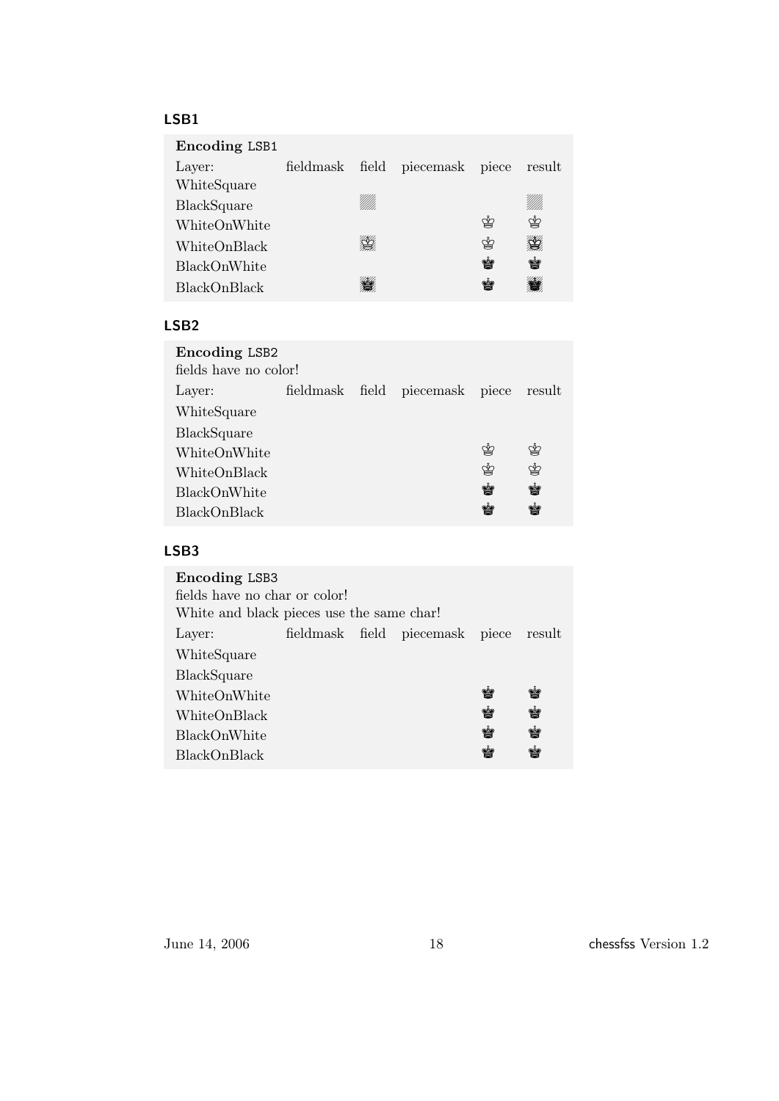#### LSB1

| Encoding LSB1      |           |     |                       |   |        |
|--------------------|-----------|-----|-----------------------|---|--------|
| Layer:             | fieldmask |     | field piecemask piece |   | result |
| WhiteSquare        |           |     |                       |   |        |
| <b>BlackSquare</b> |           | WM. |                       |   |        |
| WhiteOnWhite       |           |     |                       | ⋭ | ♔      |
| WhiteOnBlack       |           |     |                       | ♔ |        |
| BlackOnWhite       |           |     |                       | Ý | ý      |
| BlackOnBlack       |           |     |                       | Ý |        |
|                    |           |     |                       |   |        |

### LSB2

| Encoding LSB2         |  |  |                                        |   |   |  |
|-----------------------|--|--|----------------------------------------|---|---|--|
| fields have no color! |  |  |                                        |   |   |  |
| Layer:                |  |  | fieldmask field piecemask piece result |   |   |  |
| WhiteSquare           |  |  |                                        |   |   |  |
| <b>BlackSquare</b>    |  |  |                                        |   |   |  |
| WhiteOnWhite          |  |  |                                        | ♔ | ≌ |  |
| WhiteOnBlack          |  |  |                                        | ♔ | ♔ |  |
| <b>BlackOnWhite</b>   |  |  |                                        | ė | ė |  |
| BlackOnBlack          |  |  |                                        |   | ¥ |  |
|                       |  |  |                                        |   |   |  |

### LSB3

| Encoding LSB3                 |                                           |  |                                        |   |    |
|-------------------------------|-------------------------------------------|--|----------------------------------------|---|----|
| fields have no char or color! |                                           |  |                                        |   |    |
|                               | White and black pieces use the same char! |  |                                        |   |    |
| Layer:                        |                                           |  | fieldmask field piecemask piece result |   |    |
| WhiteSquare                   |                                           |  |                                        |   |    |
| <b>BlackSquare</b>            |                                           |  |                                        |   |    |
| WhiteOnWhite                  |                                           |  |                                        | y | ¥  |
| WhiteOnBlack                  |                                           |  |                                        | ė | ė  |
| <b>BlackOnWhite</b>           |                                           |  |                                        | Ý | Ý  |
| <b>BlackOnBlack</b>           |                                           |  |                                        | ý | Ý. |
|                               |                                           |  |                                        |   |    |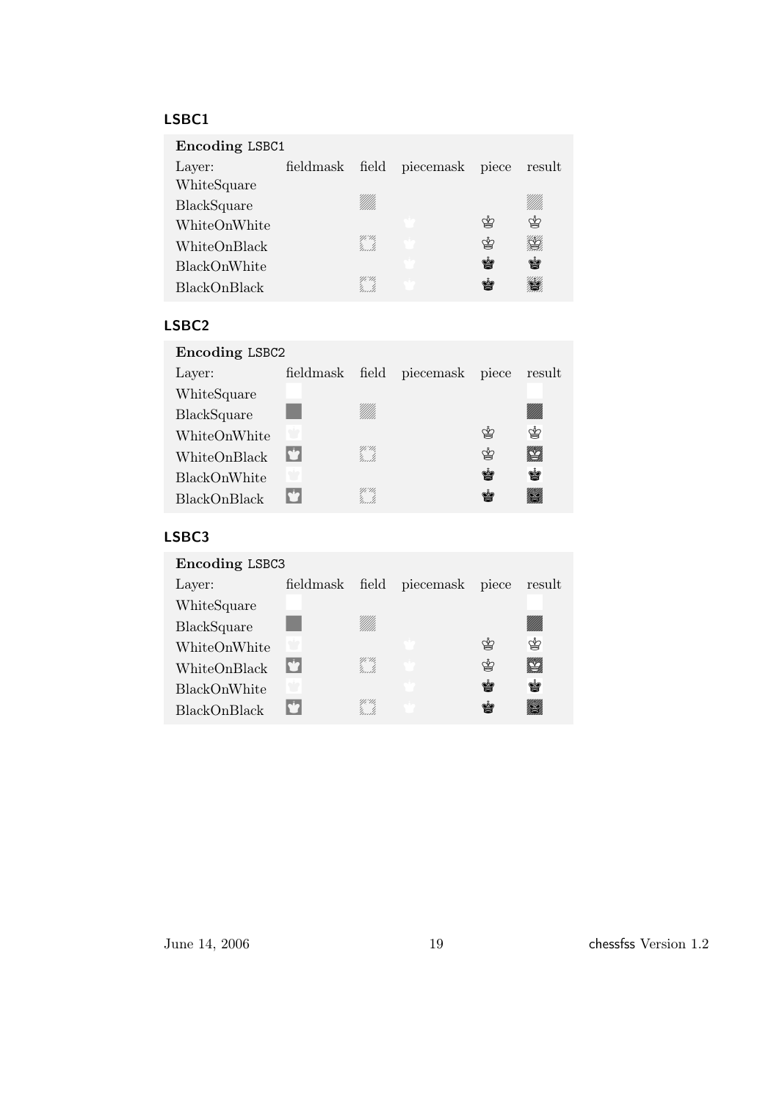#### LSBC1

| Encoding LSBC1 |           |      |                 |       |        |
|----------------|-----------|------|-----------------|-------|--------|
| Layer:         | fieldmask |      | field piecemask | piece | result |
| WhiteSquare    |           |      |                 |       |        |
| BlackSquare    |           | VM). |                 |       |        |
| WhiteOnWhite   |           |      |                 | ≌     | ≌      |
| WhiteOnBlack   |           |      |                 | ♔     |        |
| BlackOnWhite   |           |      |                 | Ý     | Ý      |
| BlackOnBlack   |           |      |                 | Ý     |        |
|                |           |      |                 |       |        |

#### LSBC2

| Encoding LSBC2      |                        |              |                 |       |        |
|---------------------|------------------------|--------------|-----------------|-------|--------|
| Layer:              | fieldmask              |              | field piecemask | piece | result |
| WhiteSquare         |                        |              |                 |       |        |
| BlackSquare         |                        |              |                 |       |        |
| WhiteOnWhite        |                        |              |                 | ≌     | ♔      |
| WhiteOnBlack        | $\mathbf{C}^{\bullet}$ | Yi II,<br>'i |                 | ♔     | \$     |
| BlackOnWhite        |                        |              |                 | ė     | Ý      |
| <b>BlackOnBlack</b> |                        | Yi Ui<br>!   |                 |       |        |

### LSBC3

| Encoding LSBC3 |                           |                |                 |       |              |
|----------------|---------------------------|----------------|-----------------|-------|--------------|
| Layer:         | fieldmask                 |                | field piecemask | piece | result       |
| WhiteSquare    |                           |                |                 |       |              |
| BlackSquare    |                           |                |                 |       |              |
| WhiteOnWhite   |                           |                |                 | ♔     | ♔            |
| WhiteOnBlack   | $\mathbf{r}^{\mathbf{t}}$ | YiU,<br>''un'h |                 | ♔     | $\mathbb{Z}$ |
| BlackOnWhite   |                           |                |                 | ė     | Ý            |
| BlackOnBlack   | N2                        |                |                 | Ý     |              |
|                |                           |                |                 |       |              |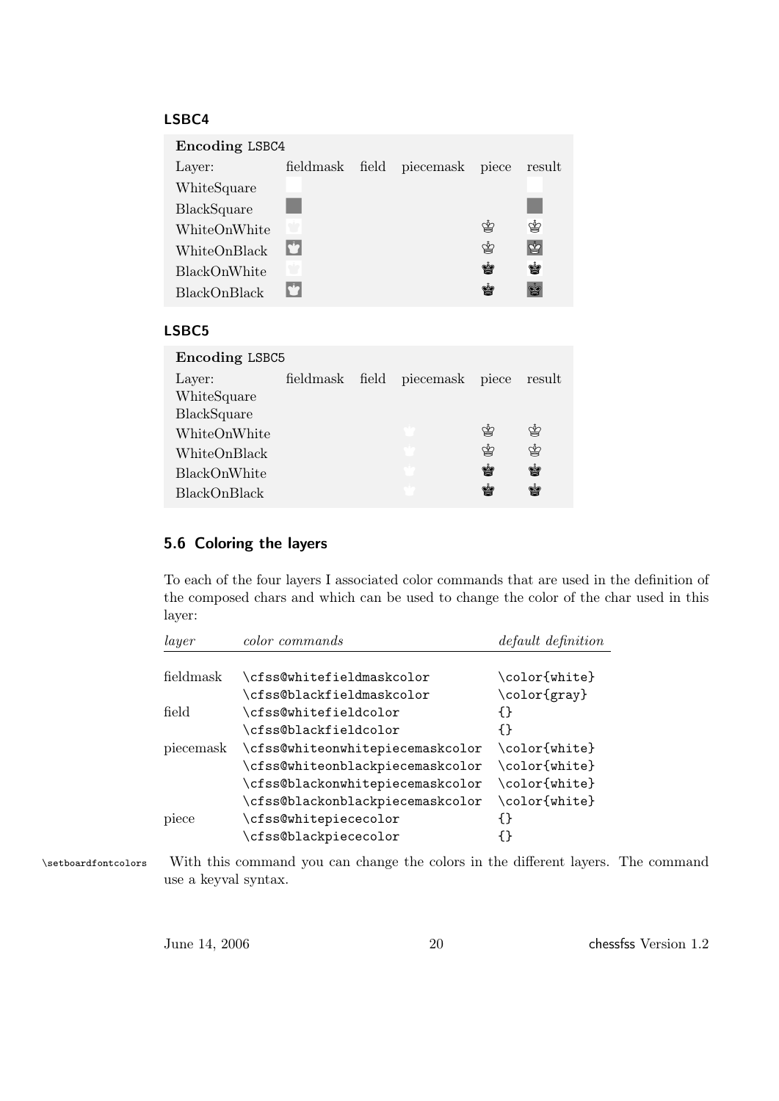#### LSBC4

| Encoding LSBC4 |              |  |                 |       |        |
|----------------|--------------|--|-----------------|-------|--------|
| Layer:         | fieldmask    |  | field piecemask | piece | result |
| WhiteSquare    |              |  |                 |       |        |
| BlackSquare    |              |  |                 |       |        |
| WhiteOnWhite   |              |  |                 | ≌     | ♔      |
| WhiteOnBlack   | $\mathbf{r}$ |  |                 | ♔     | ♔      |
| BlackOnWhite   | Ŵ            |  |                 | Ý     | ė      |
| BlackOnBlack   |              |  |                 | ¥     | Ý      |

#### LSBC5

| <b>Encoding LSBC5</b> |  |  |                                 |   |        |  |
|-----------------------|--|--|---------------------------------|---|--------|--|
| Layer:                |  |  | fieldmask field piecemask piece |   | result |  |
| WhiteSquare           |  |  |                                 |   |        |  |
| BlackSquare           |  |  |                                 |   |        |  |
| WhiteOnWhite          |  |  |                                 | ≌ | ♔      |  |
| WhiteOnBlack          |  |  |                                 | ≌ | ♔      |  |
| BlackOnWhite          |  |  |                                 | Ý | Ý      |  |
| BlackOnBlack          |  |  |                                 | M | Ý      |  |
|                       |  |  |                                 |   |        |  |

#### <span id="page-19-0"></span>5.6 Coloring the layers

To each of the four layers I associated color commands that are used in the definition of the composed chars and which can be used to change the color of the char used in this layer:

| layer     | color commands                   | default definition |
|-----------|----------------------------------|--------------------|
|           |                                  |                    |
| fieldmask | \cfss@whitefieldmaskcolor        | \color{white}      |
|           | \cfss@blackfieldmaskcolor        | \color{gray}       |
| field     | \cfss@whitefieldcolor            | {}                 |
|           | \cfss@blackfieldcolor            | ብ የ                |
| piecemask | \cfss@whiteonwhitepiecemaskcolor | \color{white}      |
|           | \cfss@whiteonblackpiecemaskcolor | \color{white}      |
|           | \cfss@blackonwhitepiecemaskcolor | \color{white}      |
|           | \cfss@blackonblackpiecemaskcolor | \color{white}      |
| piece     | \cfss@whitepiececolor            |                    |
|           | \cfss@blackpiececolor            |                    |

\setboardfontcolors With this command you can change the colors in the different layers. The command use a keyval syntax.

June 14, 2006 20 chessfss Version 1.2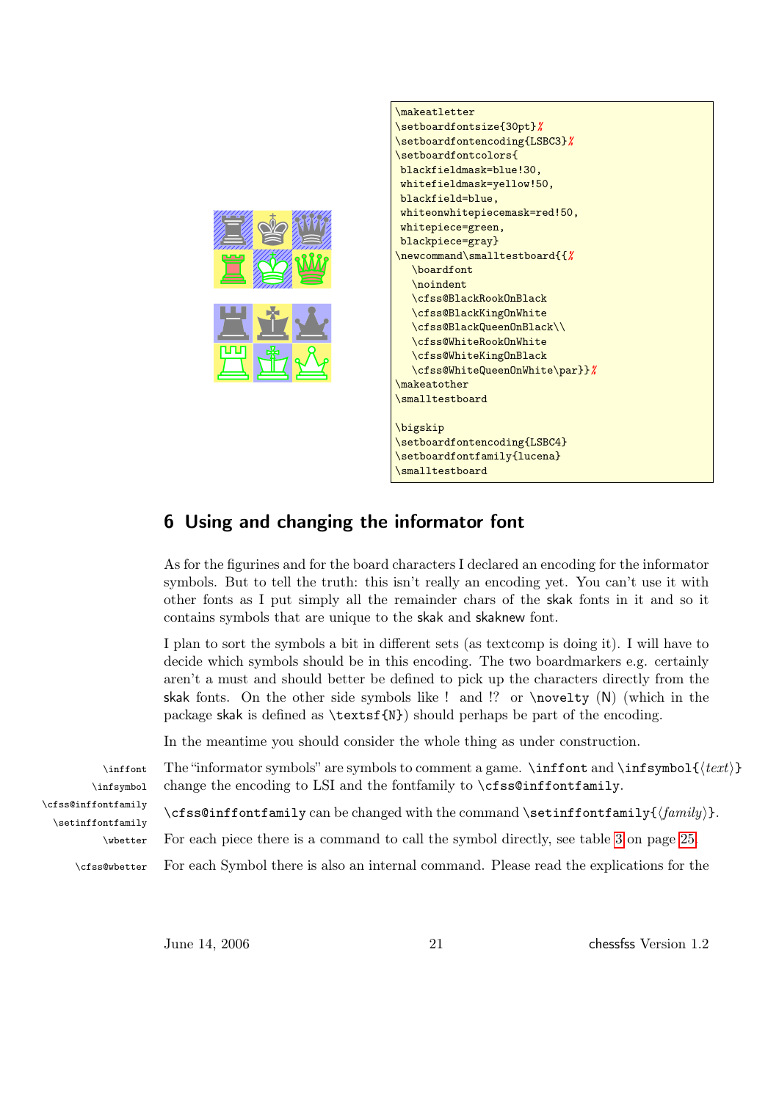

## <span id="page-20-0"></span>6 Using and changing the informator font

As for the figurines and for the board characters I declared an encoding for the informator symbols. But to tell the truth: this isn't really an encoding yet. You can't use it with other fonts as I put simply all the remainder chars of the skak fonts in it and so it contains symbols that are unique to the skak and skaknew font.

I plan to sort the symbols a bit in different sets (as textcomp is doing it). I will have to decide which symbols should be in this encoding. The two boardmarkers e.g. certainly aren't a must and should better be defined to pick up the characters directly from the skak fonts. On the other side symbols like ! and !? or  $\n\cdot \n\cdot \n(N)$  (which in the package skak is defined as  $\text{textfN}$  should perhaps be part of the encoding.

In the meantime you should consider the whole thing as under construction.

\infsymbol \cfss@inffontfamily \setinffontfamily

\inffont The "informator symbols" are symbols to comment a game.  $\inf$ font and  $\inf$ symbol $\{\langle text \rangle\}$ change the encoding to LSI and the fontfamily to \cfss@inffontfamily.

\cfss@inffontfamily can be changed with the command \setinffontfamily{ $\{family\}$ .

\wbetter For each piece there is a command to call the symbol directly, see table [3](#page-24-0) on page [25.](#page-24-0)

\cfss@wbetter For each Symbol there is also an internal command. Please read the explications for the

June 14, 2006 21 chessfss Version 1.2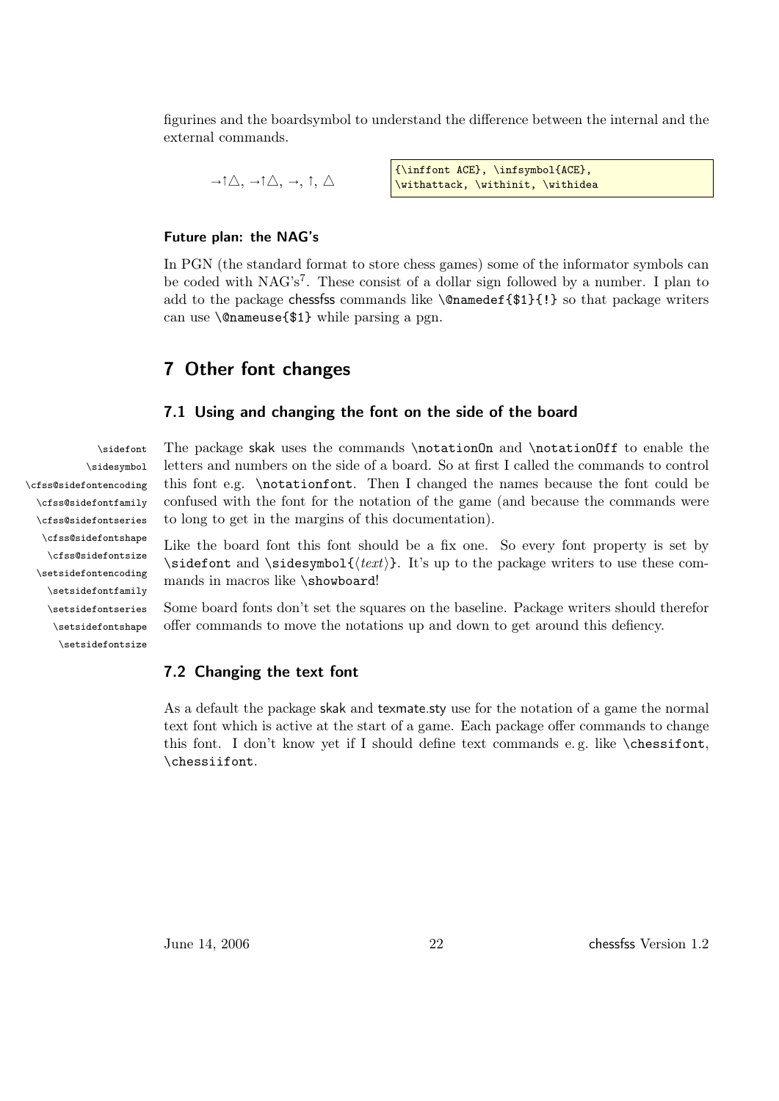figurines and the boardsymbol to understand the difference between the internal and the external commands.

 $\rightarrow \uparrow \triangle$ ,  $\rightarrow \uparrow \triangle$ ,  $\rightarrow$ ,  $\uparrow$ ,  $\triangle$ {\inffont ACE}, \infsymbol{ACE}, \withattack, \withinit, \withidea

#### Future plan: the NAG's

In PGN (the standard format to store chess games) some of the informator symbols can be coded with NAG's<sup>7</sup>. These consist of a dollar sign followed by a number. I plan to add to the package chessfss commands like \@namedef{\$1}{!} so that package writers can use \@nameuse{\$1} while parsing a pgn.

### <span id="page-21-0"></span>7 Other font changes

#### <span id="page-21-1"></span>7.1 Using and changing the font on the side of the board

\sidefont The package skak uses the commands \notationOn and \notationOff to enable the letters and numbers on the side of a board. So at first I called the commands to control this font e.g. \notationfont. Then I changed the names because the font could be confused with the font for the notation of the game (and because the commands were to long to get in the margins of this documentation).

> Like the board font this font should be a fix one. So every font property is set by \sidefont and \sidesymbol{ $\text{text}}$ . It's up to the package writers to use these commands in macros like \showboard!

> Some board fonts don't set the squares on the baseline. Package writers should therefor offer commands to move the notations up and down to get around this defiency.

#### <span id="page-21-2"></span>7.2 Changing the text font

As a default the package skak and texmate.sty use for the notation of a game the normal text font which is active at the start of a game. Each package offer commands to change this font. I don't know yet if I should define text commands e. g. like \chessifont, \chessiifont.

\sidesymbol \cfss@sidefontencoding \cfss@sidefontfamily \cfss@sidefontseries \cfss@sidefontshape \cfss@sidefontsize \setsidefontencoding \setsidefontfamily \setsidefontseries \setsidefontshape \setsidefontsize

June 14, 2006 22 chessfss Version 1.2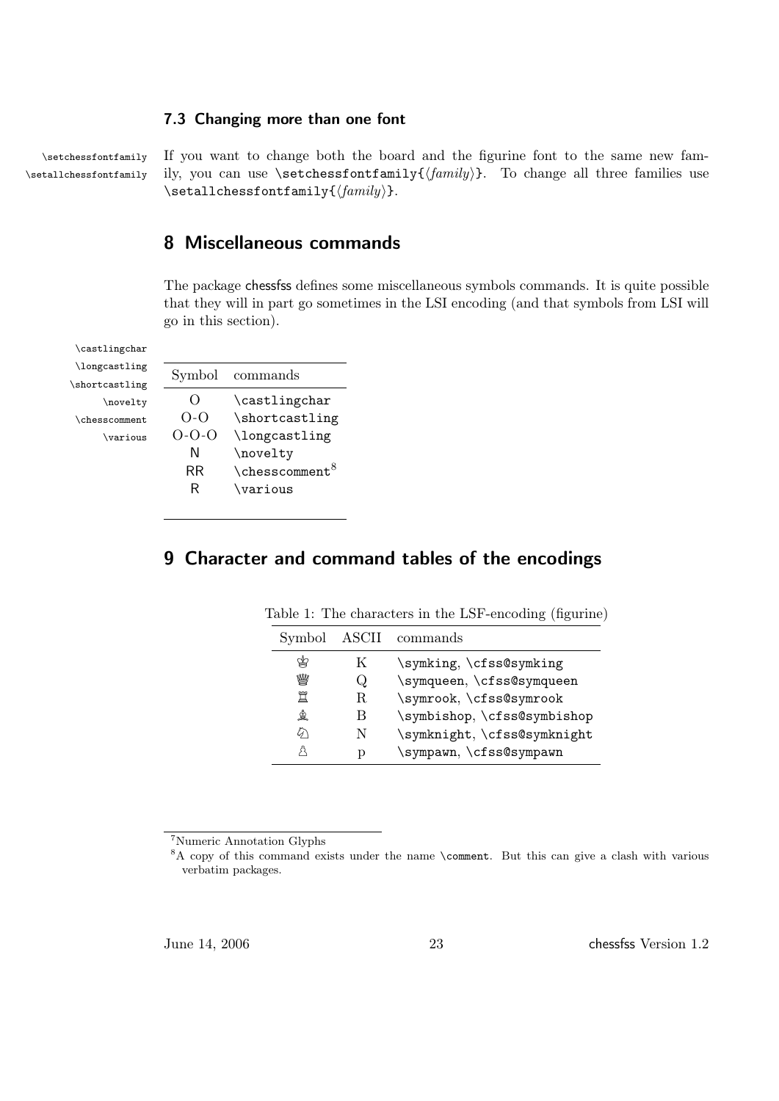#### <span id="page-22-0"></span>7.3 Changing more than one font

\setchessfontfamily If you want to change both the board and the figurine font to the same new fam- \setallchessfontfamily ily, you can use \setchessfontfamily{ $\{family \}$ . To change all three families use  $\setminus$ setallchessfontfamily $\{\frac{mily}{\}$ .

### <span id="page-22-1"></span>8 Miscellaneous commands

The package chessfss defines some miscellaneous symbols commands. It is quite possible that they will in part go sometimes in the LSI encoding (and that symbols from LSI will go in this section).

\castlingchar \longcastling \shortcastling \novelty \chesscomment \various

| Symbol             | commands                   |
|--------------------|----------------------------|
| $\left( \ \right)$ | \castlingchar              |
| $O-O$              | \shortcastling             |
| $0 - 0 - 0$        | \longcastling              |
| Ν                  | \novelty                   |
| RR                 | \chesscomment <sup>8</sup> |
| R                  | \various                   |
|                    |                            |

## <span id="page-22-3"></span><span id="page-22-2"></span>9 Character and command tables of the encodings

<span id="page-22-4"></span>

| Symbol | ASCII | commands                    |
|--------|-------|-----------------------------|
|        | K     | \symking, \cfss@symking     |
| ₩      | Q     | \symqueen, \cfss@symqueen   |
| 罝      | R.    | \symrook, \cfss@symrook     |
| ☝      | B     | \symbishop, \cfss@symbishop |
| ଜ      | N     | \symknight, \cfss@symknight |
|        | р     | \sympawn, \cfss@sympawn     |

Table 1: The characters in the LSF-encoding (figurine)

<sup>7</sup>Numeric Annotation Glyphs

<sup>&</sup>lt;sup>8</sup>A copy of this command exists under the name \comment. But this can give a clash with various verbatim packages.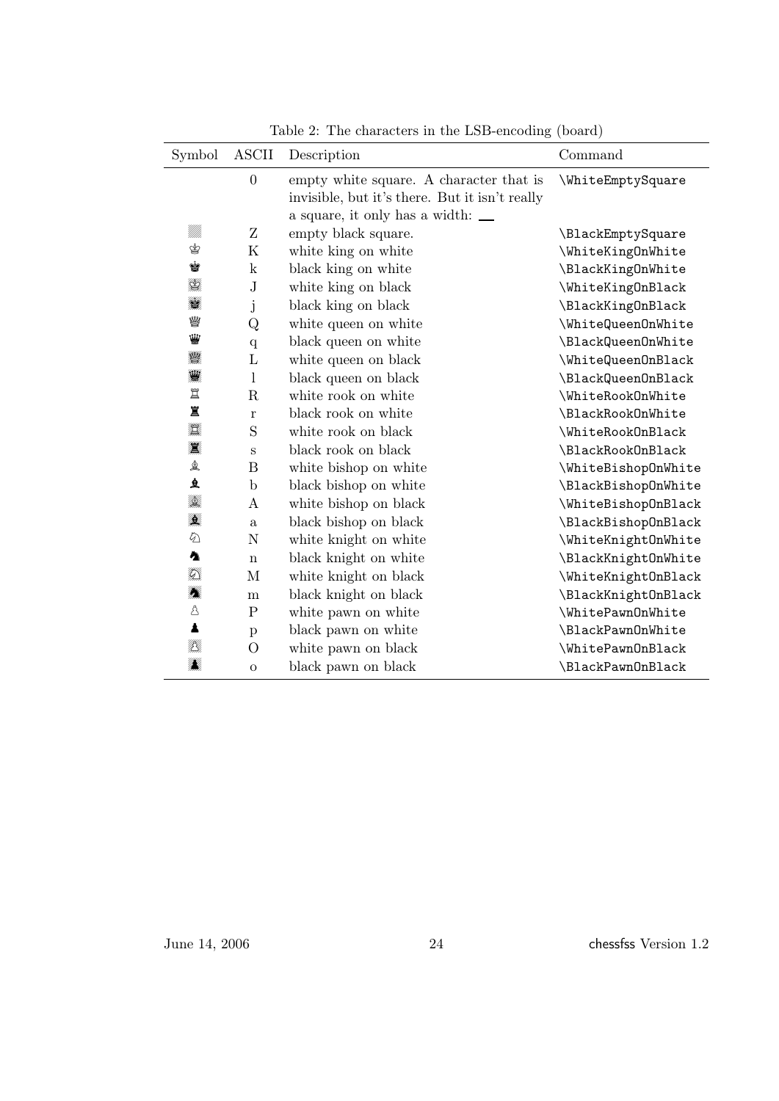| Symbol             | <b>ASCII</b>     | Description                                    | Command             |
|--------------------|------------------|------------------------------------------------|---------------------|
|                    | $\overline{0}$   | empty white square. A character that is        | \WhiteEmptySquare   |
|                    |                  | invisible, but it's there. But it isn't really |                     |
|                    |                  | a square, it only has a width: $\_\_$          |                     |
| MM.                | Z                | empty black square.                            | \BlackEmptySquare   |
| ♔                  | $\rm K$          | white king on white                            | \WhiteKingOnWhite   |
| Ý                  | $\mathbf k$      | black king on white                            | \BlackKingOnWhite   |
| KA.                | ${\bf J}$        | white king on black                            | \WhiteKingOnBlack   |
| T                  | j                | black king on black                            | \BlackKingOnBlack   |
| ₩                  | Q                | white queen on white                           | \WhiteQueenOnWhite  |
| ₩                  | $\mathbf{q}$     | black queen on white                           | \BlackQueenOnWhite  |
| 瓣                  | $\Gamma$         | white queen on black                           | \WhiteQueenOnBlack  |
| 鸑                  | $\mathbf{l}$     | black queen on black                           | \BlackQueenOnBlack  |
| 罝                  | $\mathbf R$      | white rook on white                            | \WhiteRookOnWhite   |
| 罝                  | $\bf r$          | black rook on white                            | \BlackRookOnWhite   |
| $\sum_{i=1}^{n-1}$ | S                | white rook on black                            | \WhiteRookOnBlack   |
| 灙                  | S                | black rook on black                            | \BlackRookOnBlack   |
| 鱼                  | $\bf{B}$         | white bishop on white                          | \WhiteBishopOnWhite |
| 鱼                  | $\mathbf b$      | black bishop on white                          | \BlackBishopOnWhite |
| A<br>T             | $\boldsymbol{A}$ | white bishop on black                          | \WhiteBishopOnBlack |
| William            | a                | black bishop on black                          | \BlackBishopOnBlack |
| $\varphi$          | ${\bf N}$        | white knight on white                          | \WhiteKnightOnWhite |
| Ą                  | $\mathbf n$      | black knight on white                          | \BlackKnightOnWhite |
| HK.                | M                | white knight on black                          | \WhiteKnightOnBlack |
| XX                 | m                | black knight on black                          | \BlackKnightOnBlack |
| Å                  | ${\bf P}$        | white pawn on white                            | \WhitePawnOnWhite   |
| $\blacktriangle$   | $\mathbf{p}$     | black pawn on white                            | \BlackPawnOnWhite   |
| NG<br>T            | $\overline{O}$   | white pawn on black                            | \WhitePawnOnBlack   |
| N<br>Ma            | $\mathbf O$      | black pawn on black                            | \BlackPawn0nBlack   |

<span id="page-23-0"></span>Table 2: The characters in the LSB-encoding (board)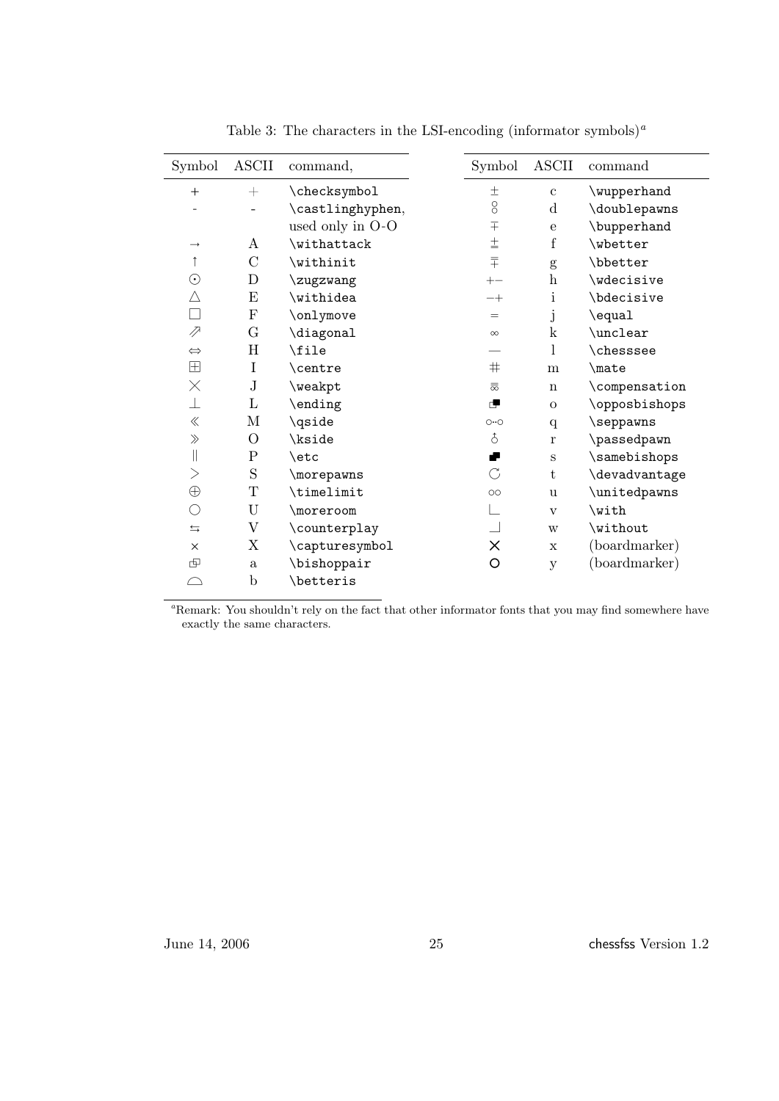| Symbol             | <b>ASCII</b>              | command,         | Symbol                         | <b>ASCII</b>              | command       |
|--------------------|---------------------------|------------------|--------------------------------|---------------------------|---------------|
| $^{+}$             | $^{+}$                    | \checksymbol     | $\pm$                          | $\mathbf c$               | \wupperhand   |
|                    |                           | \castlinghyphen, | $\overline{O}$                 | $\mathbf d$               | \doublepawns  |
|                    |                           | used only in O-O | $\overline{+}$                 | e                         | \bupperhand   |
| $\rightarrow$      | A                         | \withattack      | $\pm$                          | f                         | \wbetter      |
|                    | $\mathcal{C}$             | \withinit        | $\overline{+}$                 | g                         | \bbetter      |
| $\odot$            | $\mathbf D$               | \zugzwang        | $+-$                           | $\boldsymbol{\mathrm{h}}$ | \wdecisive    |
| Δ                  | E                         | \withidea        | $-+$                           | i                         | \bdecisive    |
| $\Box$             | $\mathbf{F}$              | \onlymove        | $=$                            | j                         | \equal        |
| ⇗                  | G                         | \diagonal        | $\infty$                       | $\mathbf k$               | \unclear      |
| $\Leftrightarrow$  | H                         | \file            |                                | 1                         | \chesssee     |
| $\boxplus$         | I                         | \centre          | $\#$                           | m                         | \mate         |
| $\times$           | $\rm J$                   | \weakpt          | $\overline{\overline{\infty}}$ | $\mathbf n$               | \compensation |
| ⊥                  | L                         | \ending          | æ                              | $\overline{O}$            | \opposbishops |
| $\ll$              | M                         | \qside           | $O \cdot O$                    | q                         | \seppawns     |
| $\gg$              | $\mathcal{O}$             | \kside           | δ                              | $\bf r$                   | \passedpawn   |
| $\vert\vert$       | $\mathbf P$               | \etc             | ₽                              | $\rm S$                   | \samebishops  |
| $\rm{>}$           | S                         | \morepawns       | $\mathcal{C}$                  | t                         | \devadvantage |
| $\oplus$           | $\mathbf T$               | \timelimit       | $\circ$                        | <b>u</b>                  | \unitedpawns  |
| О                  | U                         | \moreroom        | $\overline{\phantom{a}}$       | $\mathbf{V}$              | \with         |
| $\leftrightarrows$ | $\boldsymbol{\mathrm{V}}$ | \counterplay     |                                | W                         | \without      |
| $\times$           | X                         | \capturesymbol   | $\times$                       | $\mathbf x$               | (boardmarker) |
| 呾                  | $\mathbf{a}$              | \bishoppair      | O                              | y                         | (boardmarker) |
| $\curvearrowright$ | $\mathbf b$               | \betteris        |                                |                           |               |

<span id="page-24-0"></span>Table 3: The characters in the LSI-encoding (informator symbols)<sup>*a*</sup>

<sup>a</sup>Remark: You shouldn't rely on the fact that other informator fonts that you may find somewhere have exactly the same characters.

June 14, 2006 25 chessfss Version 1.2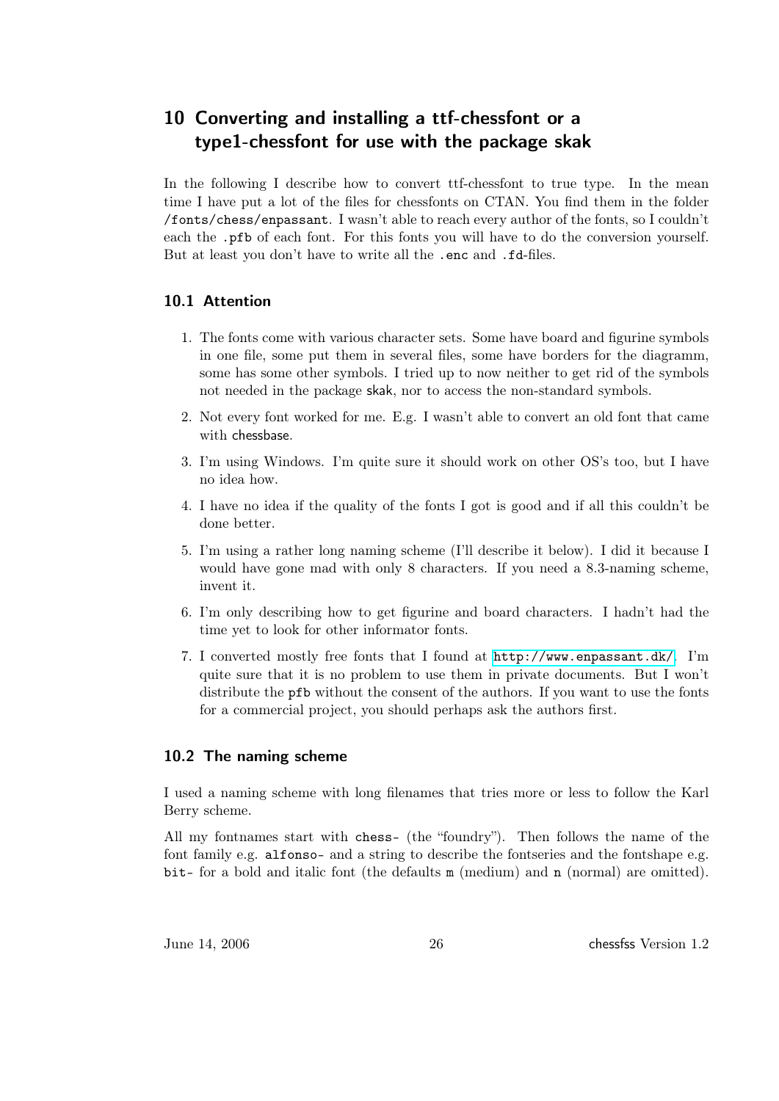## <span id="page-25-0"></span>10 Converting and installing a ttf-chessfont or a type1-chessfont for use with the package skak

In the following I describe how to convert ttf-chessfont to true type. In the mean time I have put a lot of the files for chessfonts on CTAN. You find them in the folder /fonts/chess/enpassant. I wasn't able to reach every author of the fonts, so I couldn't each the .pfb of each font. For this fonts you will have to do the conversion yourself. But at least you don't have to write all the .enc and .fd-files.

#### <span id="page-25-1"></span>10.1 Attention

- 1. The fonts come with various character sets. Some have board and figurine symbols in one file, some put them in several files, some have borders for the diagramm, some has some other symbols. I tried up to now neither to get rid of the symbols not needed in the package skak, nor to access the non-standard symbols.
- 2. Not every font worked for me. E.g. I wasn't able to convert an old font that came with chessbase.
- 3. I'm using Windows. I'm quite sure it should work on other OS's too, but I have no idea how.
- 4. I have no idea if the quality of the fonts I got is good and if all this couldn't be done better.
- 5. I'm using a rather long naming scheme (I'll describe it below). I did it because I would have gone mad with only 8 characters. If you need a 8.3-naming scheme, invent it.
- 6. I'm only describing how to get figurine and board characters. I hadn't had the time yet to look for other informator fonts.
- 7. I converted mostly free fonts that I found at <http://www.enpassant.dk/>. I'm quite sure that it is no problem to use them in private documents. But I won't distribute the pfb without the consent of the authors. If you want to use the fonts for a commercial project, you should perhaps ask the authors first.

#### <span id="page-25-2"></span>10.2 The naming scheme

I used a naming scheme with long filenames that tries more or less to follow the Karl Berry scheme.

All my fontnames start with chess- (the "foundry"). Then follows the name of the font family e.g. alfonso- and a string to describe the fontseries and the fontshape e.g. bit- for a bold and italic font (the defaults m (medium) and n (normal) are omitted).

June 14, 2006 26 chessfss Version 1.2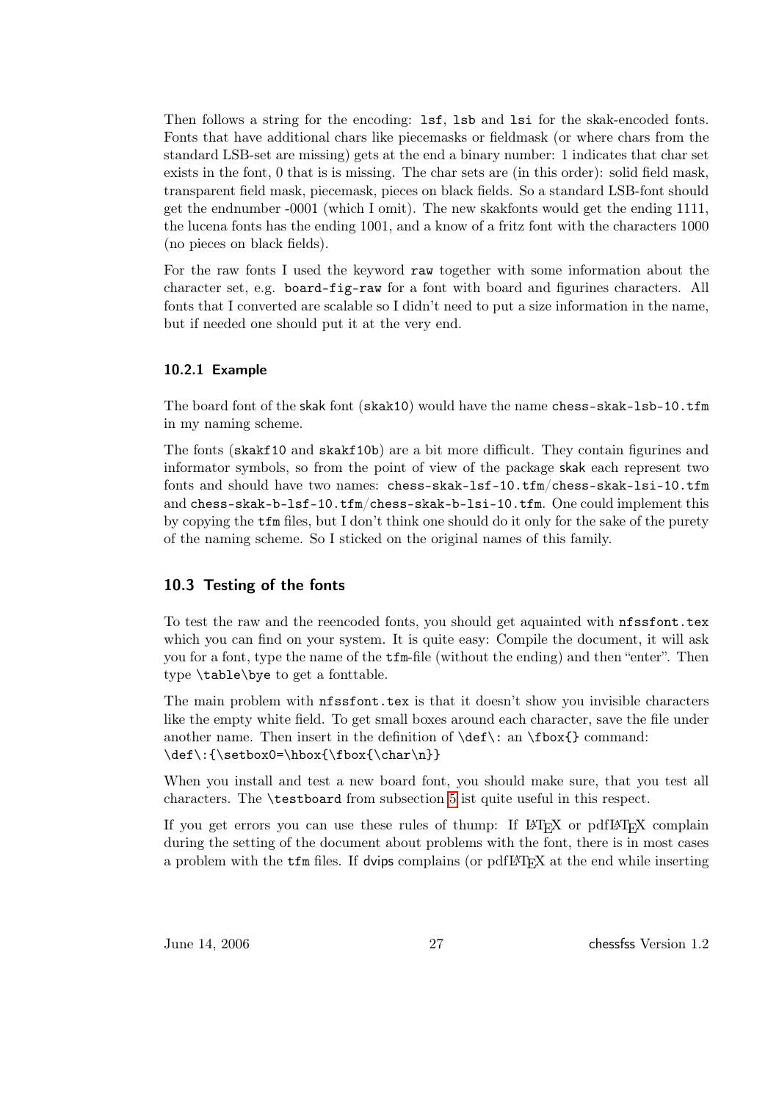Then follows a string for the encoding:  $1sf$ ,  $1sb$  and  $1si$  for the skak-encoded fonts. Fonts that have additional chars like piecemasks or fieldmask (or where chars from the standard LSB-set are missing) gets at the end a binary number: 1 indicates that char set exists in the font, 0 that is is missing. The char sets are (in this order): solid field mask, transparent field mask, piecemask, pieces on black fields. So a standard LSB-font should get the endnumber -0001 (which I omit). The new skakfonts would get the ending 1111, the lucena fonts has the ending 1001, and a know of a fritz font with the characters 1000 (no pieces on black fields).

For the raw fonts I used the keyword raw together with some information about the character set, e.g. board-fig-raw for a font with board and figurines characters. All fonts that I converted are scalable so I didn't need to put a size information in the name, but if needed one should put it at the very end.

#### <span id="page-26-0"></span>10.2.1 Example

The board font of the skak font (skak10) would have the name chess-skak-lsb-10.tfm in my naming scheme.

The fonts (skakf10 and skakf10b) are a bit more difficult. They contain figurines and informator symbols, so from the point of view of the package skak each represent two fonts and should have two names: chess-skak-lsf-10.tfm/chess-skak-lsi-10.tfm and chess-skak-b-lsf-10.tfm/chess-skak-b-lsi-10.tfm. One could implement this by copying the tfm files, but I don't think one should do it only for the sake of the purety of the naming scheme. So I sticked on the original names of this family.

#### <span id="page-26-1"></span>10.3 Testing of the fonts

To test the raw and the reencoded fonts, you should get aquainted with nfssfont.tex which you can find on your system. It is quite easy: Compile the document, it will ask you for a font, type the name of the tfm-file (without the ending) and then "enter". Then type \table\bye to get a fonttable.

The main problem with **nfssfont**.tex is that it doesn't show you invisible characters like the empty white field. To get small boxes around each character, save the file under another name. Then insert in the definition of  $\def\$ : an  $\fbox{\boldmath{\delta}}$  command:  $\label{thm:main} $$\def\: {\setbox0=}\hbox{{\bf\char\n}}$ 

When you install and test a new board font, you should make sure, that you test all characters. The \testboard from subsection [5](#page-12-0) ist quite useful in this respect.

If you get errors you can use these rules of thump: If  $\mathbb{F}$ F<sub>E</sub>X or pdf $\mathbb{F}$ F<sub>E</sub>X complain during the setting of the document about problems with the font, there is in most cases a problem with the  $\mathsf{tfm}$  files. If dvips complains (or pdfLAT<sub>EX</sub> at the end while inserting

June 14, 2006 27 chessfss Version 1.2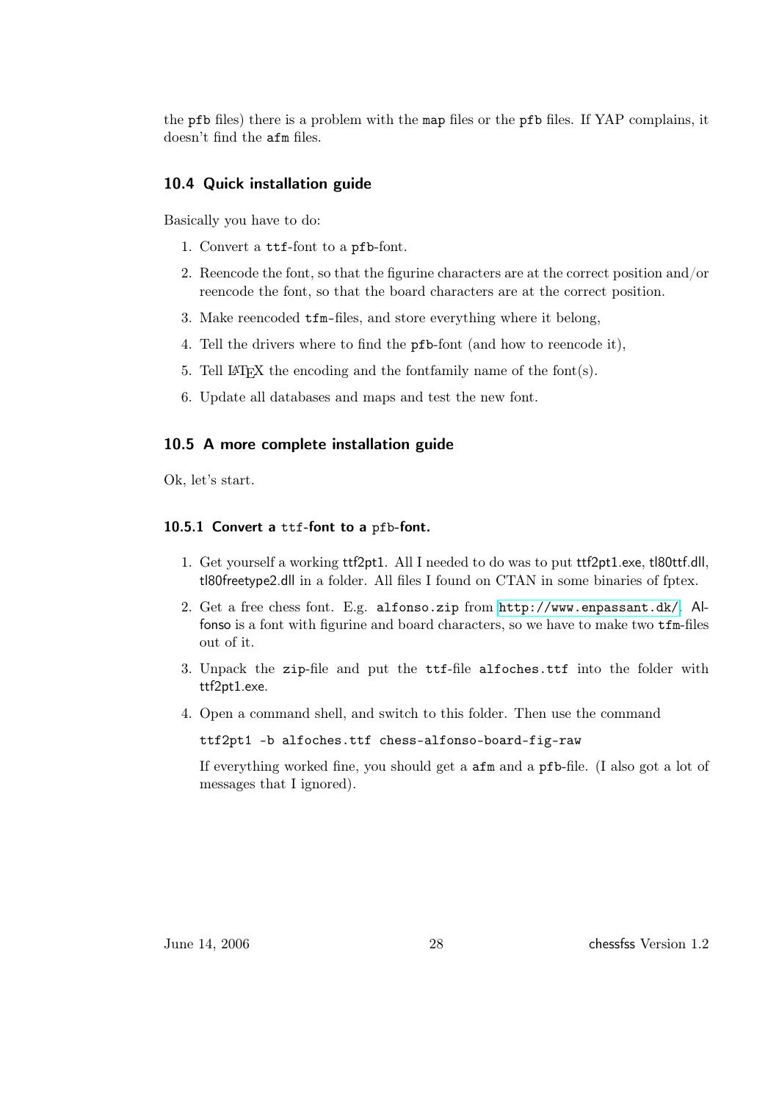the pfb files) there is a problem with the map files or the pfb files. If YAP complains, it doesn't find the afm files.

### <span id="page-27-0"></span>10.4 Quick installation guide

Basically you have to do:

- 1. Convert a ttf-font to a pfb-font.
- 2. Reencode the font, so that the figurine characters are at the correct position and/or reencode the font, so that the board characters are at the correct position.
- 3. Make reencoded tfm-files, and store everything where it belong,
- 4. Tell the drivers where to find the pfb-font (and how to reencode it),
- 5. Tell LAT<sub>E</sub>X the encoding and the fontfamily name of the font $(s)$ .
- 6. Update all databases and maps and test the new font.

#### <span id="page-27-1"></span>10.5 A more complete installation guide

Ok, let's start.

#### <span id="page-27-2"></span>10.5.1 Convert a ttf-font to a pfb-font.

- 1. Get yourself a working ttf2pt1. All I needed to do was to put ttf2pt1.exe, tl80ttf.dll, tl80freetype2.dll in a folder. All files I found on CTAN in some binaries of fptex.
- 2. Get a free chess font. E.g. alfonso.zip from <http://www.enpassant.dk/>. Alfonso is a font with figurine and board characters, so we have to make two tfm-files out of it.
- 3. Unpack the zip-file and put the ttf-file alfoches.ttf into the folder with ttf2pt1.exe.
- 4. Open a command shell, and switch to this folder. Then use the command

ttf2pt1 -b alfoches.ttf chess-alfonso-board-fig-raw

If everything worked fine, you should get a afm and a pfb-file. (I also got a lot of messages that I ignored).

June 14, 2006 28 chessfss Version 1.2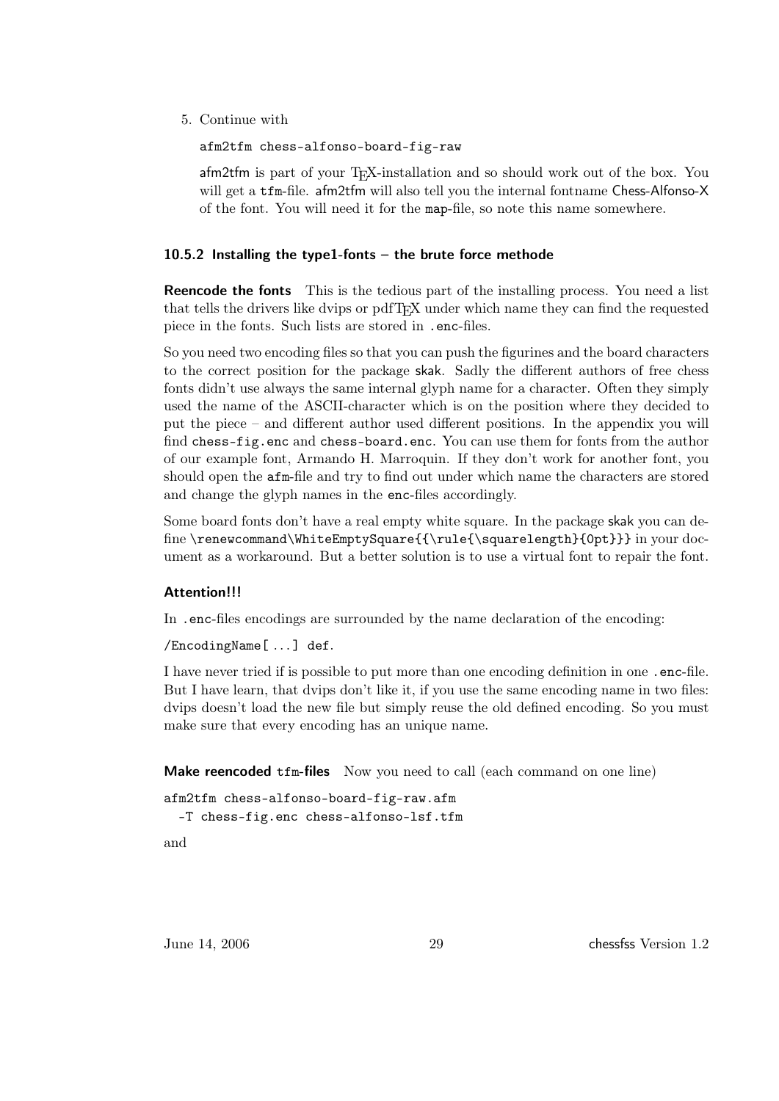5. Continue with

afm2tfm chess-alfonso-board-fig-raw

 $a$ fm2tfm is part of your T<sub>E</sub>X-installation and so should work out of the box. You will get a tfm-file. afm2tfm will also tell you the internal fontname Chess-Alfonso-X of the font. You will need it for the map-file, so note this name somewhere.

#### <span id="page-28-0"></span>10.5.2 Installing the type1-fonts – the brute force methode

**Reencode the fonts** This is the tedious part of the installing process. You need a list that tells the drivers like dvips or pdfTEX under which name they can find the requested piece in the fonts. Such lists are stored in .enc-files.

So you need two encoding files so that you can push the figurines and the board characters to the correct position for the package skak. Sadly the different authors of free chess fonts didn't use always the same internal glyph name for a character. Often they simply used the name of the ASCII-character which is on the position where they decided to put the piece – and different author used different positions. In the appendix you will find chess-fig.enc and chess-board.enc. You can use them for fonts from the author of our example font, Armando H. Marroquin. If they don't work for another font, you should open the afm-file and try to find out under which name the characters are stored and change the glyph names in the enc-files accordingly.

Some board fonts don't have a real empty white square. In the package skak you can define \renewcommand\WhiteEmptySquare{{\rule{\squarelength}{0pt}}} in your document as a workaround. But a better solution is to use a virtual font to repair the font.

#### Attention!!!

In .enc-files encodings are surrounded by the name declaration of the encoding:

/EncodingName[ . . . ] def.

I have never tried if is possible to put more than one encoding definition in one .enc-file. But I have learn, that dvips don't like it, if you use the same encoding name in two files: dvips doesn't load the new file but simply reuse the old defined encoding. So you must make sure that every encoding has an unique name.

Make reencoded tfm-files Now you need to call (each command on one line)

```
afm2tfm chess-alfonso-board-fig-raw.afm
```
-T chess-fig.enc chess-alfonso-lsf.tfm

and

June 14, 2006 29 chessfss Version 1.2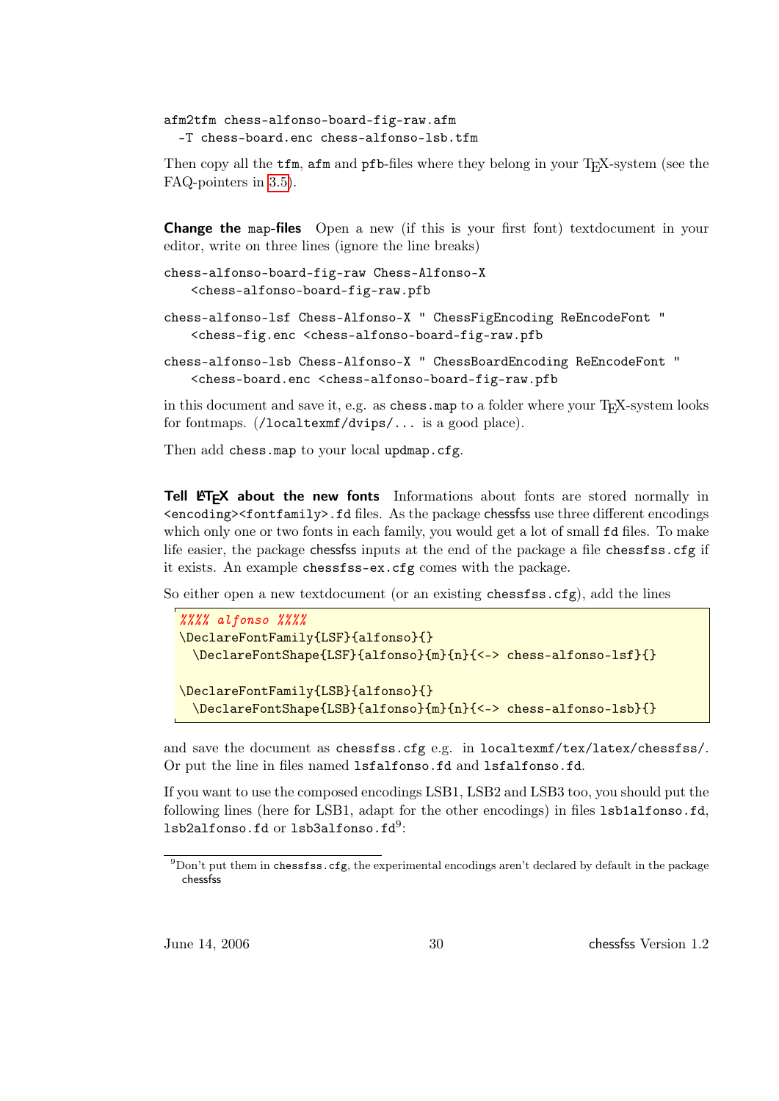```
afm2tfm chess-alfonso-board-fig-raw.afm
 -T chess-board.enc chess-alfonso-lsb.tfm
```
Then copy all the  $tfm$ ,  $afm$  and  $pfb$ -files where they belong in your T<sub>E</sub>X-system (see the FAQ-pointers in [3.5\)](#page-6-0).

Change the map-files Open a new (if this is your first font) textdocument in your editor, write on three lines (ignore the line breaks)

```
chess-alfonso-board-fig-raw Chess-Alfonso-X
   <chess-alfonso-board-fig-raw.pfb
```
chess-alfonso-lsf Chess-Alfonso-X " ChessFigEncoding ReEncodeFont " <chess-fig.enc <chess-alfonso-board-fig-raw.pfb

```
chess-alfonso-lsb Chess-Alfonso-X " ChessBoardEncoding ReEncodeFont "
   <chess-board.enc <chess-alfonso-board-fig-raw.pfb
```
in this document and save it, e.g. as chess map to a folder where your TFX-system looks for fontmaps. (/localtexmf/dvips/... is a good place).

Then add chess.map to your local updmap.cfg.

Tell ET<sub>F</sub>X about the new fonts Informations about fonts are stored normally in  $\epsilon$ encoding><fontfamily>.fd files. As the package chessfss use three different encodings which only one or two fonts in each family, you would get a lot of small fd files. To make life easier, the package chessfss inputs at the end of the package a file chessfss.cfg if it exists. An example chessfss-ex.cfg comes with the package.

So either open a new textdocument (or an existing chessfss.cfg), add the lines

```
%%%% alfonso %%%%
\DeclareFontFamily{LSF}{alfonso}{}
 \DeclareFontShape{LSF}{alfonso}{m}{n}{<-> chess-alfonso-lsf}{}
\DeclareFontFamily{LSB}{alfonso}{}
 \DeclareFontShape{LSB}{alfonso}{m}{n}{<-> chess-alfonso-lsb}{}
```
and save the document as chessfss.cfg e.g. in localtexmf/tex/latex/chessfss/. Or put the line in files named lsfalfonso.fd and lsfalfonso.fd.

If you want to use the composed encodings LSB1, LSB2 and LSB3 too, you should put the following lines (here for LSB1, adapt for the other encodings) in files lsb1alfonso.fd,  ${\tt lsb2alfons}$ o.fd or  ${\tt lsb3alfons}$ o.fd $9$ :

June 14, 2006 30 chessfss Version 1.2

 $^{9}$ Don't put them in chessfss.cfg, the experimental encodings aren't declared by default in the package chessfss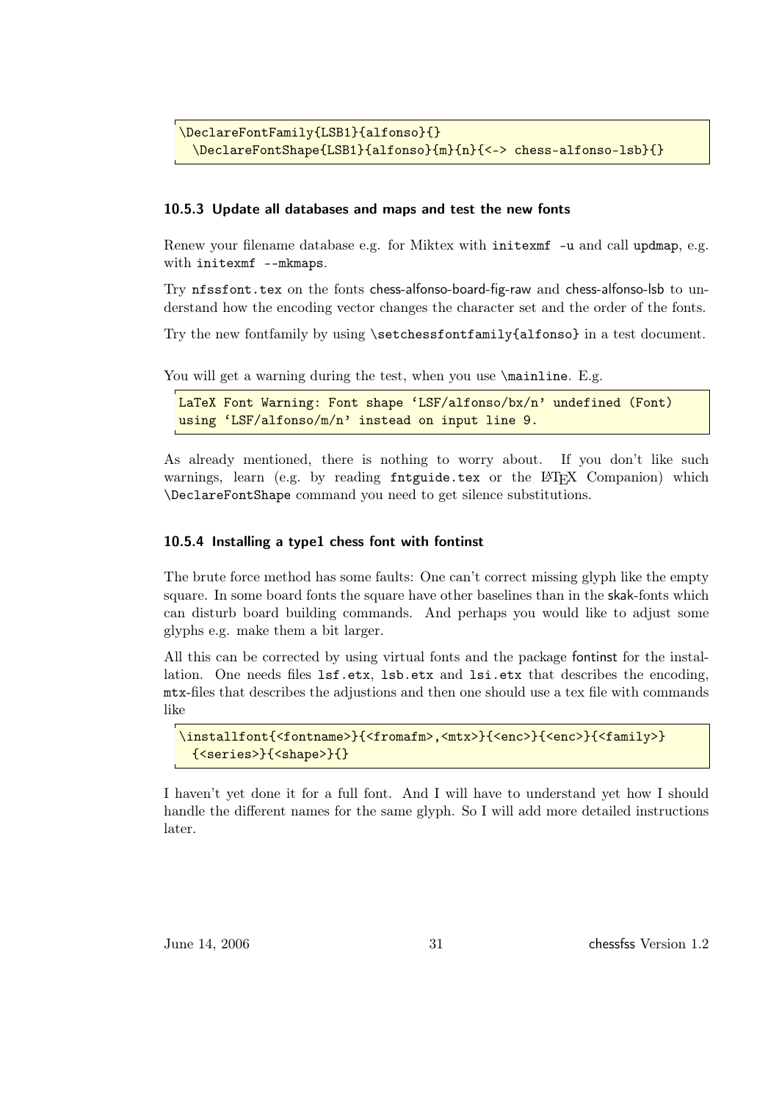```
\DeclareFontFamily{LSB1}{alfonso}{}
 \DeclareFontShape{LSB1}{alfonso}{m}{n}{<-> chess-alfonso-lsb}{}
```
#### <span id="page-30-0"></span>10.5.3 Update all databases and maps and test the new fonts

Renew your filename database e.g. for Miktex with initexmf -u and call updmap, e.g. with initexmf --mkmaps.

Try nfssfont.tex on the fonts chess-alfonso-board-fig-raw and chess-alfonso-lsb to understand how the encoding vector changes the character set and the order of the fonts.

Try the new fontfamily by using \setchessfontfamily{alfonso} in a test document.

You will get a warning during the test, when you use  $\mathrm{Lg. E.g.}$ 

```
LaTeX Font Warning: Font shape 'LSF/alfonso/bx/n' undefined (Font)
using 'LSF/alfonso/m/n' instead on input line 9.
```
As already mentioned, there is nothing to worry about. If you don't like such warnings, learn (e.g. by reading fntguide.tex or the LATEX Companion) which \DeclareFontShape command you need to get silence substitutions.

#### <span id="page-30-1"></span>10.5.4 Installing a type1 chess font with fontinst

The brute force method has some faults: One can't correct missing glyph like the empty square. In some board fonts the square have other baselines than in the skak-fonts which can disturb board building commands. And perhaps you would like to adjust some glyphs e.g. make them a bit larger.

All this can be corrected by using virtual fonts and the package fontinst for the installation. One needs files lsf.etx, lsb.etx and lsi.etx that describes the encoding, mtx-files that describes the adjustions and then one should use a tex file with commands like

```
\installfont{<fontname>}{<fromafm>,<mtx>}{<enc>}{<enc>}{<family>}
 {<series>}{<shape>}{}
```
I haven't yet done it for a full font. And I will have to understand yet how I should handle the different names for the same glyph. So I will add more detailed instructions later.

June 14, 2006 31 chessfss Version 1.2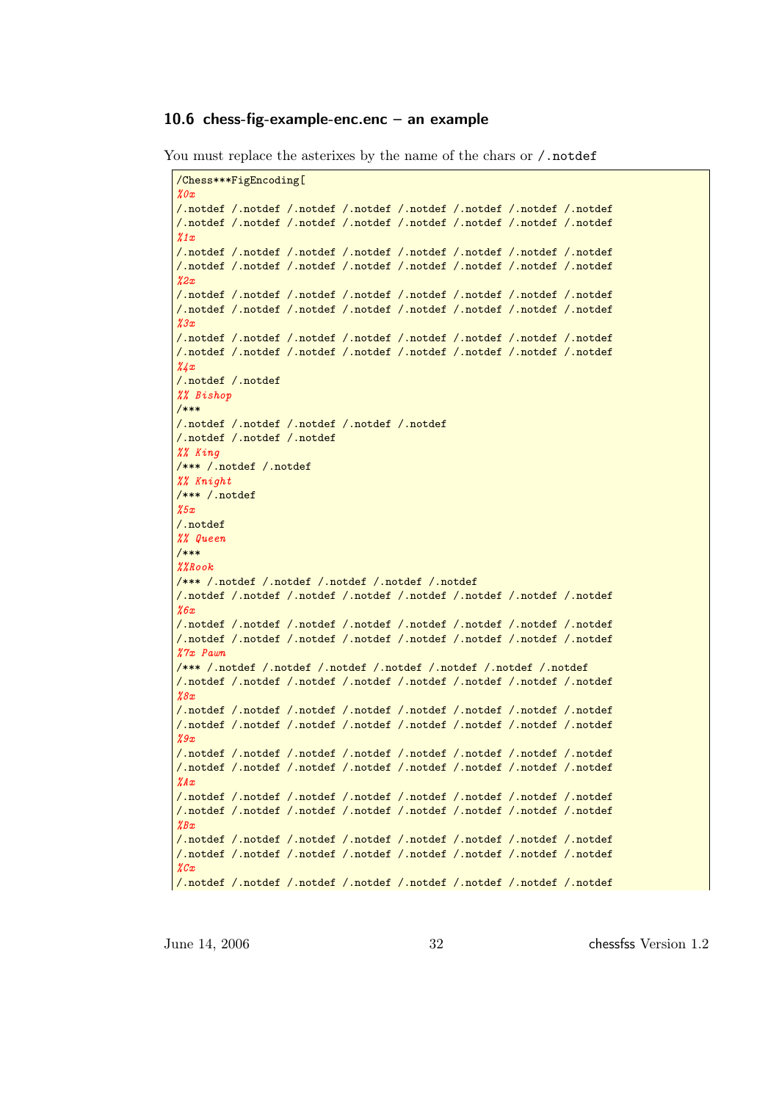#### <span id="page-31-0"></span>10.6 chess-fig-example-enc.enc – an example

```
You must replace the asterixes by the name of the chars or /.notdef
```

```
/Chess***FigEncoding[
\chi_{0x}/.notdef /.notdef /.notdef /.notdef /.notdef /.notdef /.notdef /.notdef
/.notdef /.notdef /.notdef /.notdef /.notdef /.notdef /.notdef /.notdef
\chi_{1x}/.notdef /.notdef /.notdef /.notdef /.notdef /.notdef /.notdef /.notdef
/.notdef /.notdef /.notdef /.notdef /.notdef /.notdef /.notdef /.notdef
%2x
/.notdef /.notdef /.notdef /.notdef /.notdef /.notdef /.notdef /.notdef
/.notdef /.notdef /.notdef /.notdef /.notdef /.notdef /.notdef /.notdef
\chi_{3x}/.notdef /.notdef /.notdef /.notdef /.notdef /.notdef /.notdef /.notdef
/.notdef /.notdef /.notdef /.notdef /.notdef /.notdef /.notdef /.notdef
\frac{3}{4}x/.notdef /.notdef
%% Bishop
/***
/.notdef /.notdef /.notdef /.notdef /.notdef
/.notdef /.notdef /.notdef
%% King
/*** /.notdef /.notdef
%% Knight
/*** /.notdef
%5x
/.notdef
%% Queen
/***
%%Rook
/*** /.notdef /.notdef /.notdef /.notdef /.notdef
/.notdef /.notdef /.notdef /.notdef /.notdef /.notdef /.notdef /.notdef
%6x
/.notdef /.notdef /.notdef /.notdef /.notdef /.notdef /.notdef /.notdef
/.notdef /.notdef /.notdef /.notdef /.notdef /.notdef /.notdef /.notdef
%7x Pawn
/*** /.notdef /.notdef /.notdef /.notdef /.notdef /.notdef /.notdef
/.notdef /.notdef /.notdef /.notdef /.notdef /.notdef /.notdef /.notdef
%8x
/.notdef /.notdef /.notdef /.notdef /.notdef /.notdef /.notdef /.notdef
/.notdef /.notdef /.notdef /.notdef /.notdef /.notdef /.notdef /.notdef
\chi_{.9x}/.notdef /.notdef /.notdef /.notdef /.notdef /.notdef /.notdef /.notdef
/.notdef /.notdef /.notdef /.notdef /.notdef /.notdef /.notdef /.notdef
%Ax
/.notdef /.notdef /.notdef /.notdef /.notdef /.notdef /.notdef /.notdef
/.notdef /.notdef /.notdef /.notdef /.notdef /.notdef /.notdef /.notdef
ZBx/.notdef /.notdef /.notdef /.notdef /.notdef /.notdef /.notdef /.notdef
/.notdef /.notdef /.notdef /.notdef /.notdef /.notdef /.notdef /.notdef
\chi_{Cx}/.notdef /.notdef /.notdef /.notdef /.notdef /.notdef /.notdef /.notdef
```
June 14, 2006 32 chessfss Version 1.2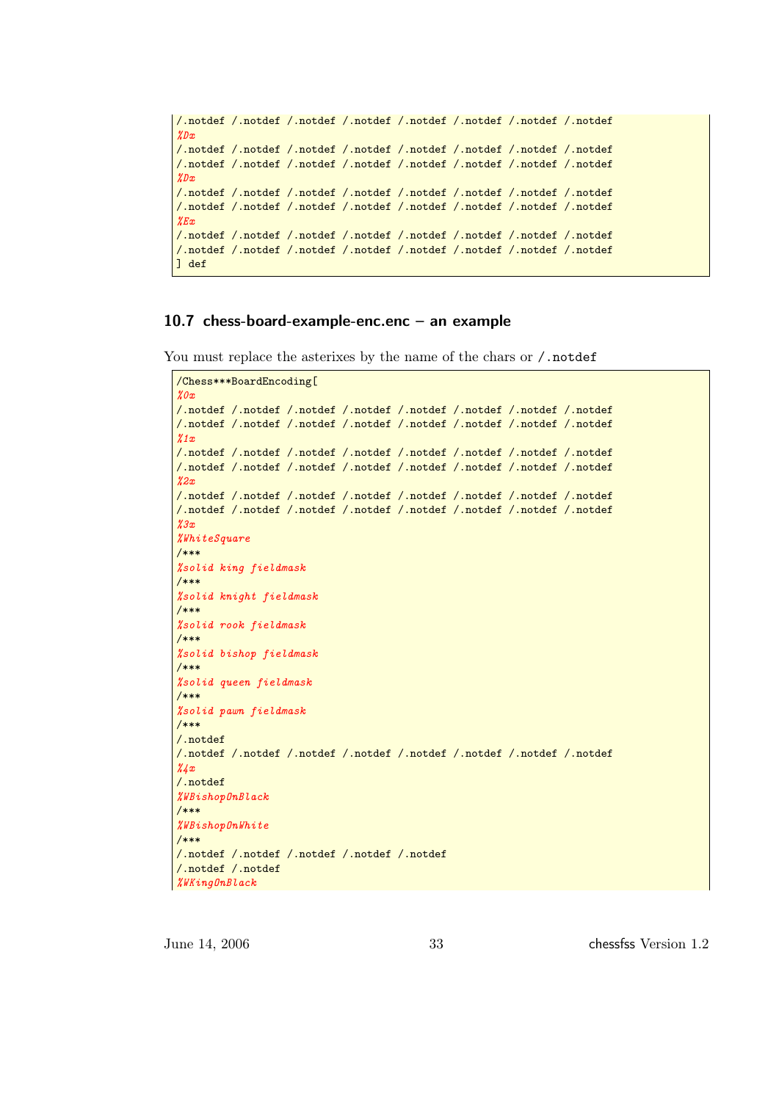```
/.notdef /.notdef /.notdef /.notdef /.notdef /.notdef /.notdef /.notdef
\chi_{Dx}/.notdef /.notdef /.notdef /.notdef /.notdef /.notdef /.notdef /.notdef
/.notdef /.notdef /.notdef /.notdef /.notdef /.notdef /.notdef /.notdef
%Dx
/.notdef /.notdef /.notdef /.notdef /.notdef /.notdef /.notdef /.notdef
/.notdef /.notdef /.notdef /.notdef /.notdef /.notdef /.notdef /.notdef
%Ex
/.notdef /.notdef /.notdef /.notdef /.notdef /.notdef /.notdef /.notdef
/.notdef /.notdef /.notdef /.notdef /.notdef /.notdef /.notdef /.notdef
] def
```
### <span id="page-32-0"></span>10.7 chess-board-example-enc.enc – an example

```
You must replace the asterixes by the name of the chars or /.notdef
```

```
/Chess***BoardEncoding[
\chi_{0x}/.notdef /.notdef /.notdef /.notdef /.notdef /.notdef /.notdef /.notdef
/.notdef /.notdef /.notdef /.notdef /.notdef /.notdef /.notdef /.notdef
\chi_{1x}/.notdef /.notdef /.notdef /.notdef /.notdef /.notdef /.notdef /.notdef
/.notdef /.notdef /.notdef /.notdef /.notdef /.notdef /.notdef /.notdef
\chi_{2x}/.notdef /.notdef /.notdef /.notdef /.notdef /.notdef /.notdef /.notdef
/.notdef /.notdef /.notdef /.notdef /.notdef /.notdef /.notdef /.notdef
%3x%WhiteSquare
/***
%solid king fieldmask
/***
%solid knight fieldmask
/***
%solid rook fieldmask
/***
%solid bishop fieldmask
/***
%solid queen fieldmask
/***
%solid pawn fieldmask
/***
/.notdef
/.notdef /.notdef /.notdef /.notdef /.notdef /.notdef /.notdef /.notdef
\chi_{A,x}/.notdef
%WBishopOnBlack
/***
%WBishopOnWhite
/***
/.notdef /.notdef /.notdef /.notdef /.notdef
/.notdef /.notdef
%WKingOnBlack
```
June 14, 2006 33 chessfss Version 1.2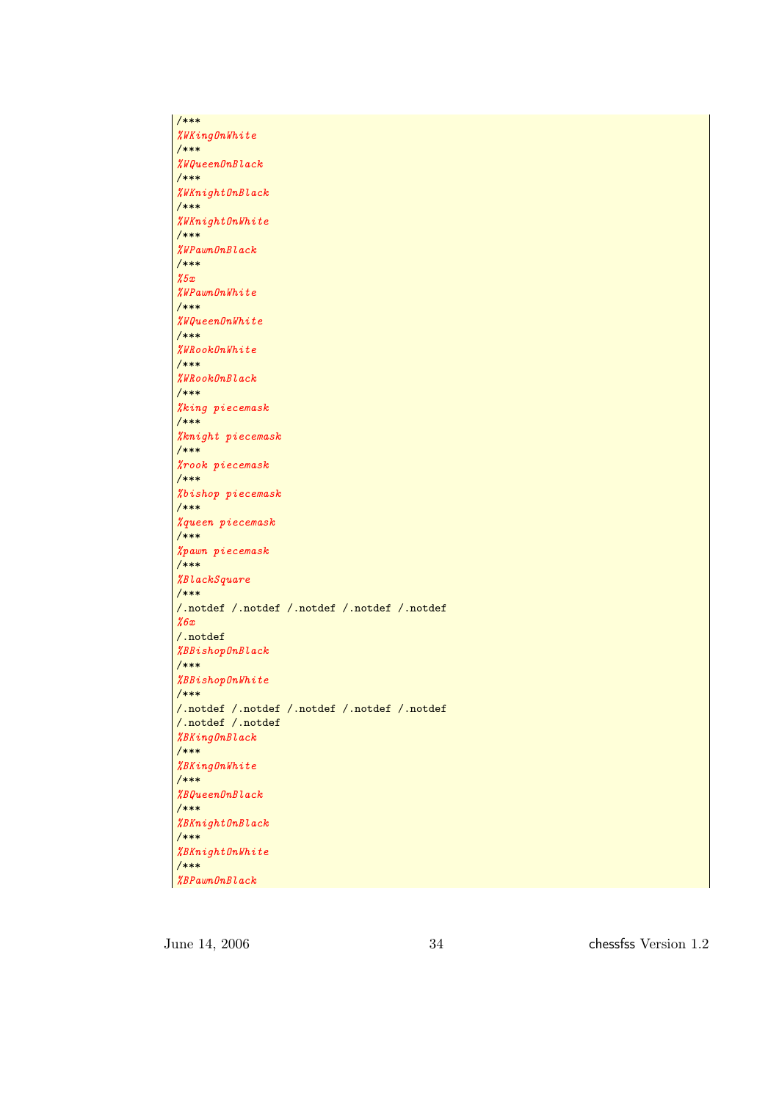/\*\*\* %WKingOnWhite /\*\*\* %WQueenOnBlack /\*\*\* %WKnightOnBlack /\*\*\* %WKnightOnWhite /\*\*\* %WPawnOnBlack /\*\*\* %5x %WPawnOnWhite /\*\*\* %WQueenOnWhite /\*\*\* %WRookOnWhite /\*\*\* %WRookOnBlack /\*\*\* %king piecemask /\*\*\* %knight piecemask /\*\*\* %rook piecemask /\*\*\* %bishop piecemask /\*\*\* %queen piecemask /\*\*\* %pawn piecemask /\*\*\* %BlackSquare /\*\*\* /.notdef /.notdef /.notdef /.notdef /.notdef %6x /.notdef %BBishopOnBlack /\*\*\* %BBishopOnWhite /\*\*\* /.notdef /.notdef /.notdef /.notdef /.notdef /.notdef /.notdef %BKingOnBlack /\*\*\* %BKingOnWhite /\*\*\* %BQueenOnBlack /\*\*\* %BKnightOnBlack /\*\*\* %BKnightOnWhite /\*\*\* %BPawnOnBlack

June 14, 2006 34 chessfss Version 1.2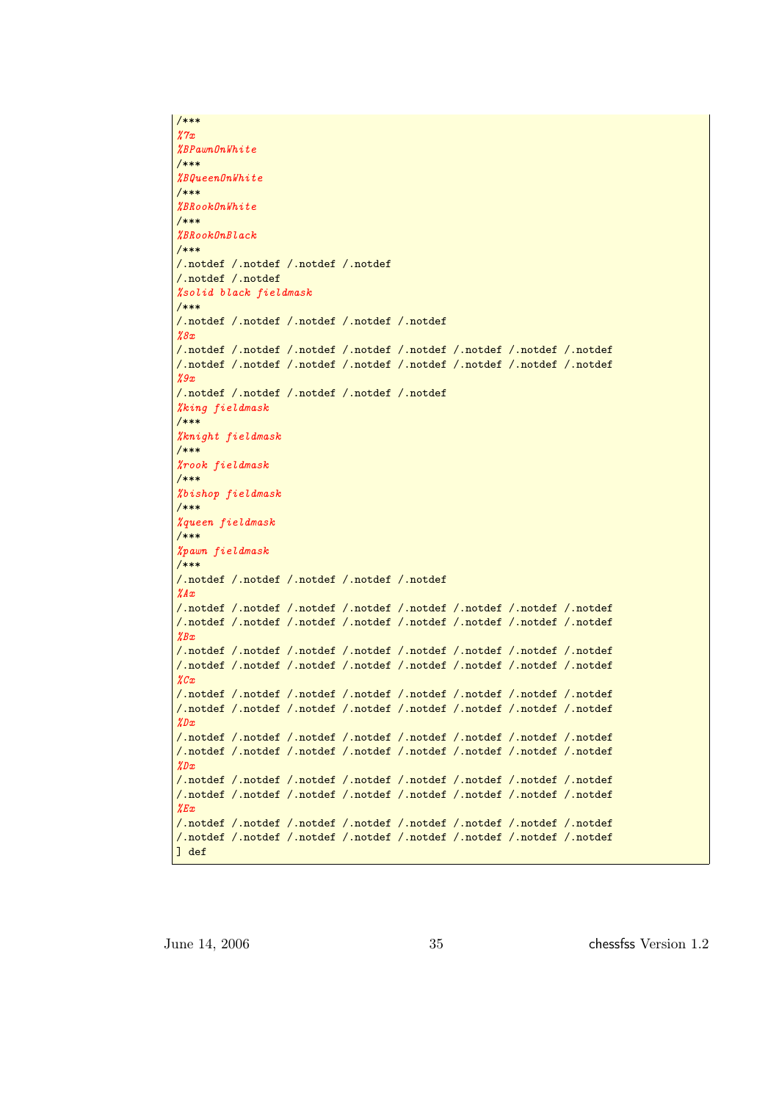```
/***
%7x
%BPawnOnWhite
/***
%BQueenOnWhite
/***
%BRookOnWhite
/***
%BRookOnBlack
/***
/.notdef /.notdef /.notdef /.notdef
/.notdef /.notdef
%solid black fieldmask
/***
/.notdef /.notdef /.notdef /.notdef /.notdef
\ell<sup>8x</sup>
/.notdef /.notdef /.notdef /.notdef /.notdef /.notdef /.notdef /.notdef
/.notdef /.notdef /.notdef /.notdef /.notdef /.notdef /.notdef /.notdef
%9x
/.notdef /.notdef /.notdef /.notdef /.notdef
%king fieldmask
/***
%knight fieldmask
/***
%rook fieldmask
/***
%bishop fieldmask
/***
%queen fieldmask
/***
%pawn fieldmask
/***
/.notdef /.notdef /.notdef /.notdef /.notdef
\mathscr{X}A x/.notdef /.notdef /.notdef /.notdef /.notdef /.notdef /.notdef /.notdef
/.notdef /.notdef /.notdef /.notdef /.notdef /.notdef /.notdef /.notdef
%Rx
/.notdef /.notdef /.notdef /.notdef /.notdef /.notdef /.notdef /.notdef
/.notdef /.notdef /.notdef /.notdef /.notdef /.notdef /.notdef /.notdef
\chi_{Cx}/.notdef /.notdef /.notdef /.notdef /.notdef /.notdef /.notdef /.notdef
/.notdef /.notdef /.notdef /.notdef /.notdef /.notdef /.notdef /.notdef
%Dx
/.notdef /.notdef /.notdef /.notdef /.notdef /.notdef /.notdef /.notdef
/.notdef /.notdef /.notdef /.notdef /.notdef /.notdef /.notdef /.notdef
\mathscr{X}Dx/.notdef /.notdef /.notdef /.notdef /.notdef /.notdef /.notdef /.notdef
/.notdef /.notdef /.notdef /.notdef /.notdef /.notdef /.notdef /.notdef
%Ex/.notdef /.notdef /.notdef /.notdef /.notdef /.notdef /.notdef /.notdef
/.notdef /.notdef /.notdef /.notdef /.notdef /.notdef /.notdef /.notdef
] def
```
June 14, 2006 35 chessfss Version 1.2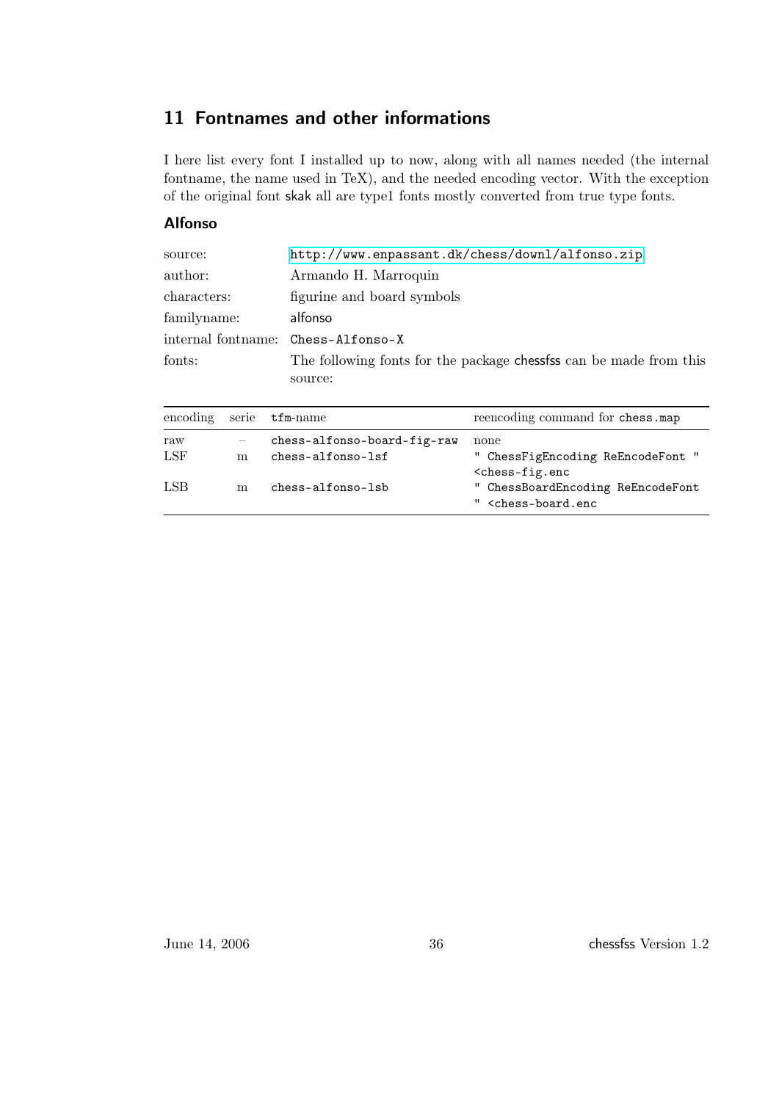## <span id="page-35-0"></span>11 Fontnames and other informations

I here list every font I installed up to now, along with all names needed (the internal fontname, the name used in TeX), and the needed encoding vector. With the exception of the original font skak all are type1 fonts mostly converted from true type fonts.

### Alfonso

| source:     | http://www.enpassant.dk/chess/downl/alfonso.zip                    |
|-------------|--------------------------------------------------------------------|
| author:     | Armando H. Marroquin                                               |
| characters: | figurine and board symbols                                         |
| familyname: | alfonso                                                            |
|             | internal fontname: Chess-Alfonso-X                                 |
| fonts:      | The following fonts for the package chessess can be made from this |
|             | source:                                                            |

| encoding   | serie | $\tt{tfm-name}$                                  | reencoding command for chess.map                                                   |
|------------|-------|--------------------------------------------------|------------------------------------------------------------------------------------|
| raw<br>LSF | m     | chess-alfonso-board-fig-raw<br>chess-alfonso-lsf | none<br>" ChessFigEncoding ReEncodeFont "<br>$<$ chess-fig.enc                     |
| LSB        | m     | chess-alfonso-lsb                                | " ChessBoardEncoding ReEncodeFont<br>" <chess-board.enc< td=""></chess-board.enc<> |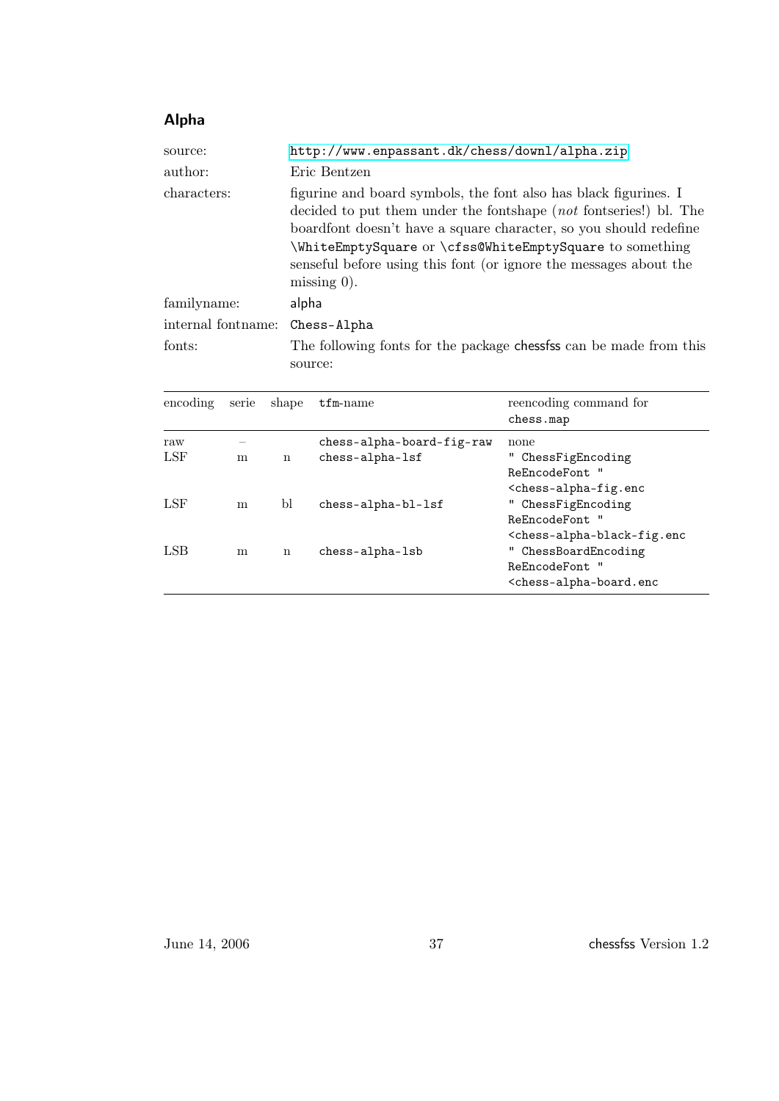## Alpha

| source:<br>author: | http://www.enpassant.dk/chess/downl/alpha.zip<br>Eric Bentzen                                                                                                                                                                                                                                                                                                 |
|--------------------|---------------------------------------------------------------------------------------------------------------------------------------------------------------------------------------------------------------------------------------------------------------------------------------------------------------------------------------------------------------|
| characters:        | figurine and board symbols, the font also has black figurines. I<br>decided to put them under the fontshape (not fontseries!) bl. The<br>boardfont doesn't have a square character, so you should redefine<br>\WhiteEmptySquare or \cfss@WhiteEmptySquare to something<br>senseful before using this font (or ignore the messages about the<br>missing $0$ ). |
| familyname:        | alpha                                                                                                                                                                                                                                                                                                                                                         |
| internal fontname: | Chess-Alpha                                                                                                                                                                                                                                                                                                                                                   |
| fonts:             | The following fonts for the package chessess can be made from this<br>source:                                                                                                                                                                                                                                                                                 |

| encoding | serie | shape | $t$ fm-name               | reencoding command for<br>chess.map                             |
|----------|-------|-------|---------------------------|-----------------------------------------------------------------|
| raw      |       |       | chess-alpha-board-fig-raw | none                                                            |
| LSF      | m     | n     | chess-alpha-lsf           | " ChessFigEncoding                                              |
|          |       |       |                           | ReEncodeFont. "                                                 |
|          |       |       |                           | <chess-alpha-fig.enc< td=""></chess-alpha-fig.enc<>             |
| LSF      | m     | Ы     | chess-alpha-bl-lsf        | " ChessFigEncoding                                              |
|          |       |       |                           | ReEncodeFont. "                                                 |
|          |       |       |                           | <chess-alpha-black-fig.enc< td=""></chess-alpha-black-fig.enc<> |
| LSB      | m     | n     | chess-alpha-lsb           | " ChessBoardEncoding                                            |
|          |       |       |                           | ReEncodeFont "                                                  |
|          |       |       |                           | <chess-alpha-board.enc< td=""></chess-alpha-board.enc<>         |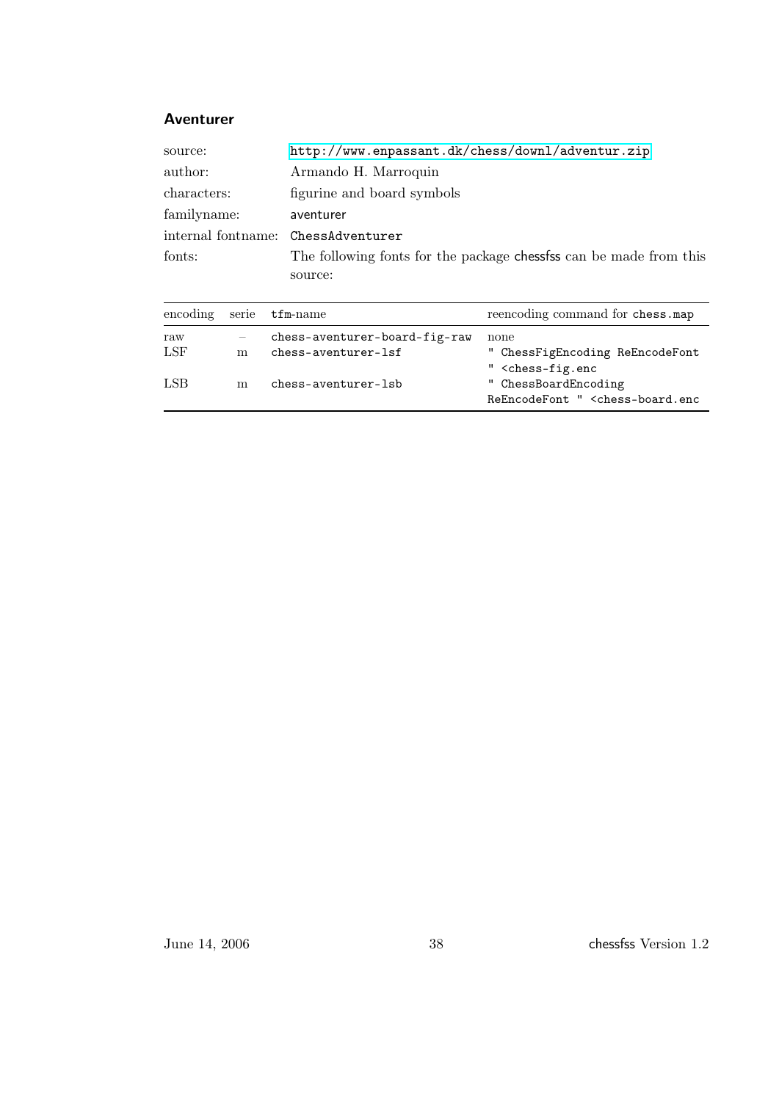#### Aventurer

| source:                            | http://www.enpassant.dk/chess/downl/adventur.zip                   |
|------------------------------------|--------------------------------------------------------------------|
| author:                            | Armando H. Marroquin                                               |
| characters:                        | figurine and board symbols                                         |
| familyname:                        | aventurer                                                          |
| internal fontname: ChessAdventurer |                                                                    |
| fonts:                             | The following fonts for the package chessfss can be made from this |
|                                    | source:                                                            |

|            |   | encoding serie tfm-name                              | reencoding command for chess.map                                                     |
|------------|---|------------------------------------------------------|--------------------------------------------------------------------------------------|
| raw<br>LSF | m | chess-aventurer-board-fig-raw<br>chess-aventurer-lsf | none<br>" ChessFigEncoding ReEncodeFont<br>" <chess-fig.enc< td=""></chess-fig.enc<> |
| LSB        | m | chess-aventurer-lsb                                  | " ChessBoardEncoding<br>ReEncodeFont " <chess-board.enc< td=""></chess-board.enc<>   |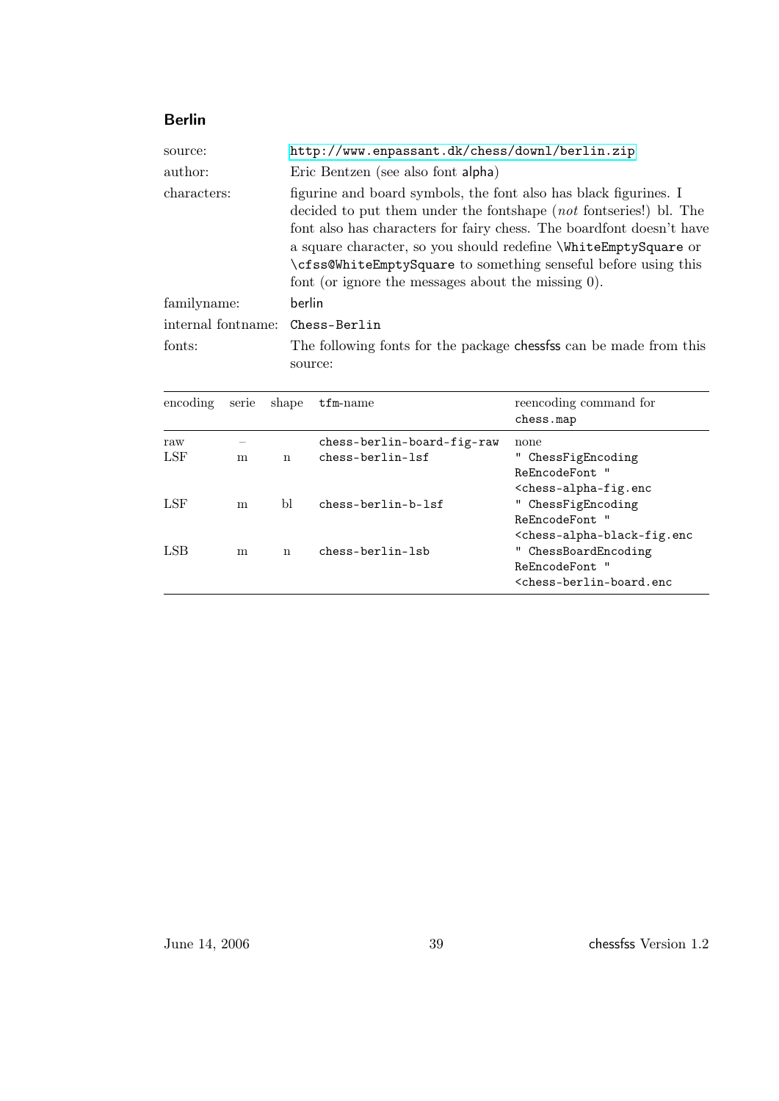## Berlin

| source:            | http://www.enpassant.dk/chess/downl/berlin.zip                                                                                                                                                                                                                                                                                                                                                           |
|--------------------|----------------------------------------------------------------------------------------------------------------------------------------------------------------------------------------------------------------------------------------------------------------------------------------------------------------------------------------------------------------------------------------------------------|
| author:            | Eric Bentzen (see also font alpha)                                                                                                                                                                                                                                                                                                                                                                       |
| characters:        | figurine and board symbols, the font also has black figurines. I<br>decided to put them under the fontshape (not fontseries!) bl. The<br>font also has characters for fairy chess. The boardfont doesn't have<br>a square character, so you should redefine \WhiteEmptySquare or<br>\cfss@WhiteEmptySquare to something senseful before using this<br>font (or ignore the messages about the missing 0). |
| familyname:        | berlin                                                                                                                                                                                                                                                                                                                                                                                                   |
| internal fontname: | Chess-Berlin                                                                                                                                                                                                                                                                                                                                                                                             |
| fonts:             | The following fonts for the package chessess can be made from this<br>source:                                                                                                                                                                                                                                                                                                                            |

| encoding   | serie | shape | $t$ fm-name                                      | reencoding command for<br>chess.map                                                                      |
|------------|-------|-------|--------------------------------------------------|----------------------------------------------------------------------------------------------------------|
| raw<br>LSF | m     | n     | chess-berlin-board-fig-raw<br>$chess-berlin-1sf$ | none<br>ChessFigEncoding<br>ReEncodeFont "<br><chess-alpha-fig.enc< td=""></chess-alpha-fig.enc<>        |
| LSF        | m     | Ы     | $chess-berlin-b-1sf$                             | " ChessFigEncoding<br>ReEncodeFont. "<br><chess-alpha-black-fig.enc< td=""></chess-alpha-black-fig.enc<> |
| LSB        | m     | n     | chess-berlin-lsb                                 | " ChessBoardEncoding<br>ReEncodeFont "<br><chess-berlin-board.enc< td=""></chess-berlin-board.enc<>      |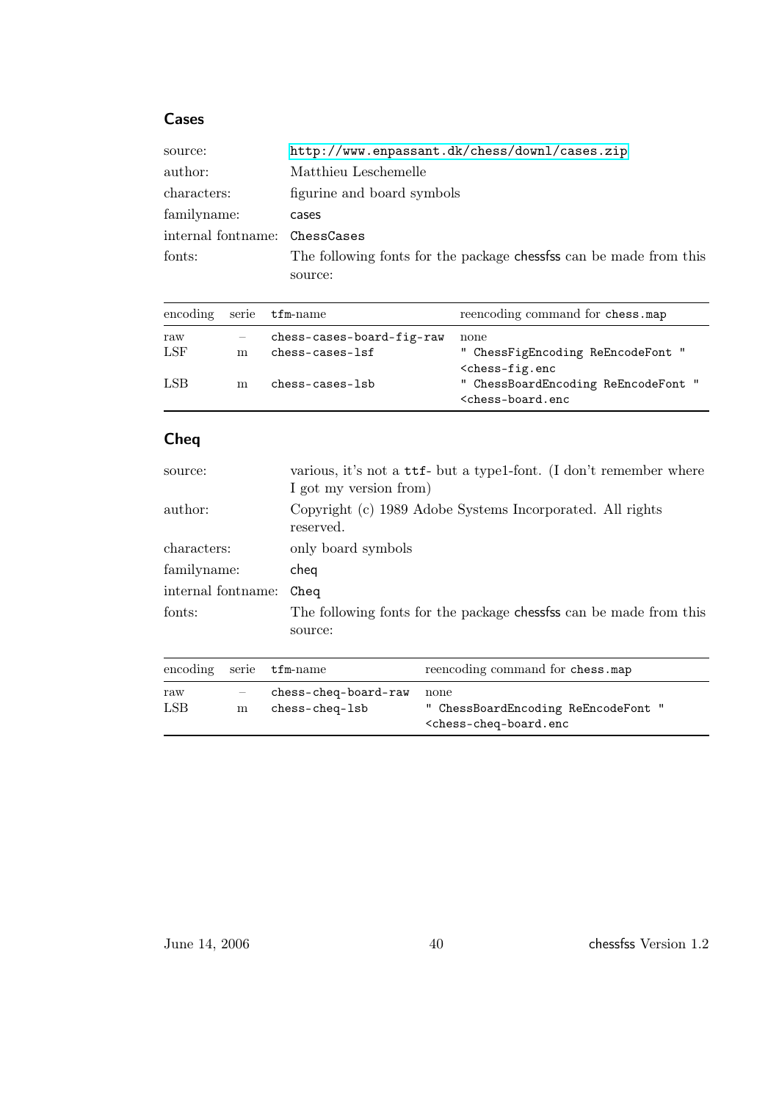### Cases

| source:                       | http://www.enpassant.dk/chess/downl/cases.zip                     |
|-------------------------------|-------------------------------------------------------------------|
| author:                       | Matthieu Leschemelle                                              |
| characters:                   | figurine and board symbols                                        |
| familyname:                   | cases                                                             |
| internal fontname: ChessCases |                                                                   |
| fonts:                        | The following fonts for the package chesses can be made from this |
|                               | source:                                                           |

|            |   | encoding serie tfm-name                           | reencoding command for chess.map                                                   |
|------------|---|---------------------------------------------------|------------------------------------------------------------------------------------|
| raw<br>LSF | m | chess-cases-board-fig-raw<br>$ches - cases - 1sf$ | none<br>" ChessFigEncoding ReEncodeFont "<br>$<$ chess-fig.enc                     |
| LSB        | m | $ches - cases - 1sb$                              | " ChessBoardEncoding ReEncodeFont "<br><chess-board.enc< td=""></chess-board.enc<> |

## Cheq

| source:            | various, it's not a ttf- but a type1-font. (I don't remember where<br>I got my version from) |
|--------------------|----------------------------------------------------------------------------------------------|
| author:            | Copyright (c) 1989 Adobe Systems Incorporated. All rights<br>reserved.                       |
| characters:        | only board symbols                                                                           |
| familyname:        | cheq                                                                                         |
| internal fontname: | Cheq                                                                                         |
| fonts:             | The following fonts for the package chessess can be made from this<br>source:                |

|                   |   | encoding serie tfm-name                | reencoding command for chess.map                                                                     |
|-------------------|---|----------------------------------------|------------------------------------------------------------------------------------------------------|
| raw<br><b>LSB</b> | m | chess-cheq-board-raw<br>chess-cheq-lsb | none<br>" ChessBoardEncoding ReEncodeFont "<br><chess-cheq-board.enc< td=""></chess-cheq-board.enc<> |

June 14, 2006 40 chessfss Version 1.2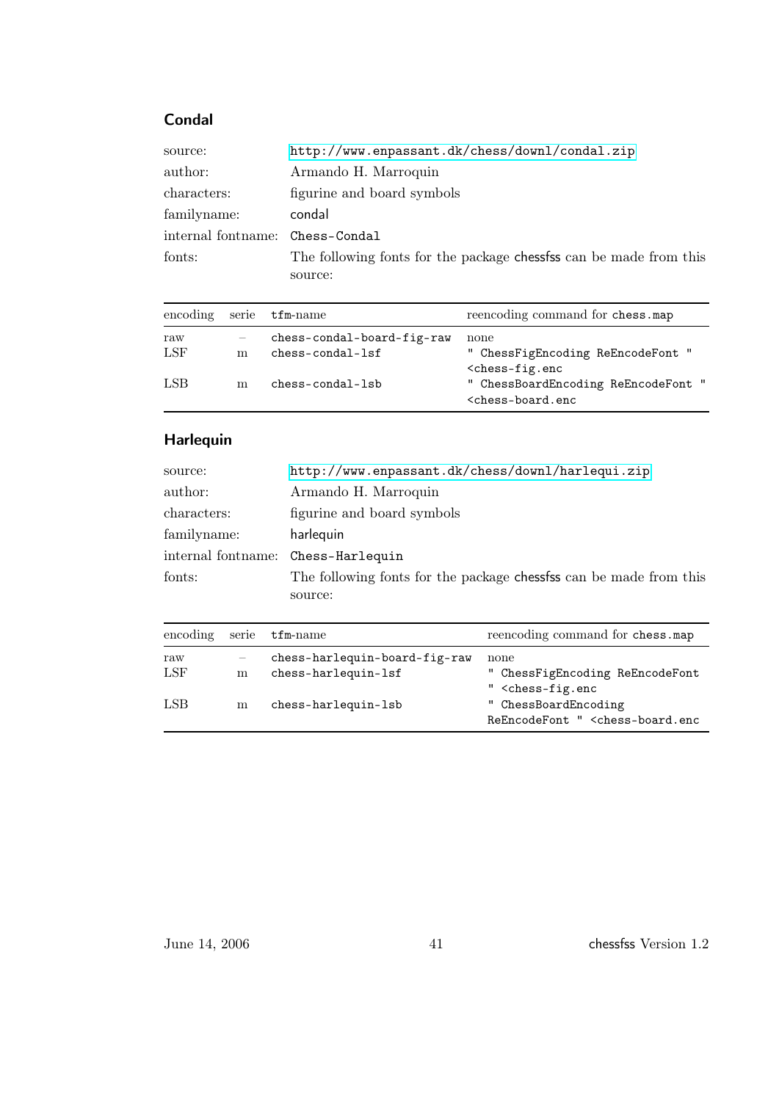## Condal

| source:                         | http://www.enpassant.dk/chess/downl/condal.zip                    |
|---------------------------------|-------------------------------------------------------------------|
| author:                         | Armando H. Marroquin                                              |
| characters:                     | figurine and board symbols                                        |
| familyname:                     | condal                                                            |
| internal fontname: Chess-Condal |                                                                   |
| fonts:                          | The following fonts for the package chesses can be made from this |
|                                 | source:                                                           |

|     |   | encoding serie tfm-name    | reencoding command for chess.map                                                   |
|-----|---|----------------------------|------------------------------------------------------------------------------------|
| raw |   | chess-condal-board-fig-raw | none                                                                               |
| LSF | m | $chess$ -condal-lsf        | " ChessFigEncoding ReEncodeFont "<br>$<$ chess-fig.enc                             |
| LSB | m | chess-condal-lsb           | " ChessBoardEncoding ReEncodeFont "<br><chess-board.enc< td=""></chess-board.enc<> |

## Harlequin

| source:            | http://www.enpassant.dk/chess/downl/harlequi.zip                  |
|--------------------|-------------------------------------------------------------------|
| author:            | Armando H. Marroquin                                              |
| characters:        | figurine and board symbols                                        |
| familyname:        | harlequin                                                         |
| internal fontname: | Chess-Harlequin                                                   |
| fonts:             | The following fonts for the package chesses can be made from this |
|                    | source:                                                           |

| encoding | serie | $\tt{tfm-name}$               | reencoding command for chess.map                                                                                           |
|----------|-------|-------------------------------|----------------------------------------------------------------------------------------------------------------------------|
| raw      |       | chess-harlequin-board-fig-raw | none                                                                                                                       |
| LSF      | m     | chess-harlequin-lsf           | " ChessFigEncoding ReEncodeFont                                                                                            |
| LSB      | m     | chess-harlequin-lsb           | " <chess-fig.enc<br>" ChessBoardEncoding<br/>ReEncodeFont " <chess-board.enc< td=""></chess-board.enc<></chess-fig.enc<br> |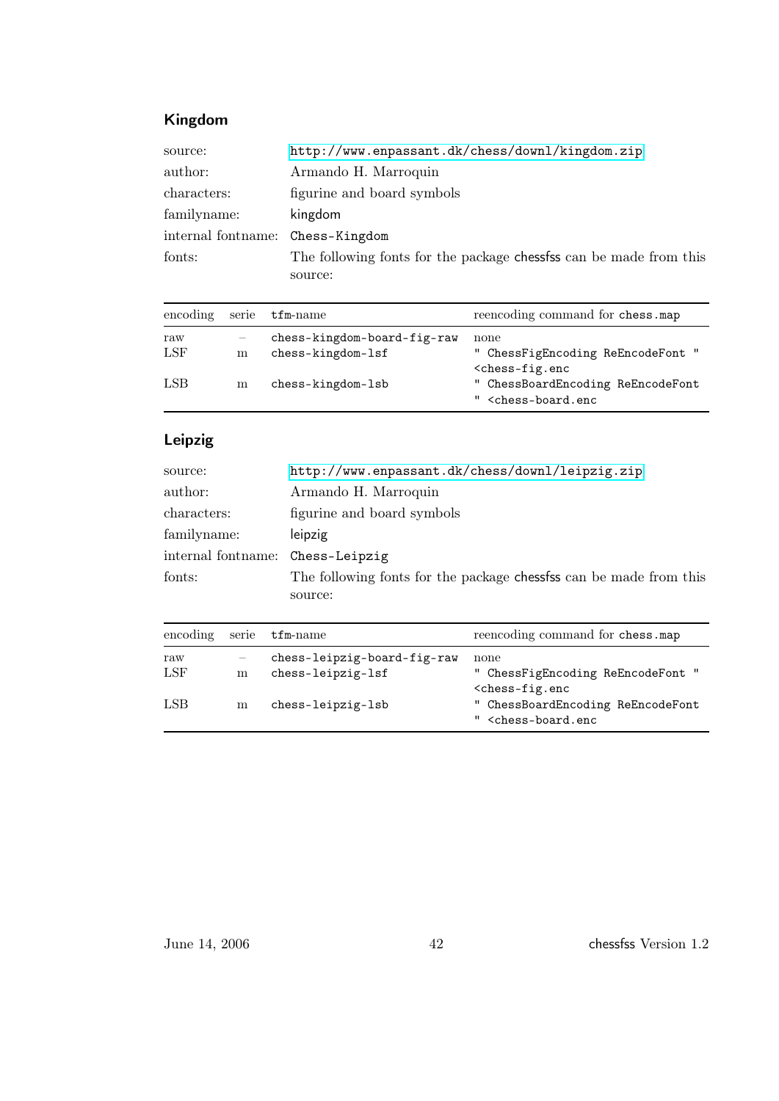## Kingdom

| source:            | http://www.enpassant.dk/chess/downl/kingdom.zip                    |
|--------------------|--------------------------------------------------------------------|
| author:            | Armando H. Marroquin                                               |
| characters:        | figurine and board symbols                                         |
| familyname:        | kingdom                                                            |
| internal fontname: | Chess-Kingdom                                                      |
| fonts:             | The following fonts for the package chessfss can be made from this |
|                    | source:                                                            |

|     |   | encoding serie tfm-name     | reencoding command for chess.map                                                   |
|-----|---|-----------------------------|------------------------------------------------------------------------------------|
| raw |   | chess-kingdom-board-fig-raw | none                                                                               |
| LSF | m | chess-kingdom-lsf           | " ChessFigEncoding ReEncodeFont "<br>$<$ chess-fig.enc                             |
| LSB | m | chess-kingdom-lsb           | " ChessBoardEncoding ReEncodeFont<br>" <chess-board.enc< td=""></chess-board.enc<> |

## Leipzig

| source:            | http://www.enpassant.dk/chess/downl/leipzig.zip                    |
|--------------------|--------------------------------------------------------------------|
| author:            | Armando H. Marroquin                                               |
| characters:        | figurine and board symbols                                         |
| familyname:        | leipzig                                                            |
| internal fontname: | Chess-Leipzig                                                      |
| fonts:             | The following fonts for the package chessfss can be made from this |
|                    | source:                                                            |

| encoding | serie | $\tt{tfm-name}$             | reencoding command for chess.map                                                   |
|----------|-------|-----------------------------|------------------------------------------------------------------------------------|
| raw      |       | chess-leipzig-board-fig-raw | none                                                                               |
| LSF      | m     | chess-leipzig-lsf           | " ChessFigEncoding ReEncodeFont "<br>$<$ chess-fig.enc                             |
| LSB      | m     | chess-leipzig-lsb           | " ChessBoardEncoding ReEncodeFont<br>" <chess-board.enc< td=""></chess-board.enc<> |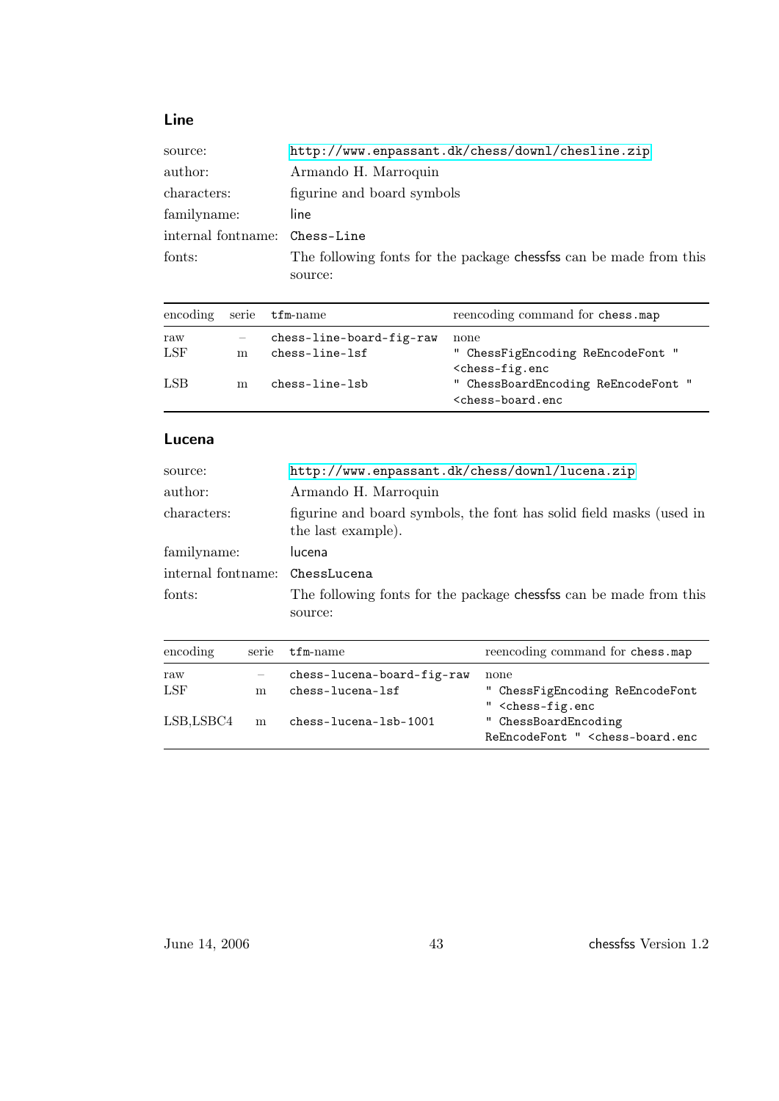## Line

| source:                       | http://www.enpassant.dk/chess/downl/chesline.zip                  |
|-------------------------------|-------------------------------------------------------------------|
| author:                       | Armando H. Marroquin                                              |
| characters:                   | figurine and board symbols                                        |
| familyname:                   | line                                                              |
| internal fontname: Chess-Line |                                                                   |
| fonts:                        | The following fonts for the package chesses can be made from this |
|                               | source:                                                           |

|     |   | encoding serie tfm-name  | reencoding command for chess.map                                                   |
|-----|---|--------------------------|------------------------------------------------------------------------------------|
| raw |   | chess-line-board-fig-raw | none                                                                               |
| LSF | m | chess-line-lsf           | " ChessFigEncoding ReEncodeFont "<br>$<$ chess-fig.enc                             |
| LSB | m | chess-line-lsb           | " ChessBoardEncoding ReEncodeFont "<br><chess-board.enc< td=""></chess-board.enc<> |

### Lucena

| source:            | http://www.enpassant.dk/chess/downl/lucena.zip                                            |  |
|--------------------|-------------------------------------------------------------------------------------------|--|
| author:            | Armando H. Marroquin                                                                      |  |
| characters:        | figurine and board symbols, the font has solid field masks (used in<br>the last example). |  |
| familyname:        | lucena                                                                                    |  |
| internal fontname: | ChessLucena                                                                               |  |
| fonts:             | The following fonts for the package chessess can be made from this<br>source:             |  |
|                    |                                                                                           |  |

| encoding   |   | serie tfm-name                                 | reencoding command for chess.map                                                                                           |
|------------|---|------------------------------------------------|----------------------------------------------------------------------------------------------------------------------------|
| raw<br>LSF | m | chess-lucena-board-fig-raw<br>chess-lucena-lsf | none<br>" ChessFigEncoding ReEncodeFont                                                                                    |
| LSB,LSBC4  | m | chess-lucena-lsb-1001                          | " <chess-fig.enc<br>" ChessBoardEncoding<br/>ReEncodeFont " <chess-board.enc< td=""></chess-board.enc<></chess-fig.enc<br> |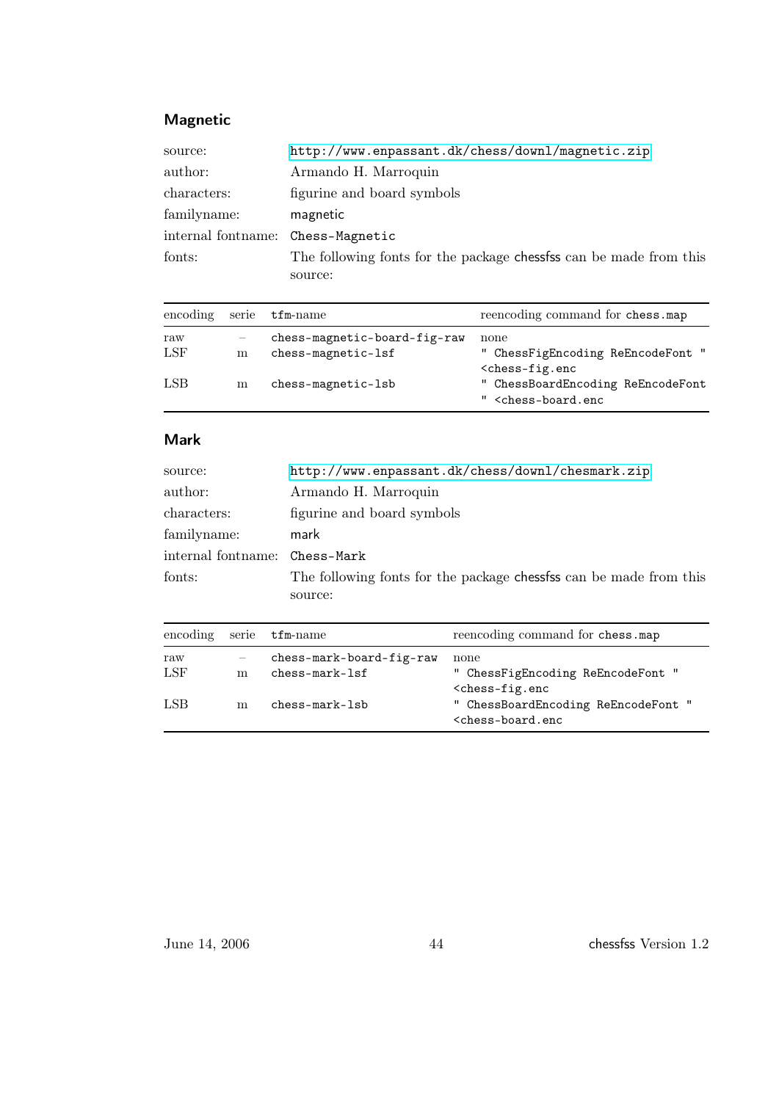### Magnetic

| source:            | http://www.enpassant.dk/chess/downl/magnetic.zip                   |
|--------------------|--------------------------------------------------------------------|
| author:            | Armando H. Marroquin                                               |
| characters:        | figurine and board symbols                                         |
| familyname:        | magnetic                                                           |
| internal fontname: | Chess-Magnetic                                                     |
| fonts:             | The following fonts for the package chessess can be made from this |
|                    | source:                                                            |

|     |   | encoding serie tfm-name      | reencoding command for chess.map                                                   |
|-----|---|------------------------------|------------------------------------------------------------------------------------|
| raw |   | chess-magnetic-board-fig-raw | none                                                                               |
| LSF | m | chess-magnetic-lsf           | " ChessFigEncoding ReEncodeFont "<br>$<$ chess-fig.enc                             |
| LSB | m | chess-magnetic-lsb           | " ChessBoardEncoding ReEncodeFont<br>" <chess-board.enc< td=""></chess-board.enc<> |

### Mark

| source:                       | http://www.enpassant.dk/chess/downl/chesmark.zip                   |  |
|-------------------------------|--------------------------------------------------------------------|--|
| author:                       | Armando H. Marroquin                                               |  |
| characters:                   | figurine and board symbols                                         |  |
| familyname:                   | mark                                                               |  |
| internal fontname: Chess-Mark |                                                                    |  |
| fonts:                        | The following fonts for the package chessfss can be made from this |  |
|                               | source:                                                            |  |

|     |   | encoding serie tfm-name  | reencoding command for chess.map                                                   |
|-----|---|--------------------------|------------------------------------------------------------------------------------|
| raw |   | chess-mark-board-fig-raw | none                                                                               |
| LSF | m | $chess-mark-1sf$         | " ChessFigEncoding ReEncodeFont "<br>$<$ chess-fig.enc                             |
| LSB | m | $chess-mark-1sb$         | " ChessBoardEncoding ReEncodeFont "<br><chess-board.enc< td=""></chess-board.enc<> |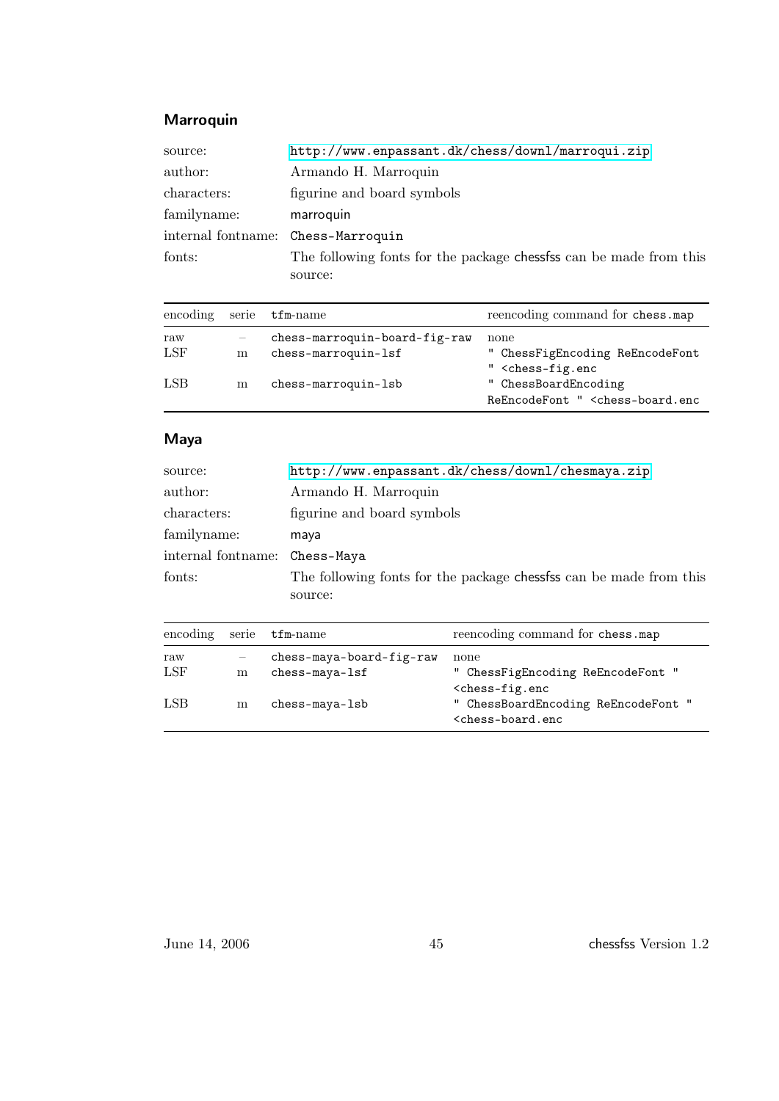### Marroquin

| source:                            | http://www.enpassant.dk/chess/downl/marroqui.zip                   |  |
|------------------------------------|--------------------------------------------------------------------|--|
| author:                            | Armando H. Marroquin                                               |  |
| characters:                        | figurine and board symbols                                         |  |
| familyname:                        | marroquin                                                          |  |
| internal fontname: Chess-Marroquin |                                                                    |  |
| fonts:                             | The following fonts for the package chessfss can be made from this |  |
|                                    | source:                                                            |  |

| encoding serie |   | $\tt{tfm-name}$               | reencoding command for chess.map                                                   |
|----------------|---|-------------------------------|------------------------------------------------------------------------------------|
| raw            |   | chess-marroquin-board-fig-raw | none                                                                               |
| LSF            | m | chess-marroquin-lsf           | " ChessFigEncoding ReEncodeFont<br>" <chess-fig.enc< td=""></chess-fig.enc<>       |
| LSB            | m | chess-marroquin-lsb           | " ChessBoardEncoding<br>ReEncodeFont " <chess-board.enc< td=""></chess-board.enc<> |

## Maya

| source:            | http://www.enpassant.dk/chess/downl/chesmaya.zip                  |  |
|--------------------|-------------------------------------------------------------------|--|
| author:            | Armando H. Marroquin                                              |  |
| characters:        | figurine and board symbols                                        |  |
| familyname:        | maya                                                              |  |
| internal fontname: | Chess-Maya                                                        |  |
| fonts:             | The following fonts for the package chesses can be made from this |  |
|                    | source:                                                           |  |

| encoding serie |   | $\tt{tfm-name}$          | reencoding command for chess.map                                                   |
|----------------|---|--------------------------|------------------------------------------------------------------------------------|
| raw            |   | chess-maya-board-fig-raw | none                                                                               |
| LSF            | m | $chess-maya-1sf$         | " ChessFigEncoding ReEncodeFont "<br>$<$ chess-fig.enc                             |
| LSB            | m | chess-maya-lsb           | " ChessBoardEncoding ReEncodeFont "<br><chess-board.enc< td=""></chess-board.enc<> |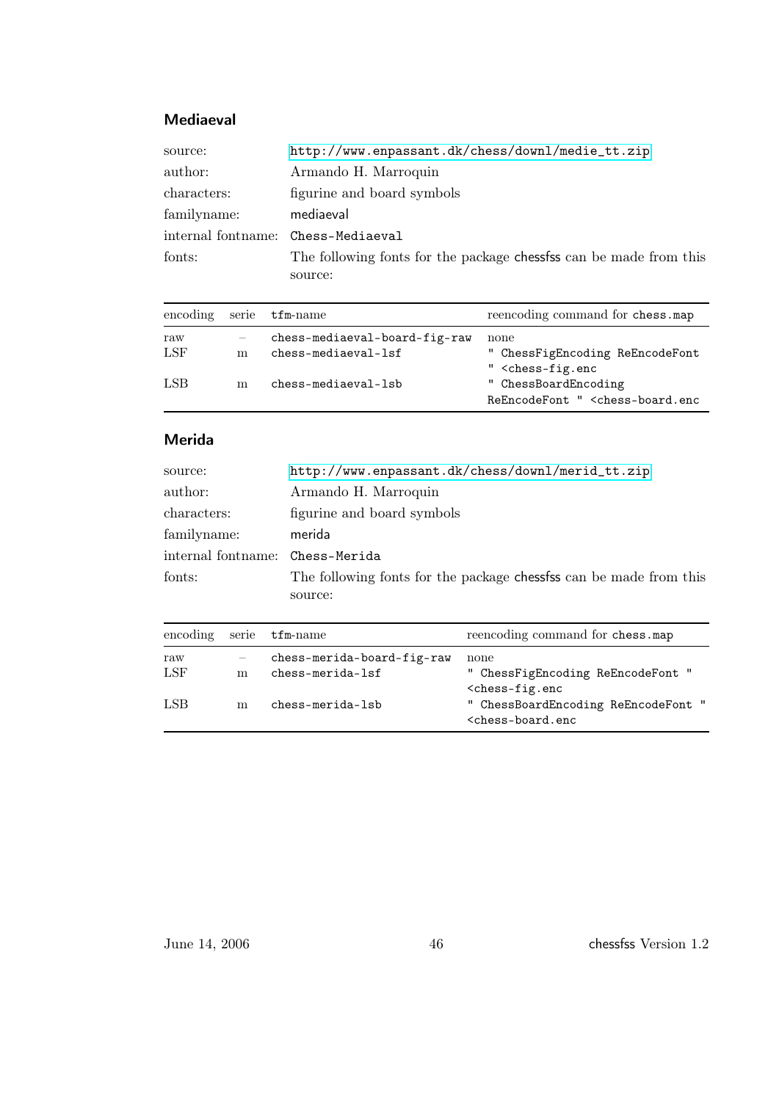## Mediaeval

| source:                            | http://www.enpassant.dk/chess/downl/medie_tt.zip                   |  |
|------------------------------------|--------------------------------------------------------------------|--|
| author:                            | Armando H. Marroquin                                               |  |
| characters:                        | figurine and board symbols                                         |  |
| familyname:                        | mediaeval                                                          |  |
| internal fontname: Chess-Mediaeval |                                                                    |  |
| fonts:                             | The following fonts for the package chessfss can be made from this |  |
|                                    | source:                                                            |  |

|     |   | encoding serie tfm-name       | reencoding command for chess.map                                                   |
|-----|---|-------------------------------|------------------------------------------------------------------------------------|
| raw |   | chess-mediaeval-board-fig-raw | none                                                                               |
| LSF | m | chess-mediaeval-lsf           | " ChessFigEncoding ReEncodeFont<br>" <chess-fig.enc< td=""></chess-fig.enc<>       |
| LSB | m | chess-mediaeval-lsb           | " ChessBoardEncoding<br>ReEncodeFont " <chess-board.enc< td=""></chess-board.enc<> |

### Merida

| source:                         | http://www.enpassant.dk/chess/downl/merid_tt.zip                   |  |
|---------------------------------|--------------------------------------------------------------------|--|
| author:                         | Armando H. Marroquin                                               |  |
| characters:                     | figurine and board symbols                                         |  |
| familyname:                     | merida                                                             |  |
| internal fontname: Chess-Merida |                                                                    |  |
| fonts:                          | The following fonts for the package chessfss can be made from this |  |
|                                 | source:                                                            |  |

|     |   | encoding serie tfm-name    | reencoding command for chess.map                                                   |
|-----|---|----------------------------|------------------------------------------------------------------------------------|
| raw |   | chess-merida-board-fig-raw | none                                                                               |
| LSF | m | chess-merida-lsf           | " ChessFigEncoding ReEncodeFont "<br>$<$ chess-fig.enc                             |
| LSB | m | chess-merida-lsb           | " ChessBoardEncoding ReEncodeFont "<br><chess-board.enc< td=""></chess-board.enc<> |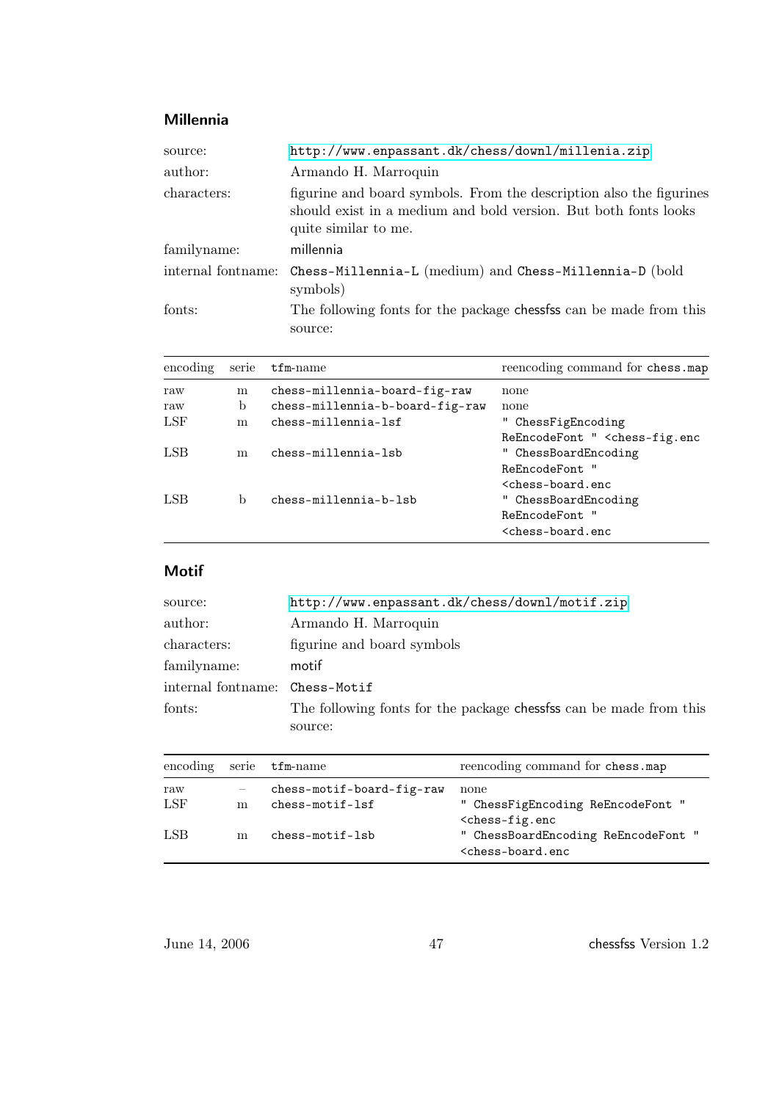## Millennia

| source:            | http://www.enpassant.dk/chess/downl/millenia.zip                                                                                                               |  |
|--------------------|----------------------------------------------------------------------------------------------------------------------------------------------------------------|--|
| author:            | Armando H. Marroquin                                                                                                                                           |  |
| characters:        | figurine and board symbols. From the description also the figurines<br>should exist in a medium and bold version. But both fonts looks<br>quite similar to me. |  |
| familyname:        | millennia                                                                                                                                                      |  |
| internal fontname: | Chess-Millennia-L (medium) and Chess-Millennia-D (bold<br>symbols)                                                                                             |  |
| fonts:             | The following fonts for the package chesses can be made from this<br>source:                                                                                   |  |

| encoding     | serie | $t$ fm-name                     | reencoding command for chess.map                       |
|--------------|-------|---------------------------------|--------------------------------------------------------|
| raw          | m     | chess-millennia-board-fig-raw   | none                                                   |
| raw          | b     | chess-millennia-b-board-fig-raw | none                                                   |
| LSF          | m     | chess-millennia-lsf             | ChessFigEncoding                                       |
|              |       |                                 | ReEncodeFont " <chess-fig.enc< td=""></chess-fig.enc<> |
| $_{\rm LSB}$ | m     | chess-millennia-lsb             | ChessBoardEncoding                                     |
|              |       |                                 | <b>ReEncodeFont</b>                                    |
|              |       |                                 | <chess-board.enc< td=""></chess-board.enc<>            |
| LSB          | b     | chess-millennia-b-lsb           | " ChessBoardEncoding                                   |
|              |       |                                 | ReEncodeFont                                           |
|              |       |                                 | <chess-board.enc< td=""></chess-board.enc<>            |
|              |       |                                 |                                                        |

## Motif

| source:                        | http://www.enpassant.dk/chess/downl/motif.zip                      |
|--------------------------------|--------------------------------------------------------------------|
| author:                        | Armando H. Marroquin                                               |
| characters:                    | figurine and board symbols                                         |
| familyname:                    | motif                                                              |
| internal fontname: Chess-Motif |                                                                    |
| fonts:                         | The following fonts for the package chessess can be made from this |
|                                | source:                                                            |

| encoding serie |   | $\tt{tfm-name}$                                | reencoding command for chess.map                                                   |
|----------------|---|------------------------------------------------|------------------------------------------------------------------------------------|
| raw<br>LSF     | m | chess-motif-board-fig-raw<br>$chess-motif-1sf$ | none<br>" ChessFigEncoding ReEncodeFont "<br>$<$ chess-fig.enc                     |
| LSB            | m | chess-motif-lsb                                | " ChessBoardEncoding ReEncodeFont "<br><chess-board.enc< td=""></chess-board.enc<> |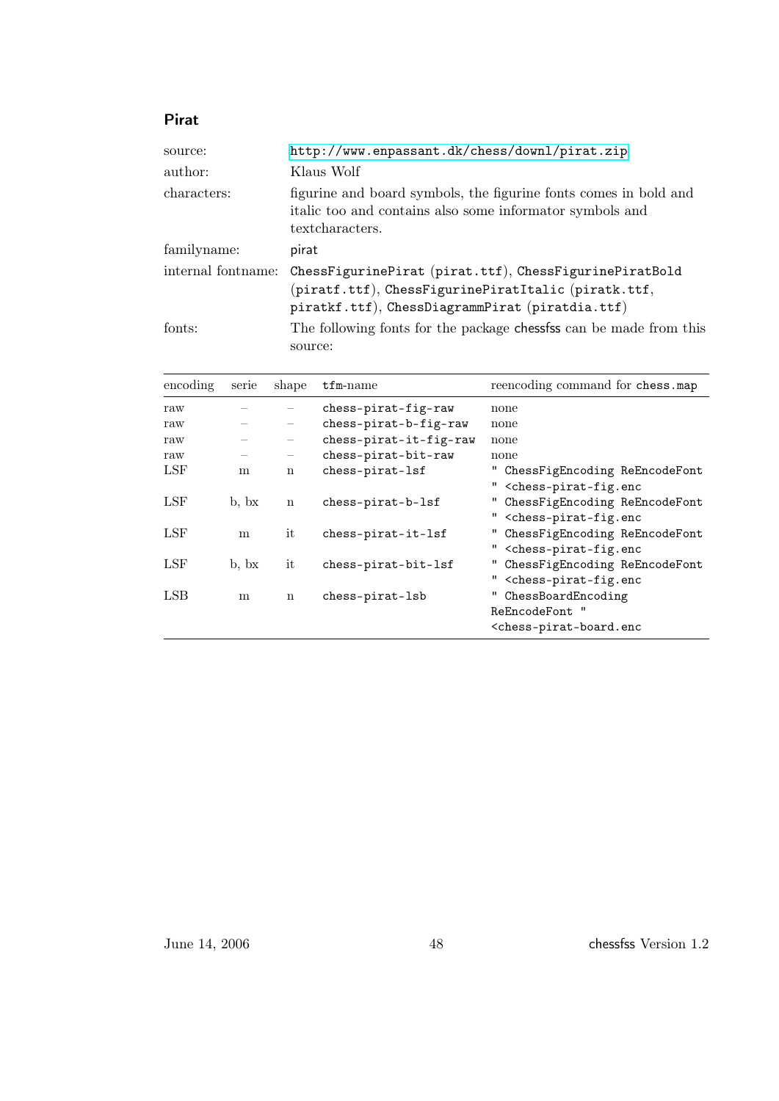## Pirat

| source:            | http://www.enpassant.dk/chess/downl/pirat.zip                                                                                                                    |
|--------------------|------------------------------------------------------------------------------------------------------------------------------------------------------------------|
| author:            | Klaus Wolf                                                                                                                                                       |
| characters:        | figurine and board symbols, the figurine fonts comes in bold and<br>italic too and contains also some informator symbols and<br>textcharacters.                  |
| familyname:        | pirat                                                                                                                                                            |
| internal fontname: | ChessFigurinePirat (pirat.ttf), ChessFigurinePiratBold<br>(piratf.ttf), ChessFigurinePiratItalic (piratk.ttf,<br>piratkf.ttf), ChessDiagrammPirat (piratdia.ttf) |
| fonts:             | The following fonts for the package chessess can be made from this<br>source:                                                                                    |

| encoding   | serie                       | shape       | $t$ fm-name            | reencoding command for chess.map                                                                |
|------------|-----------------------------|-------------|------------------------|-------------------------------------------------------------------------------------------------|
| raw        |                             |             | chess-pirat-fig-raw    | none                                                                                            |
| raw        |                             |             | chess-pirat-b-fig-raw  | none                                                                                            |
| raw        |                             |             | chess-pirat-it-fig-raw | none                                                                                            |
| raw        |                             |             | chess-pirat-bit-raw    | none                                                                                            |
| LSF        | m                           | n           | chess-pirat-lsf        | " ChessFigEncoding ReEncodeFont<br>" <chess-pirat-fig.enc< td=""></chess-pirat-fig.enc<>        |
| LSF        | $\mathbf{b}$ , $\mathbf{b}$ | $\mathbf n$ | chess-pirat-b-lsf      | " ChessFigEncoding ReEncodeFont<br>" <chess-pirat-fig.enc< td=""></chess-pirat-fig.enc<>        |
| LSF        | m                           | it          | chess-pirat-it-lsf     | " ChessFigEncoding ReEncodeFont<br>" <chess-pirat-fig.enc< td=""></chess-pirat-fig.enc<>        |
| <b>LSF</b> | $\mathbf{b}$ , $\mathbf{b}$ | it          | chess-pirat-bit-lsf    | " ChessFigEncoding ReEncodeFont<br>" <chess-pirat-fig.enc< td=""></chess-pirat-fig.enc<>        |
| LSB        | m                           | $\mathbf n$ | chess-pirat-lsb        | ChessBoardEncoding<br>ReEncodeFont "<br><chess-pirat-board.enc< td=""></chess-pirat-board.enc<> |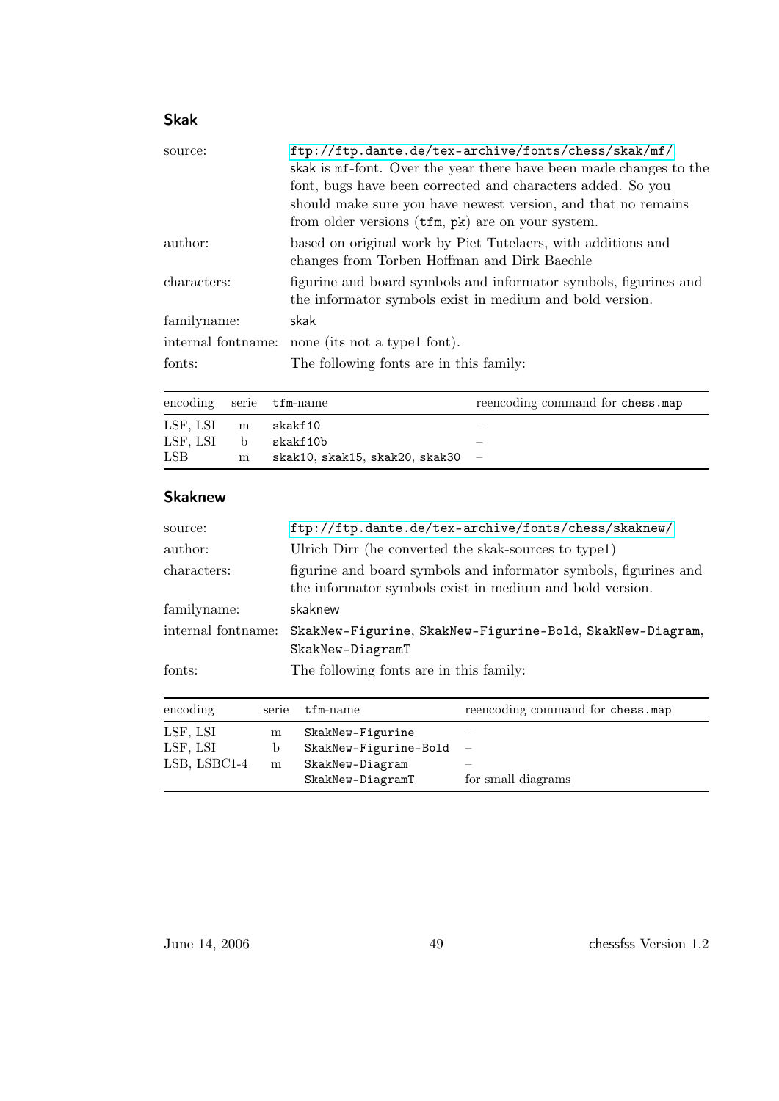## Skak

| source:            | ftp://ftp.dante.de/tex-archive/fonts/chess/skak/mf/.<br>skak is mf-font. Over the year there have been made changes to the<br>font, bugs have been corrected and characters added. So you<br>should make sure you have newest version, and that no remains<br>from older versions (tfm, pk) are on your system. |
|--------------------|-----------------------------------------------------------------------------------------------------------------------------------------------------------------------------------------------------------------------------------------------------------------------------------------------------------------|
| author:            | based on original work by Piet Tutelaers, with additions and<br>changes from Torben Hoffman and Dirk Baechle                                                                                                                                                                                                    |
| characters:        | figurine and board symbols and informator symbols, figurines and<br>the informator symbols exist in medium and bold version.                                                                                                                                                                                    |
| familyname:        | skak                                                                                                                                                                                                                                                                                                            |
| internal fontname: | none (its not a type1 font).                                                                                                                                                                                                                                                                                    |
| fonts:             | The following fonts are in this family:                                                                                                                                                                                                                                                                         |

|                     |    | encoding serie tfm-name        | reencoding command for chess.map |
|---------------------|----|--------------------------------|----------------------------------|
| $LSF, LSI \qquad m$ |    | skakf 10                       |                                  |
| LSF. LSI            | b. | skakf10b                       |                                  |
| LSB                 | m  | skak10, skak15, skak20, skak30 |                                  |

#### Skaknew

| source:            | ftp://ftp.dante.de/tex-archive/fonts/chess/skaknew/                                                                          |
|--------------------|------------------------------------------------------------------------------------------------------------------------------|
| author:            | Ulrich Dirr (he converted the skak-sources to type1)                                                                         |
| characters:        | figurine and board symbols and informator symbols, figurines and<br>the informator symbols exist in medium and bold version. |
| familyname:        | skaknew                                                                                                                      |
| internal fontname: | SkakNew-Figurine, SkakNew-Figurine-Bold, SkakNew-Diagram,<br>SkakNew-DiagramT                                                |
| fonts:             | The following fonts are in this family:                                                                                      |

| encoding     | serie | $t$ fm-name           | reencoding command for chess.map |
|--------------|-------|-----------------------|----------------------------------|
| LSF, LSI     | m     | SkakNew-Figurine      |                                  |
| LSF, LSI     | b     | SkakNew-Figurine-Bold |                                  |
| LSB, LSBC1-4 | m     | SkakNew-Diagram       |                                  |
|              |       | SkakNew-DiagramT      | for small diagrams               |

June 14, 2006 49 chessfss Version 1.2